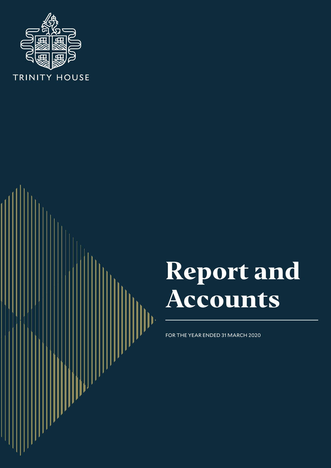

# **Report and Accounts**

FOR THE YEAR ENDED 31 MARCH 2020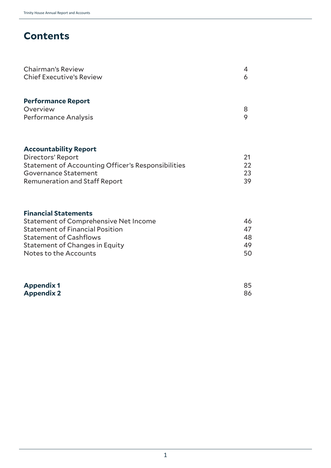# **Contents**

| 4 |
|---|
| 6 |
|   |
| 8 |
| 9 |
|   |
| ⌒ |
|   |

| 22  |
|-----|
| 23  |
| 39. |
|     |

# **Financial Statements**

| <b>Statement of Comprehensive Net Income</b> | 46  |
|----------------------------------------------|-----|
| <b>Statement of Financial Position</b>       | 47  |
| <b>Statement of Cashflows</b>                | 48  |
| <b>Statement of Changes in Equity</b>        | 49  |
| Notes to the Accounts                        | 50. |

| <b>Appendix 1</b> | 85 |
|-------------------|----|
| <b>Appendix 2</b> | 86 |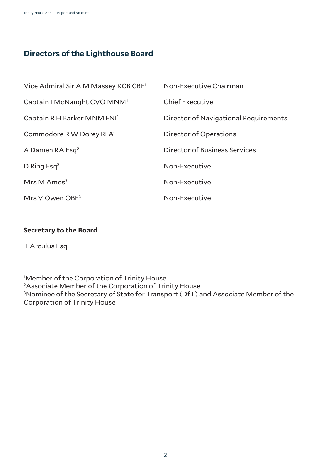# **Directors of the Lighthouse Board**

| Vice Admiral Sir A M Massey KCB CBE <sup>1</sup> | Non-Executive Chairman                |
|--------------------------------------------------|---------------------------------------|
| Captain I McNaught CVO MNM <sup>1</sup>          | <b>Chief Executive</b>                |
| Captain R H Barker MNM FNI <sup>1</sup>          | Director of Navigational Requirements |
| Commodore R W Dorey RFA <sup>1</sup>             | Director of Operations                |
| A Damen RA Esq <sup>2</sup>                      | Director of Business Services         |
| D Ring Esq <sup>3</sup>                          | Non-Executive                         |
| Mrs M $Amos3$                                    | Non-Executive                         |
| Mrs V Owen $OBE3$                                | Non-Executive                         |

# **Secretary to the Board**

T Arculus Esq

1 Member of the Corporation of Trinity House 2Associate Member of the Corporation of Trinity House 3 Nominee of the Secretary of State for Transport (DfT) and Associate Member of the Corporation of Trinity House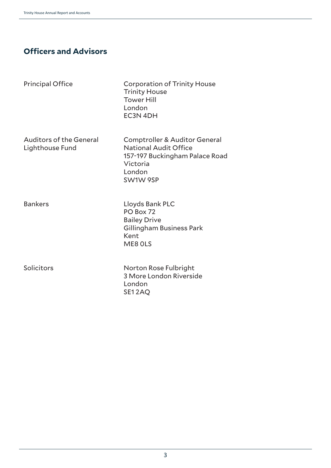# **Officers and Advisors**

Principal Office Corporation of Trinity House Trinity House Tower Hill London EC3N 4DH

Lighthouse Fund National Audit Office

Auditors of the General Comptroller & Auditor General 157-197 Buckingham Palace Road Victoria London SW1W 9SP

Bankers Lloyds Bank PLC PO Box 72 Bailey Drive Gillingham Business Park Kent ME8 0LS

Solicitors Norton Rose Fulbright 3 More London Riverside London SE1 2AQ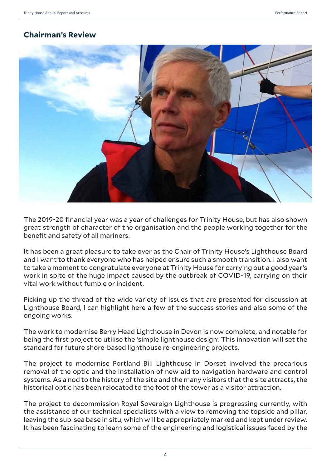# **Chairman's Review**



The 2019-20 financial year was a year of challenges for Trinity House, but has also shown great strength of character of the organisation and the people working together for the benefit and safety of all mariners.

It has been a great pleasure to take over as the Chair of Trinity House's Lighthouse Board and I want to thank everyone who has helped ensure such a smooth transition. I also want to take a moment to congratulate everyone at Trinity House for carrying out a good year's work in spite of the huge impact caused by the outbreak of COVID-19, carrying on their vital work without fumble or incident.

Picking up the thread of the wide variety of issues that are presented for discussion at Lighthouse Board, I can highlight here a few of the success stories and also some of the ongoing works.

The work to modernise Berry Head Lighthouse in Devon is now complete, and notable for being the first project to utilise the 'simple lighthouse design'. This innovation will set the standard for future shore-based lighthouse re-engineering projects.

The project to modernise Portland Bill Lighthouse in Dorset involved the precarious removal of the optic and the installation of new aid to navigation hardware and control systems. As a nod to the history of the site and the many visitors that the site attracts, the historical optic has been relocated to the foot of the tower as a visitor attraction.

The project to decommission Royal Sovereign Lighthouse is progressing currently, with the assistance of our technical specialists with a view to removing the topside and pillar, leaving the sub-sea base in situ, which will be appropriately marked and kept under review. It has been fascinating to learn some of the engineering and logistical issues faced by the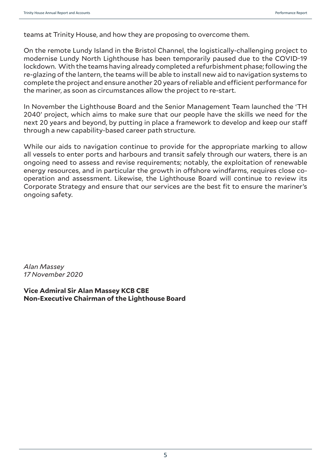teams at Trinity House, and how they are proposing to overcome them.

On the remote Lundy Island in the Bristol Channel, the logistically-challenging project to modernise Lundy North Lighthouse has been temporarily paused due to the COVID-19 lockdown. With the teams having already completed a refurbishment phase; following the re-glazing of the lantern, the teams will be able to install new aid to navigation systems to complete the project and ensure another 20 years of reliable and efficient performance for the mariner, as soon as circumstances allow the project to re-start.

In November the Lighthouse Board and the Senior Management Team launched the 'TH 2040' project, which aims to make sure that our people have the skills we need for the next 20 years and beyond, by putting in place a framework to develop and keep our staff through a new capability-based career path structure.

While our aids to navigation continue to provide for the appropriate marking to allow all vessels to enter ports and harbours and transit safely through our waters, there is an ongoing need to assess and revise requirements; notably, the exploitation of renewable energy resources, and in particular the growth in offshore windfarms, requires close cooperation and assessment. Likewise, the Lighthouse Board will continue to review its Corporate Strategy and ensure that our services are the best fit to ensure the mariner's ongoing safety.

*Alan Massey 17 November 2020*

**Vice Admiral Sir Alan Massey KCB CBE Non-Executive Chairman of the Lighthouse Board**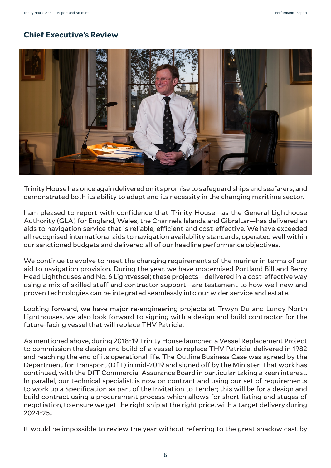# **Chief Executive's Review**



Trinity House has once again delivered on its promise to safeguard ships and seafarers, and demonstrated both its ability to adapt and its necessity in the changing maritime sector.

I am pleased to report with confidence that Trinity House—as the General Lighthouse Authority (GLA) for England, Wales, the Channels Islands and Gibraltar—has delivered an aids to navigation service that is reliable, efficient and cost-effective. We have exceeded all recognised international aids to navigation availability standards, operated well within our sanctioned budgets and delivered all of our headline performance objectives.

We continue to evolve to meet the changing requirements of the mariner in terms of our aid to navigation provision. During the year, we have modernised Portland Bill and Berry Head Lighthouses and No. 6 Lightvessel; these projects—delivered in a cost-effective way using a mix of skilled staff and contractor support—are testament to how well new and proven technologies can be integrated seamlessly into our wider service and estate.

Looking forward, we have major re-engineering projects at Trwyn Du and Lundy North Lighthouses. we also look forward to signing with a design and build contractor for the future-facing vessel that will replace THV Patricia.

As mentioned above, during 2018-19 Trinity House launched a Vessel Replacement Project to commission the design and build of a vessel to replace THV Patricia, delivered in 1982 and reaching the end of its operational life. The Outline Business Case was agreed by the Department for Transport (DfT) in mid-2019 and signed off by the Minister. That work has continued, with the DfT Commercial Assurance Board in particular taking a keen interest. In parallel, our technical specialist is now on contract and using our set of requirements to work up a Specification as part of the Invitation to Tender; this will be for a design and build contract using a procurement process which allows for short listing and stages of negotiation, to ensure we get the right ship at the right price, with a target delivery during 2024-25..

It would be impossible to review the year without referring to the great shadow cast by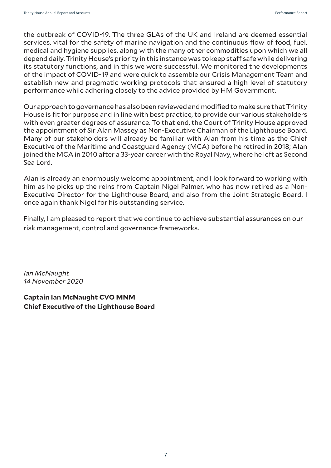the outbreak of COVID-19. The three GLAs of the UK and Ireland are deemed essential services, vital for the safety of marine navigation and the continuous flow of food, fuel, medical and hygiene supplies, along with the many other commodities upon which we all depend daily. Trinity House's priority in this instance was to keep staff safe while delivering its statutory functions, and in this we were successful. We monitored the developments of the impact of COVID-19 and were quick to assemble our Crisis Management Team and establish new and pragmatic working protocols that ensured a high level of statutory performance while adhering closely to the advice provided by HM Government.

Our approach to governance has also been reviewed and modified to make sure that Trinity House is fit for purpose and in line with best practice, to provide our various stakeholders with even greater degrees of assurance. To that end, the Court of Trinity House approved the appointment of Sir Alan Massey as Non-Executive Chairman of the Lighthouse Board. Many of our stakeholders will already be familiar with Alan from his time as the Chief Executive of the Maritime and Coastguard Agency (MCA) before he retired in 2018; Alan joined the MCA in 2010 after a 33-year career with the Royal Navy, where he left as Second Sea Lord.

Alan is already an enormously welcome appointment, and I look forward to working with him as he picks up the reins from Captain Nigel Palmer, who has now retired as a Non-Executive Director for the Lighthouse Board, and also from the Joint Strategic Board. I once again thank Nigel for his outstanding service.

Finally, I am pleased to report that we continue to achieve substantial assurances on our risk management, control and governance frameworks.

*Ian McNaught 14 November 2020*

**Captain Ian McNaught CVO MNM Chief Executive of the Lighthouse Board**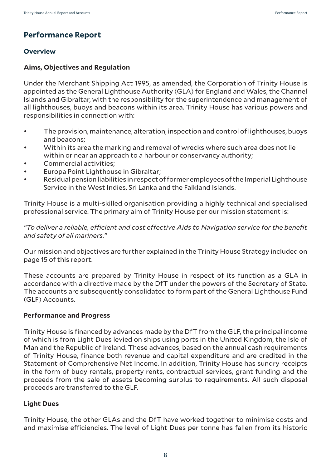# **Performance Report**

# **Overview**

# **Aims, Objectives and Regulation**

Under the Merchant Shipping Act 1995, as amended, the Corporation of Trinity House is appointed as the General Lighthouse Authority (GLA) for England and Wales, the Channel Islands and Gibraltar, with the responsibility for the superintendence and management of all lighthouses, buoys and beacons within its area. Trinity House has various powers and responsibilities in connection with:

- The provision, maintenance, alteration, inspection and control of lighthouses, buoys and beacons;
- Within its area the marking and removal of wrecks where such area does not lie within or near an approach to a harbour or conservancy authority;
- Commercial activities:
- Europa Point Lighthouse in Gibraltar;
- Residual pension liabilities in respect of former employees of the Imperial Lighthouse Service in the West Indies, Sri Lanka and the Falkland Islands.

Trinity House is a multi-skilled organisation providing a highly technical and specialised professional service. The primary aim of Trinity House per our mission statement is:

*"To deliver a reliable, efficient and cost effective Aids to Navigation service for the benefit and safety of all mariners."*

Our mission and objectives are further explained in the Trinity House Strategy included on page 15 of this report.

These accounts are prepared by Trinity House in respect of its function as a GLA in accordance with a directive made by the DfT under the powers of the Secretary of State. The accounts are subsequently consolidated to form part of the General Lighthouse Fund (GLF) Accounts.

# **Performance and Progress**

Trinity House is financed by advances made by the DfT from the GLF, the principal income of which is from Light Dues levied on ships using ports in the United Kingdom, the Isle of Man and the Republic of Ireland. These advances, based on the annual cash requirements of Trinity House, finance both revenue and capital expenditure and are credited in the Statement of Comprehensive Net Income. In addition, Trinity House has sundry receipts in the form of buoy rentals, property rents, contractual services, grant funding and the proceeds from the sale of assets becoming surplus to requirements. All such disposal proceeds are transferred to the GLF.

# **Light Dues**

Trinity House, the other GLAs and the DfT have worked together to minimise costs and and maximise efficiencies. The level of Light Dues per tonne has fallen from its historic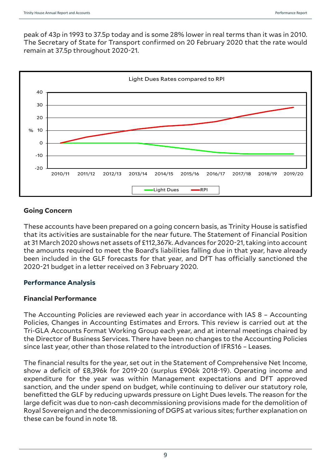peak of 43p in 1993 to 37.5p today and is some 28% lower in real terms than it was in 2010. The Secretary of State for Transport confirmed on 20 February 2020 that the rate would remain at 37.5p throughout 2020-21.



# **Going Concern**

These accounts have been prepared on a going concern basis, as Trinity House is satisfied that its activities are sustainable for the near future. The Statement of Financial Position at 31 March 2020 shows net assets of £112,367k. Advances for 2020-21, taking into account the amounts required to meet the Board's liabilities falling due in that year, have already been included in the GLF forecasts for that year, and DfT has officially sanctioned the 2020-21 budget in a letter received on 3 February 2020.

# **Performance Analysis**

# **Financial Performance**

The Accounting Policies are reviewed each year in accordance with IAS 8 – Accounting Policies, Changes in Accounting Estimates and Errors. This review is carried out at the Tri-GLA Accounts Format Working Group each year, and at internal meetings chaired by the Director of Business Services. There have been no changes to the Accounting Policies since last year, other than those related to the introduction of IFRS16 – Leases.

The financial results for the year, set out in the Statement of Comprehensive Net Income, show a deficit of £8,396k for 2019-20 (surplus £906k 2018-19). Operating income and expenditure for the year was within Management expectations and DfT approved sanction, and the under spend on budget, while continuing to deliver our statutory role, benefitted the GLF by reducing upwards pressure on Light Dues levels. The reason for the large deficit was due to non-cash decommissioning provisions made for the demolition of Royal Sovereign and the decommissioning of DGPS at various sites; further explanation on these can be found in note 18.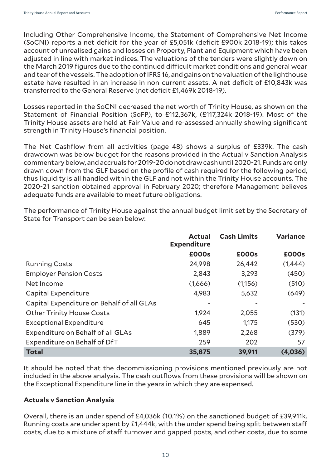Including Other Comprehensive Income, the Statement of Comprehensive Net Income (SoCNI) reports a net deficit for the year of £5,051k (deficit £900k 2018-19); this takes account of unrealised gains and losses on Property, Plant and Equipment which have been adjusted in line with market indices. The valuations of the tenders were slightly down on the March 2019 figures due to the continued difficult market conditions and general wear and tear of the vessels. The adoption of IFRS 16, and gains on the valuation of the lighthouse estate have resulted in an increase in non-current assets. A net deficit of £10,843k was transferred to the General Reserve (net deficit £1,469k 2018-19).

Losses reported in the SoCNI decreased the net worth of Trinity House, as shown on the Statement of Financial Position (SoFP), to £112,367k, (£117,324k 2018-19). Most of the Trinity House assets are held at Fair Value and re-assessed annually showing significant strength in Trinity House's financial position.

The Net Cashflow from all activities (page 48) shows a surplus of £339k. The cash drawdown was below budget for the reasons provided in the Actual v Sanction Analysis commentary below, and accruals for 2019-20 do not draw cash until 2020-21. Funds are only drawn down from the GLF based on the profile of cash required for the following period, thus liquidity is all handled within the GLF and not within the Trinity House accounts. The 2020-21 sanction obtained approval in February 2020; therefore Management believes adequate funds are available to meet future obligations.

The performance of Trinity House against the annual budget limit set by the Secretary of State for Transport can be seen below:

|                                           | <b>Actual</b><br><b>Expenditure</b> | <b>Cash Limits</b> | <b>Variance</b> |
|-------------------------------------------|-------------------------------------|--------------------|-----------------|
|                                           | £000s                               | £000s              | £000s           |
| <b>Running Costs</b>                      | 24,998                              | 26,442             | (1,444)         |
| <b>Employer Pension Costs</b>             | 2,843                               | 3,293              | (450)           |
| Net Income                                | (1,666)                             | (1,156)            | (510)           |
| Capital Expenditure                       | 4,983                               | 5,632              | (649)           |
| Capital Expenditure on Behalf of all GLAs |                                     |                    |                 |
| <b>Other Trinity House Costs</b>          | 1,924                               | 2,055              | (131)           |
| <b>Exceptional Expenditure</b>            | 645                                 | 1,175              | (530)           |
| Expenditure on Behalf of all GLAs         | 1,889                               | 2,268              | (379)           |
| Expenditure on Behalf of DfT              | 259                                 | 202                | 57              |
| <b>Total</b>                              | 35,875                              | 39,911             | (4,036)         |

It should be noted that the decommissioning provisions mentioned previously are not included in the above analysis. The cash outflows from these provisions will be shown on the Exceptional Expenditure line in the years in which they are expensed.

# **Actuals v Sanction Analysis**

Overall, there is an under spend of £4,036k (10.1%) on the sanctioned budget of £39,911k. Running costs are under spent by £1,444k, with the under spend being split between staff costs, due to a mixture of staff turnover and gapped posts, and other costs, due to some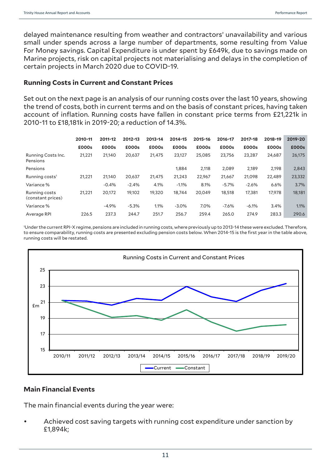delayed maintenance resulting from weather and contractors' unavailability and various small under spends across a large number of departments, some resulting from Value For Money savings. Capital Expenditure is under spent by £649k, due to savings made on Marine projects, risk on capital projects not materialising and delays in the completion of certain projects in March 2020 due to COVID-19.

#### **Running Costs in Current and Constant Prices**

Set out on the next page is an analysis of our running costs over the last 10 years, showing the trend of costs, both in current terms and on the basis of constant prices, having taken account of inflation. Running costs have fallen in constant price terms from £21,221k in 2010-11 to £18,181k in 2019-20; a reduction of 14.3%.

|                                    | 2010-11 | 2011-12 | 2012-13 | 2013-14 | 2014-15 | 2015-16 | 2016-17 | 2017-18 | 2018-19 | 2019-20 |
|------------------------------------|---------|---------|---------|---------|---------|---------|---------|---------|---------|---------|
|                                    | £000s   | £000s   | £000s   | £000s   | £000s   | £000s   | £000s   | £000s   | £000s   | £000s   |
| Running Costs Inc.<br>Pensions     | 21,221  | 21.140  | 20,637  | 21,475  | 23,127  | 25,085  | 23,756  | 23,287  | 24.687  | 26,175  |
| Pensions                           |         |         |         |         | 1.884   | 2,118   | 2,089   | 2,189   | 2,198   | 2,843   |
| Running costs <sup>1</sup>         | 21.221  | 21.140  | 20,637  | 21,475  | 21,243  | 22,967  | 21,667  | 21.098  | 22.489  | 23,332  |
| Variance %                         |         | $-0.4%$ | $-2.4%$ | 4.1%    | $-1.1%$ | 8.1%    | $-5.7%$ | $-2.6%$ | 6.6%    | 3.7%    |
| Running costs<br>(constant prices) | 21,221  | 20,172  | 19,102  | 19,320  | 18,744  | 20.049  | 18,518  | 17,381  | 17.978  | 18,181  |
| Variance %                         |         | $-4.9%$ | $-5.3%$ | 1.1%    | $-3.0%$ | 7.0%    | $-7.6%$ | $-6.1%$ | 3.4%    | 1.1%    |
| Average RPI                        | 226.5   | 237.3   | 244.7   | 251.7   | 256.7   | 259.4   | 265.0   | 274.9   | 283.3   | 290.6   |

1 Under the current RPI-X regime, pensions are included in running costs, where previously up to 2013-14 these were excluded. Therefore, to ensure comparability, running costs are presented excluding pension costs below. When 2014-15 is the first year in the table above, running costs will be restated.



# **Main Financial Events**

The main financial events during the year were:

• Achieved cost saving targets with running cost expenditure under sanction by £1,894k;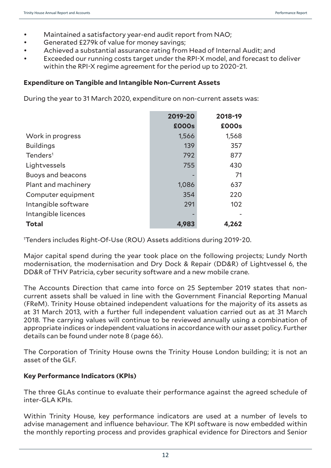- Maintained a satisfactory year-end audit report from NAO;
- Generated £279k of value for money savings;
- Achieved a substantial assurance rating from Head of Internal Audit; and
- Exceeded our running costs target under the RPI-X model, and forecast to deliver within the RPI-X regime agreement for the period up to 2020-21.

#### **Expenditure on Tangible and Intangible Non-Current Assets**

During the year to 31 March 2020, expenditure on non-current assets was:

|                          | 2019-20      | 2018-19 |
|--------------------------|--------------|---------|
|                          | <b>£000s</b> | £000s   |
| Work in progress         | 1,566        | 1,568   |
| <b>Buildings</b>         | 139          | 357     |
| Tenders <sup>1</sup>     | 792          | 877     |
| Lightvessels             | 755          | 430     |
| <b>Buoys and beacons</b> |              | 71      |
| Plant and machinery      | 1,086        | 637     |
| Computer equipment       | 354          | 220     |
| Intangible software      | 291          | 102     |
| Intangible licences      |              |         |
| <b>Total</b>             | 4,983        | 4,262   |

1 Tenders includes Right-Of-Use (ROU) Assets additions during 2019-20.

Major capital spend during the year took place on the following projects; Lundy North modernisation, the modernisation and Dry Dock & Repair (DD&R) of Lightvessel 6, the DD&R of THV Patricia, cyber security software and a new mobile crane.

The Accounts Direction that came into force on 25 September 2019 states that noncurrent assets shall be valued in line with the Government Financial Reporting Manual (FReM). Trinity House obtained independent valuations for the majority of its assets as at 31 March 2013, with a further full independent valuation carried out as at 31 March 2018. The carrying values will continue to be reviewed annually using a combination of appropriate indices or independent valuations in accordance with our asset policy. Further details can be found under note 8 (page 66).

The Corporation of Trinity House owns the Trinity House London building; it is not an asset of the GLF.

# **Key Performance Indicators (KPIs)**

The three GLAs continue to evaluate their performance against the agreed schedule of inter-GLA KPIs.

Within Trinity House, key performance indicators are used at a number of levels to advise management and influence behaviour. The KPI software is now embedded within the monthly reporting process and provides graphical evidence for Directors and Senior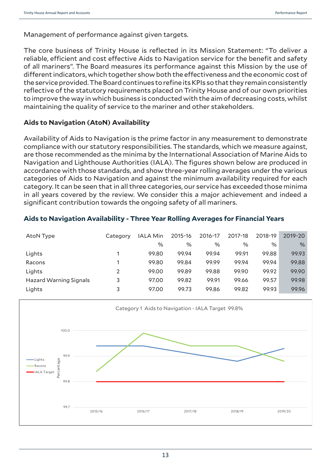Management of performance against given targets.

The core business of Trinity House is reflected in its Mission Statement: "To deliver a reliable, efficient and cost effective Aids to Navigation service for the benefit and safety of all mariners". The Board measures its performance against this Mission by the use of different indicators, which together show both the effectiveness and the economic cost of the service provided. The Board continues to refine its KPIs so that they remain consistently reflective of the statutory requirements placed on Trinity House and of our own priorities to improve the way in which business is conducted with the aim of decreasing costs, whilst maintaining the quality of service to the mariner and other stakeholders.

#### **Aids to Navigation (AtoN) Availability**

Availability of Aids to Navigation is the prime factor in any measurement to demonstrate compliance with our statutory responsibilities. The standards, which we measure against, are those recommended as the minima by the International Association of Marine Aids to Navigation and Lighthouse Authorities (IALA). The figures shown below are produced in accordance with those standards, and show three-year rolling averages under the various categories of Aids to Navigation and against the minimum availability required for each category. It can be seen that in all three categories, our service has exceeded those minima in all years covered by the review. We consider this a major achievement and indeed a significant contribution towards the ongoing safety of all mariners.

| AtoN Type                     | Category | <b>IALA Min</b> | 2015-16 | 2016-17 | 2017-18 | 2018-19 | 2019-20 |
|-------------------------------|----------|-----------------|---------|---------|---------|---------|---------|
|                               |          | %               | $\%$    | $\%$    | %       | $\%$    | $\%$    |
| Lights                        |          | 99.80           | 99.94   | 99.94   | 99.91   | 99.88   | 99.93   |
| Racons                        |          | 99.80           | 99.84   | 99.99   | 99.94   | 99.94   | 99.88   |
| Lights                        | 2        | 99.00           | 99.89   | 99.88   | 99.90   | 99.92   | 99.90   |
| <b>Hazard Warning Signals</b> | 3        | 97.00           | 99.82   | 99.91   | 99.66   | 99.57   | 99.98   |
| Lights                        | 3        | 97.00           | 99.73   | 99.86   | 99.82   | 99.93   | 99.96   |

**Aids to Navigation Availability - Three Year Rolling Averages for Financial Years**

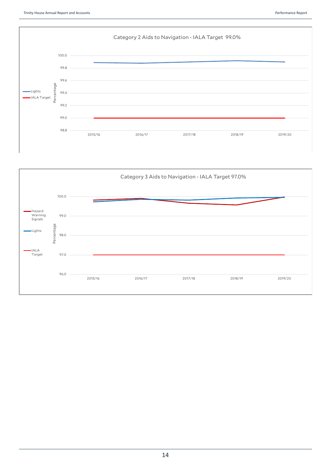

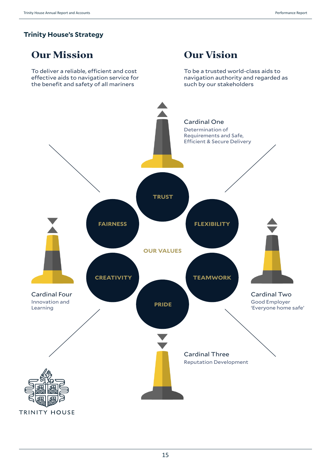# **Trinity House's Strategy**

# **Our Mission**

To deliver a reliable, efficient and cost effective aids to navigation service for the benefit and safety of all mariners

# **Our Vision**

To be a trusted world-class aids to navigation authority and regarded as such by our stakeholders

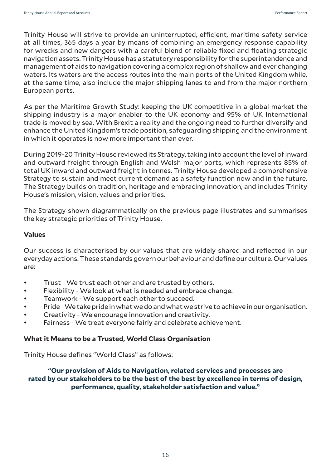Trinity House will strive to provide an uninterrupted, efficient, maritime safety service at all times, 365 days a year by means of combining an emergency response capability for wrecks and new dangers with a careful blend of reliable fixed and floating strategic navigation assets. Trinity House has a statutory responsibility for the superintendence and management of aids to navigation covering a complex region of shallow and ever changing waters. Its waters are the access routes into the main ports of the United Kingdom while, at the same time, also include the major shipping lanes to and from the major northern European ports.

As per the Maritime Growth Study: keeping the UK competitive in a global market the shipping industry is a major enabler to the UK economy and 95% of UK International trade is moved by sea. With Brexit a reality and the ongoing need to further diversify and enhance the United Kingdom's trade position, safeguarding shipping and the environment in which it operates is now more important than ever.

During 2019-20 Trinity House reviewed its Strategy, taking into account the level of inward and outward freight through English and Welsh major ports, which represents 85% of total UK inward and outward freight in tonnes. Trinity House developed a comprehensive Strategy to sustain and meet current demand as a safety function now and in the future. The Strategy builds on tradition, heritage and embracing innovation, and includes Trinity House's mission, vision, values and priorities.

The Strategy shown diagrammatically on the previous page illustrates and summarises the key strategic priorities of Trinity House.

# **Values**

Our success is characterised by our values that are widely shared and reflected in our everyday actions. These standards govern our behaviour and define our culture. Our values are:

- Trust We trust each other and are trusted by others.
- Flexibility We look at what is needed and embrace change.
- Teamwork We support each other to succeed.
- Pride We take pride in what we do and what we strive to achieve in our organisation.
- Creativity We encourage innovation and creativity.
- Fairness We treat everyone fairly and celebrate achievement.

# **What it Means to be a Trusted, World Class Organisation**

Trinity House defines "World Class" as follows:

# **"Our provision of Aids to Navigation, related services and processes are rated by our stakeholders to be the best of the best by excellence in terms of design, performance, quality, stakeholder satisfaction and value."**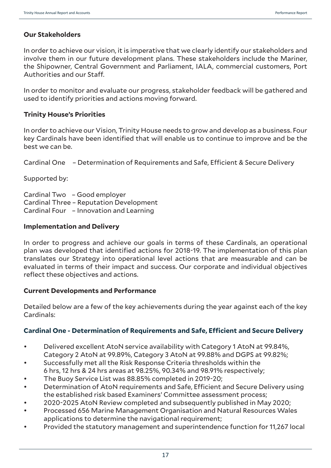# **Our Stakeholders**

In order to achieve our vision, it is imperative that we clearly identify our stakeholders and involve them in our future development plans. These stakeholders include the Mariner, the Shipowner, Central Government and Parliament, IALA, commercial customers, Port Authorities and our Staff.

In order to monitor and evaluate our progress, stakeholder feedback will be gathered and used to identify priorities and actions moving forward.

#### **Trinity House's Priorities**

In order to achieve our Vision, Trinity House needs to grow and develop as a business. Four key Cardinals have been identified that will enable us to continue to improve and be the best we can be.

Cardinal One – Determination of Requirements and Safe, Efficient & Secure Delivery

Supported by:

Cardinal Two – Good employer Cardinal Three – Reputation Development Cardinal Four – Innovation and Learning

#### **Implementation and Delivery**

In order to progress and achieve our goals in terms of these Cardinals, an operational plan was developed that identified actions for 2018-19. The implementation of this plan translates our Strategy into operational level actions that are measurable and can be evaluated in terms of their impact and success. Our corporate and individual objectives reflect these objectives and actions.

#### **Current Developments and Performance**

Detailed below are a few of the key achievements during the year against each of the key Cardinals:

# **Cardinal One - Determination of Requirements and Safe, Efficient and Secure Delivery**

- Delivered excellent AtoN service availability with Category 1 AtoN at 99.84%, Category 2 AtoN at 99.89%, Category 3 AtoN at 99.88% and DGPS at 99.82%;
- Successfully met all the Risk Response Criteria thresholds within the 6 hrs, 12 hrs & 24 hrs areas at 98.25%, 90.34% and 98.91% respectively;
- The Buoy Service List was 88.85% completed in 2019-20;
- Determination of AtoN requirements and Safe, Efficient and Secure Delivery using the established risk based Examiners' Committee assessment process;
- 2020-2025 AtoN Review completed and subsequently published in May 2020;
- Processed 656 Marine Management Organisation and Natural Resources Wales applications to determine the navigational requirement:
- Provided the statutory management and superintendence function for 11,267 local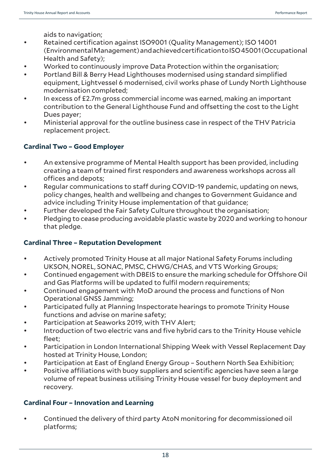aids to navigation;

- Retained certification against ISO9001 (Quality Management); ISO 14001 (Environmental Management) and achieved certification to ISO 45001 (Occupational Health and Safety);
- Worked to continuously improve Data Protection within the organisation;
- Portland Bill & Berry Head Lighthouses modernised using standard simplified equipment, Lightvessel 6 modernised, civil works phase of Lundy North Lighthouse modernisation completed;
- In excess of £2.7m gross commercial income was earned, making an important contribution to the General Lighthouse Fund and offsetting the cost to the Light Dues payer;
- Ministerial approval for the outline business case in respect of the THV Patricia replacement project.

# **Cardinal Two – Good Employer**

- An extensive programme of Mental Health support has been provided, including creating a team of trained first responders and awareness workshops across all offices and depots;
- Regular communications to staff during COVID-19 pandemic, updating on news, policy changes, health and wellbeing and changes to Government Guidance and advice including Trinity House implementation of that guidance;
- Further developed the Fair Safety Culture throughout the organisation;
- Pledging to cease producing avoidable plastic waste by 2020 and working to honour that pledge.

# **Cardinal Three – Reputation Development**

- Actively promoted Trinity House at all major National Safety Forums including UKSON, NOREL, SONAC, PMSC, CHWG/CHAS, and VTS Working Groups;
- Continued engagement with DBEIS to ensure the marking schedule for Offshore Oil and Gas Platforms will be updated to fulfil modern requirements;
- Continued engagement with MoD around the process and functions of Non Operational GNSS Jamming;
- Participated fully at Planning Inspectorate hearings to promote Trinity House functions and advise on marine safety;
- Participation at Seaworks 2019, with THV Alert;
- Introduction of two electric vans and five hybrid cars to the Trinity House vehicle fleet;
- Participation in London International Shipping Week with Vessel Replacement Day hosted at Trinity House, London;
- Participation at East of England Energy Group Southern North Sea Exhibition;
- Positive affiliations with buoy suppliers and scientific agencies have seen a large volume of repeat business utilising Trinity House vessel for buoy deployment and recovery.

# **Cardinal Four – Innovation and Learning**

• Continued the delivery of third party AtoN monitoring for decommissioned oil platforms;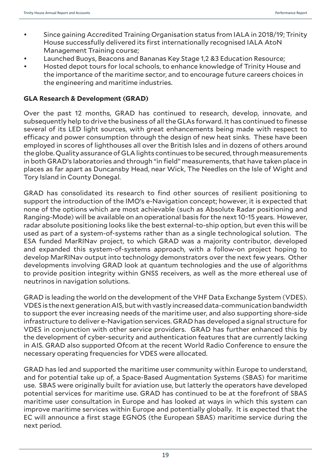- Since gaining Accredited Training Organisation status from IALA in 2018/19; Trinity House successfully delivered its first internationally recognised IALA AtoN Management Training course;
- Launched Buoys, Beacons and Bananas Key Stage 1,2 &3 Education Resource;
- Hosted depot tours for local schools, to enhance knowledge of Trinity House and the importance of the maritime sector, and to encourage future careers choices in the engineering and maritime industries.

# **GLA Research & Development (GRAD)**

Over the past 12 months, GRAD has continued to research, develop, innovate, and subsequently help to drive the business of all the GLAs forward. It has continued to finesse several of its LED light sources, with great enhancements being made with respect to efficacy and power consumption through the design of new heat sinks. These have been employed in scores of lighthouses all over the British Isles and in dozens of others around the globe. Quality assurance of GLA lights continues to be secured, through measurements in both GRAD's laboratories and through "in field" measurements, that have taken place in places as far apart as Duncansby Head, near Wick, The Needles on the Isle of Wight and Tory Island in County Donegal.

GRAD has consolidated its research to find other sources of resilient positioning to support the introduction of the IMO's e-Navigation concept; however, it is expected that none of the options which are most achievable (such as Absolute Radar positioning and Ranging-Mode) will be available on an operational basis for the next 10-15 years. However, radar absolute positioning looks like the best external-to-ship option, but even this will be used as part of a system-of-systems rather than as a single technological solution. The ESA funded MarRINav project, to which GRAD was a majority contributor, developed and expanded this system-of-systems approach, with a follow-on project hoping to develop MarRINav output into technology demonstrators over the next few years. Other developments involving GRAD look at quantum technologies and the use of algorithms to provide position integrity within GNSS receivers, as well as the more ethereal use of neutrinos in navigation solutions.

GRAD is leading the world on the development of the VHF Data Exchange System (VDES). VDES is the next generation AIS, but with vastly increased data-communication bandwidth to support the ever increasing needs of the maritime user, and also supporting shore-side infrastructure to deliver e-Navigation services. GRAD has developed a signal structure for VDES in conjunction with other service providers. GRAD has further enhanced this by the development of cyber-security and authentication features that are currently lacking in AIS. GRAD also supported Ofcom at the recent World Radio Conference to ensure the necessary operating frequencies for VDES were allocated.

GRAD has led and supported the maritime user community within Europe to understand, and for potential take up of, a Space-Based Augmentation Systems (SBAS) for maritime use. SBAS were originally built for aviation use, but latterly the operators have developed potential services for maritime use. GRAD has continued to be at the forefront of SBAS maritime user consultation in Europe and has looked at ways in which this system can improve maritime services within Europe and potentially globally. It is expected that the EC will announce a first stage EGNOS (the European SBAS) maritime service during the next period.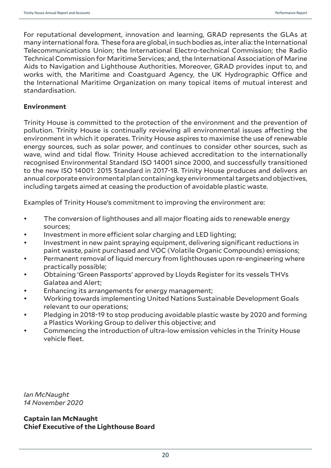For reputational development, innovation and learning, GRAD represents the GLAs at many international fora. These fora are global, in such bodies as, inter alia: the International Telecommunications Union; the International Electro-technical Commission; the Radio Technical Commission for Maritime Services; and, the International Association of Marine Aids to Navigation and Lighthouse Authorities. Moreover, GRAD provides input to, and works with, the Maritime and Coastguard Agency, the UK Hydrographic Office and the International Maritime Organization on many topical items of mutual interest and standardisation.

#### **Environment**

Trinity House is committed to the protection of the environment and the prevention of pollution. Trinity House is continually reviewing all environmental issues affecting the environment in which it operates. Trinity House aspires to maximise the use of renewable energy sources, such as solar power, and continues to consider other sources, such as wave, wind and tidal flow. Trinity House achieved accreditation to the internationally recognised Environmental Standard ISO 14001 since 2000, and successfully transitioned to the new ISO 14001: 2015 Standard in 2017-18. Trinity House produces and delivers an annual corporate environmental plan containing key environmental targets and objectives, including targets aimed at ceasing the production of avoidable plastic waste.

Examples of Trinity House's commitment to improving the environment are:

- The conversion of lighthouses and all major floating aids to renewable energy sources;
- Investment in more efficient solar charging and LED lighting;
- Investment in new paint spraying equipment, delivering significant reductions in paint waste, paint purchased and VOC (Volatile Organic Compounds) emissions;
- Permanent removal of liquid mercury from lighthouses upon re-engineering where practically possible;
- Obtaining 'Green Passports' approved by Lloyds Register for its vessels THVs Galatea and Alert;
- Enhancing its arrangements for energy management;
- Working towards implementing United Nations Sustainable Development Goals relevant to our operations;
- Pledging in 2018-19 to stop producing avoidable plastic waste by 2020 and forming a Plastics Working Group to deliver this objective; and
- Commencing the introduction of ultra-low emission vehicles in the Trinity House vehicle fleet.

*Ian McNaught 14 November 2020*

**Captain Ian McNaught Chief Executive of the Lighthouse Board**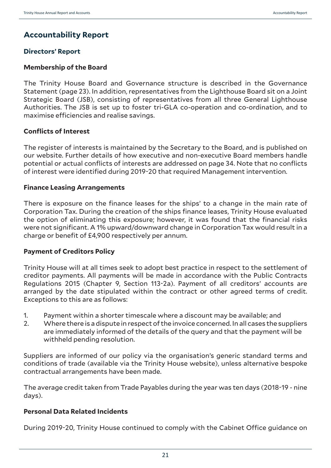# **Accountability Report**

# **Directors' Report**

#### **Membership of the Board**

The Trinity House Board and Governance structure is described in the Governance Statement (page 23). In addition, representatives from the Lighthouse Board sit on a Joint Strategic Board (JSB), consisting of representatives from all three General Lighthouse Authorities. The JSB is set up to foster tri-GLA co-operation and co-ordination, and to maximise efficiencies and realise savings.

#### **Conflicts of Interest**

The register of interests is maintained by the Secretary to the Board, and is published on our website. Further details of how executive and non-executive Board members handle potential or actual conflicts of interests are addressed on page 34. Note that no conflicts of interest were identified during 2019-20 that required Management intervention.

#### **Finance Leasing Arrangements**

There is exposure on the finance leases for the ships' to a change in the main rate of Corporation Tax. During the creation of the ships finance leases, Trinity House evaluated the option of eliminating this exposure; however, it was found that the financial risks were not significant. A 1% upward/downward change in Corporation Tax would result in a charge or benefit of £4,900 respectively per annum.

#### **Payment of Creditors Policy**

Trinity House will at all times seek to adopt best practice in respect to the settlement of creditor payments. All payments will be made in accordance with the Public Contracts Regulations 2015 (Chapter 9, Section 113-2a). Payment of all creditors' accounts are arranged by the date stipulated within the contract or other agreed terms of credit. Exceptions to this are as follows:

- 1. Payment within a shorter timescale where a discount may be available; and
- 2. Where there is a dispute in respect of the invoice concerned. In all cases the suppliers are immediately informed of the details of the query and that the payment will be withheld pending resolution.

Suppliers are informed of our policy via the organisation's generic standard terms and conditions of trade (available via the Trinity House website), unless alternative bespoke contractual arrangements have been made.

The average credit taken from Trade Payables during the year was ten days (2018-19 - nine days).

# **Personal Data Related Incidents**

During 2019-20, Trinity House continued to comply with the Cabinet Office guidance on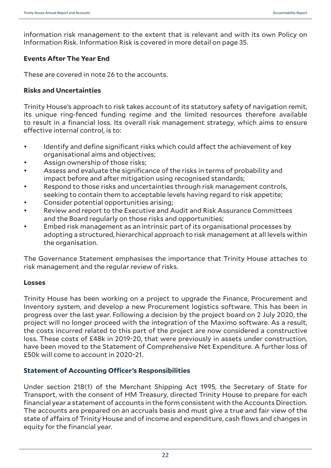information risk management to the extent that is relevant and with its own Policy on Information Risk. Information Risk is covered in more detail on page 35.

# **Events After The Year End**

These are covered in note 26 to the accounts.

# **Risks and Uncertainties**

Trinity House's approach to risk takes account of its statutory safety of navigation remit, its unique ring-fenced funding regime and the limited resources therefore available to result in a financial loss. Its overall risk management strategy, which aims to ensure effective internal control, is to:

- Identify and define significant risks which could affect the achievement of key organisational aims and objectives;
- Assign ownership of those risks;
- Assess and evaluate the significance of the risks in terms of probability and impact before and after mitigation using recognised standards;
- Respond to those risks and uncertainties through risk management controls, seeking to contain them to acceptable levels having regard to risk appetite;
- Consider potential opportunities arising;
- Review and report to the Executive and Audit and Risk Assurance Committees and the Board regularly on those risks and opportunities;
- Embed risk management as an intrinsic part of its organisational processes by adopting a structured, hierarchical approach to risk management at all levels within the organisation.

The Governance Statement emphasises the importance that Trinity House attaches to risk management and the regular review of risks.

# **Losses**

Trinity House has been working on a project to upgrade the Finance, Procurement and Inventory system, and develop a new Procurement logistics software. This has been in progress over the last year. Following a decision by the project board on 2 July 2020, the project will no longer proceed with the integration of the Maximo software. As a result, the costs incurred related to this part of the project are now considered a constructive loss. These costs of £48k in 2019-20, that were previously in assets under construction, have been moved to the Statement of Comprehensive Net Expenditure. A further loss of £50k will come to account in 2020-21.

# **Statement of Accounting Officer's Responsibilities**

Under section 218(1) of the Merchant Shipping Act 1995, the Secretary of State for Transport, with the consent of HM Treasury, directed Trinity House to prepare for each financial year a statement of accounts in the form consistent with the Accounts Direction. The accounts are prepared on an accruals basis and must give a true and fair view of the state of affairs of Trinity House and of income and expenditure, cash flows and changes in equity for the financial year.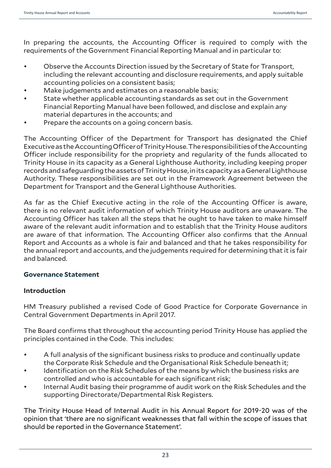In preparing the accounts, the Accounting Officer is required to comply with the requirements of the Government Financial Reporting Manual and in particular to:

- Observe the Accounts Direction issued by the Secretary of State for Transport, including the relevant accounting and disclosure requirements, and apply suitable accounting policies on a consistent basis;
- Make iudgements and estimates on a reasonable basis;
- State whether applicable accounting standards as set out in the Government Financial Reporting Manual have been followed, and disclose and explain any material departures in the accounts; and
- Prepare the accounts on a going concern basis.

The Accounting Officer of the Department for Transport has designated the Chief Executive as the Accounting Officer of Trinity House. The responsibilities of the Accounting Officer include responsibility for the propriety and regularity of the funds allocated to Trinity House in its capacity as a General Lighthouse Authority, including keeping proper records and safeguarding the assets of Trinity House, in its capacity as a General Lighthouse Authority. These responsibilities are set out in the Framework Agreement between the Department for Transport and the General Lighthouse Authorities.

As far as the Chief Executive acting in the role of the Accounting Officer is aware, there is no relevant audit information of which Trinity House auditors are unaware. The Accounting Officer has taken all the steps that he ought to have taken to make himself aware of the relevant audit information and to establish that the Trinity House auditors are aware of that information. The Accounting Officer also confirms that the Annual Report and Accounts as a whole is fair and balanced and that he takes responsibility for the annual report and accounts, and the judgements required for determining that it is fair and balanced.

# **Governance Statement**

# **Introduction**

HM Treasury published a revised Code of Good Practice for Corporate Governance in Central Government Departments in April 2017.

The Board confirms that throughout the accounting period Trinity House has applied the principles contained in the Code. This includes:

- A full analysis of the significant business risks to produce and continually update the Corporate Risk Schedule and the Organisational Risk Schedule beneath it;
- Identification on the Risk Schedules of the means by which the business risks are controlled and who is accountable for each significant risk;
- Internal Audit basing their programme of audit work on the Risk Schedules and the supporting Directorate/Departmental Risk Registers.

The Trinity House Head of Internal Audit in his Annual Report for 2019-20 was of the opinion that 'there are no significant weaknesses that fall within the scope of issues that should be reported in the Governance Statement'.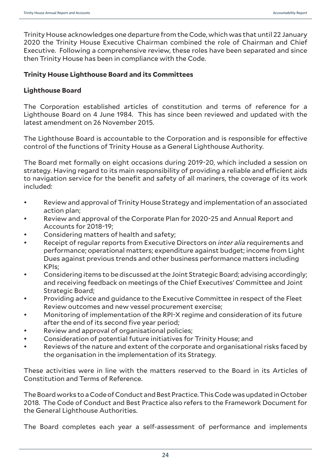Trinity House acknowledges one departure from the Code, which was that until 22 January 2020 the Trinity House Executive Chairman combined the role of Chairman and Chief Executive. Following a comprehensive review, these roles have been separated and since then Trinity House has been in compliance with the Code.

# **Trinity House Lighthouse Board and its Committees**

# **Lighthouse Board**

The Corporation established articles of constitution and terms of reference for a Lighthouse Board on 4 June 1984. This has since been reviewed and updated with the latest amendment on 26 November 2015.

The Lighthouse Board is accountable to the Corporation and is responsible for effective control of the functions of Trinity House as a General Lighthouse Authority.

The Board met formally on eight occasions during 2019-20, which included a session on strategy. Having regard to its main responsibility of providing a reliable and efficient aids to navigation service for the benefit and safety of all mariners, the coverage of its work included:

- Review and approval of Trinity House Strategy and implementation of an associated action plan;
- Review and approval of the Corporate Plan for 2020-25 and Annual Report and Accounts for 2018-19;
- Considering matters of health and safety;
- Receipt of regular reports from Executive Directors on *inter alia* requirements and performance; operational matters; expenditure against budget; income from Light Dues against previous trends and other business performance matters including KPIs;
- Considering items to be discussed at the Joint Strategic Board; advising accordingly; and receiving feedback on meetings of the Chief Executives' Committee and Joint Strategic Board;
- Providing advice and guidance to the Executive Committee in respect of the Fleet Review outcomes and new vessel procurement exercise;
- Monitoring of implementation of the RPI-X regime and consideration of its future after the end of its second five year period;
- Review and approval of organisational policies;
- Consideration of potential future initiatives for Trinity House; and
- Reviews of the nature and extent of the corporate and organisational risks faced by the organisation in the implementation of its Strategy.

These activities were in line with the matters reserved to the Board in its Articles of Constitution and Terms of Reference.

The Board works to a Code of Conduct and Best Practice. This Code was updated in October 2018. The Code of Conduct and Best Practice also refers to the Framework Document for the General Lighthouse Authorities.

The Board completes each year a self-assessment of performance and implements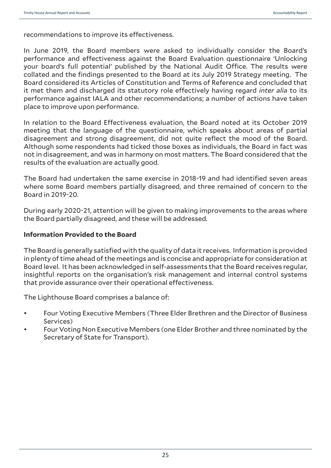recommendations to improve its effectiveness.

In June 2019, the Board members were asked to individually consider the Board's performance and effectiveness against the Board Evaluation questionnaire 'Unlocking your board's full potential' published by the National Audit Office. The results were collated and the findings presented to the Board at its July 2019 Strategy meeting. The Board considered its Articles of Constitution and Terms of Reference and concluded that it met them and discharged its statutory role effectively having regard *inter alia* to its performance against IALA and other recommendations; a number of actions have taken place to improve upon performance.

In relation to the Board Effectiveness evaluation, the Board noted at its October 2019 meeting that the language of the questionnaire, which speaks about areas of partial disagreement and strong disagreement, did not quite reflect the mood of the Board. Although some respondents had ticked those boxes as individuals, the Board in fact was not in disagreement, and was in harmony on most matters. The Board considered that the results of the evaluation are actually good.

The Board had undertaken the same exercise in 2018-19 and had identified seven areas where some Board members partially disagreed, and three remained of concern to the Board in 2019-20.

During early 2020-21, attention will be given to making improvements to the areas where the Board partially disagreed, and these will be addressed.

#### **Information Provided to the Board**

The Board is generally satisfied with the quality of data it receives. Information is provided in plenty of time ahead of the meetings and is concise and appropriate for consideration at Board level. It has been acknowledged in self-assessments that the Board receives regular, insightful reports on the organisation's risk management and internal control systems that provide assurance over their operational effectiveness.

The Lighthouse Board comprises a balance of:

- Four Voting Executive Members (Three Elder Brethren and the Director of Business Services)
- Four Voting Non Executive Members (one Elder Brother and three nominated by the Secretary of State for Transport).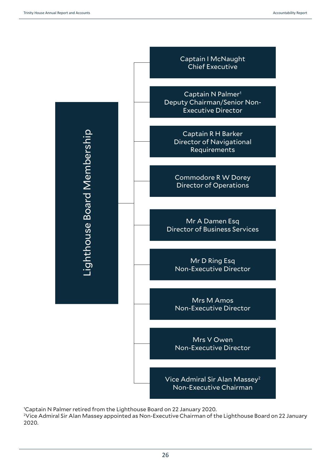

1 Captain N Palmer retired from the Lighthouse Board on 22 January 2020.

2 Vice Admiral Sir Alan Massey appointed as Non-Executive Chairman of the Lighthouse Board on 22 January 2020.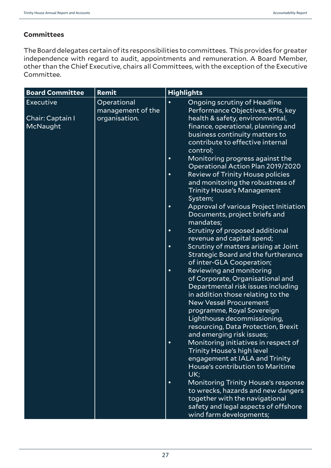# **Committees**

The Board delegates certain of its responsibilities to committees. This provides for greater independence with regard to audit, appointments and remuneration. A Board Member, other than the Chief Executive, chairs all Committees, with the exception of the Executive Committee.

| <b>Board Committee</b>                    | Remit                                             | <b>Highlights</b>                                                                                                                                                                                                                         |
|-------------------------------------------|---------------------------------------------------|-------------------------------------------------------------------------------------------------------------------------------------------------------------------------------------------------------------------------------------------|
| Executive<br>Chair: Captain I<br>McNaught | Operational<br>management of the<br>organisation. | Ongoing scrutiny of Headline<br>$\bullet$<br>Performance Objectives, KPIs, key<br>health & safety, environmental,<br>finance, operational, planning and<br>business continuity matters to<br>contribute to effective internal<br>control; |
|                                           |                                                   | Monitoring progress against the<br>$\bullet$<br>Operational Action Plan 2019/2020<br><b>Review of Trinity House policies</b><br>$\bullet$<br>and monitoring the robustness of<br><b>Trinity House's Management</b><br>System;             |
|                                           |                                                   | Approval of various Project Initiation<br>$\bullet$<br>Documents, project briefs and<br>mandates;                                                                                                                                         |
|                                           |                                                   | Scrutiny of proposed additional<br>$\bullet$<br>revenue and capital spend;                                                                                                                                                                |
|                                           |                                                   | Scrutiny of matters arising at Joint<br>$\bullet$<br>Strategic Board and the furtherance<br>of inter-GLA Cooperation;                                                                                                                     |
|                                           |                                                   | Reviewing and monitoring<br>$\bullet$<br>of Corporate, Organisational and<br>Departmental risk issues including<br>in addition those relating to the<br><b>New Vessel Procurement</b>                                                     |
|                                           |                                                   | programme, Royal Sovereign<br>Lighthouse decommissioning,<br>resourcing, Data Protection, Brexit<br>and emerging risk issues;                                                                                                             |
|                                           |                                                   | Monitoring initiatives in respect of<br>$\bullet$<br>Trinity House's high level<br>engagement at IALA and Trinity<br>House's contribution to Maritime<br>UK;                                                                              |
|                                           |                                                   | <b>Monitoring Trinity House's response</b><br>$\bullet$<br>to wrecks, hazards and new dangers<br>together with the navigational<br>safety and legal aspects of offshore<br>wind farm developments;                                        |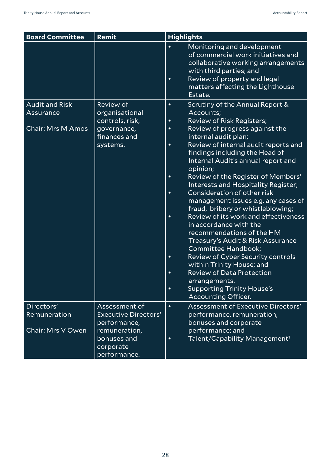| <b>Board Committee</b>                                         | Remit                                                                                                                     | <b>Highlights</b>                                                                                                                                                                                                                                                                                                                                                                                                                                                                                                                                                                                                                                                                                                                                                                                                                                                                                                              |
|----------------------------------------------------------------|---------------------------------------------------------------------------------------------------------------------------|--------------------------------------------------------------------------------------------------------------------------------------------------------------------------------------------------------------------------------------------------------------------------------------------------------------------------------------------------------------------------------------------------------------------------------------------------------------------------------------------------------------------------------------------------------------------------------------------------------------------------------------------------------------------------------------------------------------------------------------------------------------------------------------------------------------------------------------------------------------------------------------------------------------------------------|
|                                                                |                                                                                                                           | Monitoring and development<br>$\bullet$<br>of commercial work initiatives and<br>collaborative working arrangements<br>with third parties; and<br>Review of property and legal<br>$\bullet$<br>matters affecting the Lighthouse<br>Estate.                                                                                                                                                                                                                                                                                                                                                                                                                                                                                                                                                                                                                                                                                     |
| <b>Audit and Risk</b><br>Assurance<br><b>Chair: Mrs M Amos</b> | <b>Review of</b><br>organisational<br>controls, risk,<br>governance,<br>finances and<br>systems.                          | Scrutiny of the Annual Report &<br>$\bullet$<br>Accounts;<br><b>Review of Risk Registers;</b><br>$\bullet$<br>Review of progress against the<br>$\bullet$<br>internal audit plan;<br>Review of internal audit reports and<br>$\bullet$<br>findings including the Head of<br>Internal Audit's annual report and<br>opinion;<br>Review of the Register of Members'<br>$\bullet$<br>Interests and Hospitality Register;<br>Consideration of other risk<br>$\bullet$<br>management issues e.g. any cases of<br>fraud, bribery or whistleblowing;<br>Review of its work and effectiveness<br>$\bullet$<br>in accordance with the<br>recommendations of the HM<br>Treasury's Audit & Risk Assurance<br>Committee Handbook;<br><b>Review of Cyber Security controls</b><br>$\bullet$<br>within Trinity House; and<br><b>Review of Data Protection</b><br>$\bullet$<br>arrangements.<br><b>Supporting Trinity House's</b><br>$\bullet$ |
| Directors'<br>Remuneration<br>Chair: Mrs V Owen                | Assessment of<br><b>Executive Directors'</b><br>performance,<br>remuneration,<br>bonuses and<br>corporate<br>performance. | <b>Accounting Officer.</b><br>Assessment of Executive Directors'<br>$\bullet$<br>performance, remuneration,<br>bonuses and corporate<br>performance; and<br>Talent/Capability Management <sup>1</sup><br>$\bullet$                                                                                                                                                                                                                                                                                                                                                                                                                                                                                                                                                                                                                                                                                                             |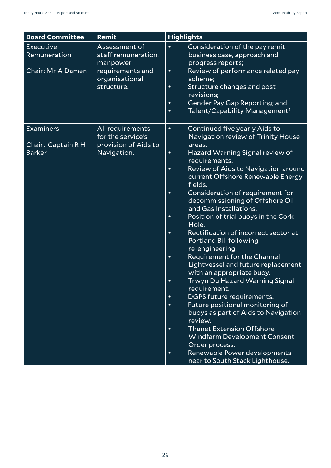| <b>Board Committee</b>                                  | Remit                                                                                                | <b>Highlights</b>                                                                                                                                                                                                                                                                                                                                                                                                                                                                                                                                                                                                                                                                                                                                                                                                                                                                                                                                                                                                                                          |
|---------------------------------------------------------|------------------------------------------------------------------------------------------------------|------------------------------------------------------------------------------------------------------------------------------------------------------------------------------------------------------------------------------------------------------------------------------------------------------------------------------------------------------------------------------------------------------------------------------------------------------------------------------------------------------------------------------------------------------------------------------------------------------------------------------------------------------------------------------------------------------------------------------------------------------------------------------------------------------------------------------------------------------------------------------------------------------------------------------------------------------------------------------------------------------------------------------------------------------------|
| <b>Executive</b><br>Remuneration<br>Chair: Mr A Damen   | Assessment of<br>staff remuneration,<br>manpower<br>requirements and<br>organisational<br>structure. | Consideration of the pay remit<br>$\bullet$<br>business case, approach and<br>progress reports;<br>Review of performance related pay<br>$\bullet$<br>scheme;<br>Structure changes and post<br>$\bullet$<br>revisions;<br>Gender Pay Gap Reporting; and<br>$\bullet$<br>Talent/Capability Management <sup>1</sup><br>$\bullet$                                                                                                                                                                                                                                                                                                                                                                                                                                                                                                                                                                                                                                                                                                                              |
| <b>Examiners</b><br>Chair: Captain R H<br><b>Barker</b> | All requirements<br>for the service's<br>provision of Aids to<br>Navigation.                         | Continued five yearly Aids to<br>$\bullet$<br>Navigation review of Trinity House<br>areas.<br>Hazard Warning Signal review of<br>$\bullet$<br>requirements.<br>Review of Aids to Navigation around<br>$\bullet$<br>current Offshore Renewable Energy<br>fields.<br>Consideration of requirement for<br>$\bullet$<br>decommissioning of Offshore Oil<br>and Gas Installations.<br>Position of trial buoys in the Cork<br>$\bullet$<br>Hole.<br>Rectification of incorrect sector at<br>$\bullet$<br>Portland Bill following<br>re-engineering.<br>Requirement for the Channel<br>$\bullet$<br>Lightvessel and future replacement<br>with an appropriate buoy.<br>Trwyn Du Hazard Warning Signal<br>$\bullet$<br>requirement.<br>DGPS future requirements.<br>$\bullet$<br>Future positional monitoring of<br>$\bullet$<br>buoys as part of Aids to Navigation<br>review.<br><b>Thanet Extension Offshore</b><br>$\bullet$<br>Windfarm Development Consent<br>Order process.<br>Renewable Power developments<br>$\bullet$<br>near to South Stack Lighthouse. |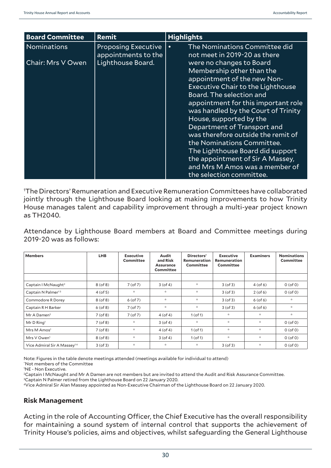| <b>Board Committee</b>           | Remit                                                                  | <b>Highlights</b>                                                                                                                                                                                                                                                                                                                                                                                                                                                                                                                                                                            |  |  |
|----------------------------------|------------------------------------------------------------------------|----------------------------------------------------------------------------------------------------------------------------------------------------------------------------------------------------------------------------------------------------------------------------------------------------------------------------------------------------------------------------------------------------------------------------------------------------------------------------------------------------------------------------------------------------------------------------------------------|--|--|
| Nominations<br>Chair: Mrs V Owen | <b>Proposing Executive</b><br>appointments to the<br>Lighthouse Board. | The Nominations Committee did<br>$\bullet$<br>not meet in 2019-20 as there<br>were no changes to Board<br>Membership other than the<br>appointment of the new Non-<br>Executive Chair to the Lighthouse<br><b>Board. The selection and</b><br>appointment for this important role<br>was handled by the Court of Trinity<br>House, supported by the<br>Department of Transport and<br>was therefore outside the remit of<br>the Nominations Committee.<br>The Lighthouse Board did support<br>the appointment of Sir A Massey,<br>and Mrs M Amos was a member of<br>the selection committee. |  |  |

1 The Directors' Remuneration and Executive Remuneration Committees have collaborated jointly through the Lighthouse Board looking at making improvements to how Trinity House manages talent and capability improvement through a multi-year project known as TH2040.

Attendance by Lighthouse Board members at Board and Committee meetings during 2019-20 was as follows:

| <b>Members</b>                          | <b>LHB</b>    | Executive<br>Committee | Audit<br>and Risk<br><b>Assurance</b><br>Committee | Directors'<br>Remuneration<br>Committee | <b>Executive</b><br>Remuneration<br>Committee | <b>Examiners</b> | <b>Nominations</b><br>Committee |
|-----------------------------------------|---------------|------------------------|----------------------------------------------------|-----------------------------------------|-----------------------------------------------|------------------|---------------------------------|
|                                         |               |                        |                                                    |                                         |                                               |                  |                                 |
| Captain I McNaught <sup>2</sup>         | $8($ of $8)$  | $7($ of $7)$           | $3($ of 4 $)$                                      | $\approx$                               | $3($ of 3 $)$                                 | $4($ of 6 $)$    | $0($ of 0 $)$                   |
| Captain N Palmer <sup>13</sup>          | $4($ of 5 $)$ | $\ll$                  | $\mathcal{R}$                                      | $\mathcal{R}$                           | $3($ of 3 $)$                                 | $2($ of 6 $)$    | $0($ of 0 $)$                   |
| Commodore R Dorey                       | $8($ of $8)$  | $6($ of $7)$           | $\approx$                                          | $\preceq$                               | $3($ of $3)$                                  | $6($ of $6)$     | $\approx$                       |
| Captain R H Barker                      | $6($ of 8 $)$ | $7($ of $7)$           | $\approx$                                          | $\preceq$                               | $3($ of $3)$                                  | $6($ of $6)$     | $\approx$                       |
| Mr A Damen <sup>2</sup>                 | $7($ of 8 $)$ | $7($ of $7)$           | $4($ of 4 $)$                                      | $1($ of 1 $)$                           | $\mathcal{R}$                                 | $\mathcal{R}$    | $\approx$                       |
| $Mr D$ Ring <sup>1</sup>                | $7($ of 8 $)$ | $\mathcal{R}$          | $3($ of 4 $)$                                      | $\preceq$                               | $\mathcal{R}$                                 | $\mathcal{R}$    | $0($ of 0 $)$                   |
| Mrs M Amos <sup>1</sup>                 | $7($ of 8 $)$ | $\star$                | $4($ of 4 $)$                                      | $1($ of 1 $)$                           | $\mathcal{R}$                                 | $\mathcal{R}$    | $0($ of 0 $)$                   |
| Mrs V Owen <sup>1</sup>                 | $8($ of $8)$  | $\mathcal{R}$          | $3($ of 4 $)$                                      | $1($ of 1 $)$                           | $\mathcal{R}$                                 | $\mathcal{R}$    | $0($ of 0 $)$                   |
| Vice Admiral Sir A Massey <sup>14</sup> | $3($ of 3 $)$ | $\mathcal{R}$          | $\approx$                                          | $\star$                                 | $3($ of 3 $)$                                 | $\approx$        | $0($ of 0 $)$                   |

Note: Figures in the table denote meetings attended (meetings available for individual to attend)

\* Not members of the Committee

1 NE - Non Executive.

<sup>2</sup>Captain I McNaught and Mr A Damen are not members but are invited to attend the Audit and Risk Assurance Committee.

3 Captain N Palmer retired from the Lighthouse Board on 22 January 2020.

4Vice Admiral Sir Alan Massey appointed as Non-Executive Chairman of the Lighthouse Board on 22 January 2020.

#### **Risk Management**

Acting in the role of Accounting Officer, the Chief Executive has the overall responsibility for maintaining a sound system of internal control that supports the achievement of Trinity House's policies, aims and objectives, whilst safeguarding the General Lighthouse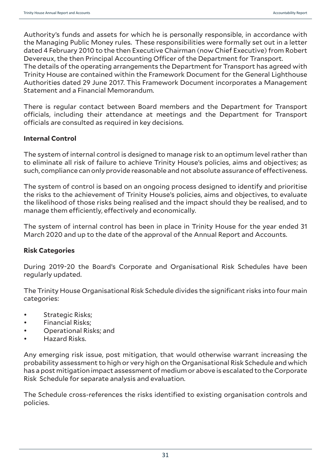Authority's funds and assets for which he is personally responsible, in accordance with the Managing Public Money rules. These responsibilities were formally set out in a letter dated 4 February 2010 to the then Executive Chairman (now Chief Executive) from Robert Devereux, the then Principal Accounting Officer of the Department for Transport. The details of the operating arrangements the Department for Transport has agreed with Trinity House are contained within the Framework Document for the General Lighthouse Authorities dated 29 June 2017. This Framework Document incorporates a Management Statement and a Financial Memorandum.

There is regular contact between Board members and the Department for Transport officials, including their attendance at meetings and the Department for Transport officials are consulted as required in key decisions.

#### **Internal Control**

The system of internal control is designed to manage risk to an optimum level rather than to eliminate all risk of failure to achieve Trinity House's policies, aims and objectives; as such, compliance can only provide reasonable and not absolute assurance of effectiveness.

The system of control is based on an ongoing process designed to identify and prioritise the risks to the achievement of Trinity House's policies, aims and objectives, to evaluate the likelihood of those risks being realised and the impact should they be realised, and to manage them efficiently, effectively and economically.

The system of internal control has been in place in Trinity House for the year ended 31 March 2020 and up to the date of the approval of the Annual Report and Accounts.

#### **Risk Categories**

During 2019-20 the Board's Corporate and Organisational Risk Schedules have been regularly updated.

The Trinity House Organisational Risk Schedule divides the significant risks into four main categories:

- Strategic Risks;
- Financial Risks;
- Operational Risks; and
- Hazard Risks.

Any emerging risk issue, post mitigation, that would otherwise warrant increasing the probability assessment to high or very high on the Organisational Risk Schedule and which has a post mitigation impact assessment of medium or above is escalated to the Corporate Risk Schedule for separate analysis and evaluation.

The Schedule cross-references the risks identified to existing organisation controls and policies.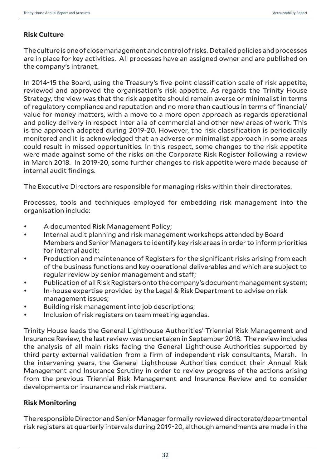# **Risk Culture**

The culture is one of close management and control of risks. Detailed policies and processes are in place for key activities. All processes have an assigned owner and are published on the company's intranet.

In 2014-15 the Board, using the Treasury's five-point classification scale of risk appetite, reviewed and approved the organisation's risk appetite. As regards the Trinity House Strategy, the view was that the risk appetite should remain averse or minimalist in terms of regulatory compliance and reputation and no more than cautious in terms of financial/ value for money matters, with a move to a more open approach as regards operational and policy delivery in respect inter alia of commercial and other new areas of work. This is the approach adopted during 2019-20. However, the risk classification is periodically monitored and it is acknowledged that an adverse or minimalist approach in some areas could result in missed opportunities. In this respect, some changes to the risk appetite were made against some of the risks on the Corporate Risk Register following a review in March 2018. In 2019-20, some further changes to risk appetite were made because of internal audit findings.

The Executive Directors are responsible for managing risks within their directorates.

Processes, tools and techniques employed for embedding risk management into the organisation include:

- A documented Risk Management Policy;
- Internal audit planning and risk management workshops attended by Board Members and Senior Managers to identify key risk areas in order to inform priorities for internal audit;
- Production and maintenance of Registers for the significant risks arising from each of the business functions and key operational deliverables and which are subject to regular review by senior management and staff;
- Publication of all Risk Registers onto the company's document management system;
- In-house expertise provided by the Legal & Risk Department to advise on risk management issues;
- Building risk management into job descriptions;
- Inclusion of risk registers on team meeting agendas.

Trinity House leads the General Lighthouse Authorities' Triennial Risk Management and Insurance Review, the last review was undertaken in September 2018. The review includes the analysis of all main risks facing the General Lighthouse Authorities supported by third party external validation from a firm of independent risk consultants, Marsh. In the intervening years, the General Lighthouse Authorities conduct their Annual Risk Management and Insurance Scrutiny in order to review progress of the actions arising from the previous Triennial Risk Management and Insurance Review and to consider developments on insurance and risk matters.

# **Risk Monitoring**

The responsible Director and Senior Manager formally reviewed directorate/departmental risk registers at quarterly intervals during 2019-20, although amendments are made in the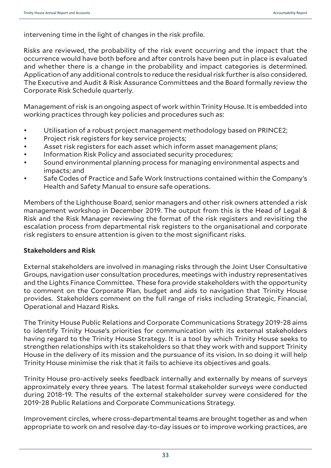intervening time in the light of changes in the risk profile.

Risks are reviewed, the probability of the risk event occurring and the impact that the occurrence would have both before and after controls have been put in place is evaluated and whether there is a change in the probability and impact categories is determined. Application of any additional controls to reduce the residual risk further is also considered. The Executive and Audit & Risk Assurance Committees and the Board formally review the Corporate Risk Schedule quarterly.

Management of risk is an ongoing aspect of work within Trinity House. It is embedded into working practices through key policies and procedures such as:

- Utilisation of a robust project management methodology based on PRINCE2;
- Project risk registers for key service projects;
- Asset risk registers for each asset which inform asset management plans;
- Information Risk Policy and associated security procedures;
- Sound environmental planning process for managing environmental aspects and impacts; and
- Safe Codes of Practice and Safe Work Instructions contained within the Company's Health and Safety Manual to ensure safe operations.

Members of the Lighthouse Board, senior managers and other risk owners attended a risk management workshop in December 2019. The output from this is the Head of Legal & Risk and the Risk Manager reviewing the format of the risk registers and revisiting the escalation process from departmental risk registers to the organisational and corporate risk registers to ensure attention is given to the most significant risks.

# **Stakeholders and Risk**

External stakeholders are involved in managing risks through the Joint User Consultative Groups, navigation user consultation procedures, meetings with industry representatives and the Lights Finance Committee. These fora provide stakeholders with the opportunity to comment on the Corporate Plan, budget and aids to navigation that Trinity House provides. Stakeholders comment on the full range of risks including Strategic, Financial, Operational and Hazard Risks.

The Trinity House Public Relations and Corporate Communications Strategy 2019-28 aims to identify Trinity House's priorities for communication with its external stakeholders having regard to the Trinity House Strategy. It is a tool by which Trinity House seeks to strengthen relationships with its stakeholders so that they work with and support Trinity House in the delivery of its mission and the pursuance of its vision. In so doing it will help Trinity House minimise the risk that it fails to achieve its objectives and goals.

Trinity House pro-actively seeks feedback internally and externally by means of surveys approximately every three years. The latest formal stakeholder surveys were conducted during 2018-19. The results of the external stakeholder survey were considered for the 2019-28 Public Relations and Corporate Communications Strategy.

Improvement circles, where cross-departmental teams are brought together as and when appropriate to work on and resolve day-to-day issues or to improve working practices, are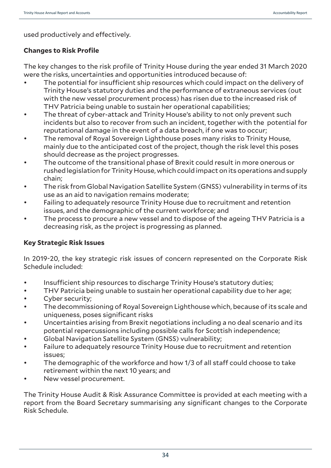used productively and effectively.

# **Changes to Risk Profile**

The key changes to the risk profile of Trinity House during the year ended 31 March 2020 were the risks, uncertainties and opportunities introduced because of:

- The potential for insufficient ship resources which could impact on the delivery of Trinity House's statutory duties and the performance of extraneous services (out with the new vessel procurement process) has risen due to the increased risk of THV Patricia being unable to sustain her operational capabilities;
- The threat of cyber-attack and Trinity House's ability to not only prevent such incidents but also to recover from such an incident, together with the potential for reputational damage in the event of a data breach, if one was to occur;
- The removal of Royal Sovereign Lighthouse poses many risks to Trinity House, mainly due to the anticipated cost of the project, though the risk level this poses should decrease as the project progresses.
- The outcome of the transitional phase of Brexit could result in more onerous or rushed legislation for Trinity House, which could impact on its operations and supply chain;
- The risk from Global Navigation Satellite System (GNSS) vulnerability in terms of its use as an aid to navigation remains moderate;
- Failing to adequately resource Trinity House due to recruitment and retention issues, and the demographic of the current workforce; and
- The process to procure a new vessel and to dispose of the ageing THV Patricia is a decreasing risk, as the project is progressing as planned.

# **Key Strategic Risk Issues**

In 2019-20, the key strategic risk issues of concern represented on the Corporate Risk Schedule included:

- Insufficient ship resources to discharge Trinity House's statutory duties;
- THV Patricia being unable to sustain her operational capability due to her age;
- Cyber security;
- The decommissioning of Royal Sovereign Lighthouse which, because of its scale and uniqueness, poses significant risks
- Uncertainties arising from Brexit negotiations including a no deal scenario and its potential repercussions including possible calls for Scottish independence;
- Global Navigation Satellite System (GNSS) vulnerability;
- Failure to adequately resource Trinity House due to recruitment and retention issues;
- The demographic of the workforce and how 1/3 of all staff could choose to take retirement within the next 10 years; and
- New vessel procurement.

The Trinity House Audit & Risk Assurance Committee is provided at each meeting with a report from the Board Secretary summarising any significant changes to the Corporate Risk Schedule.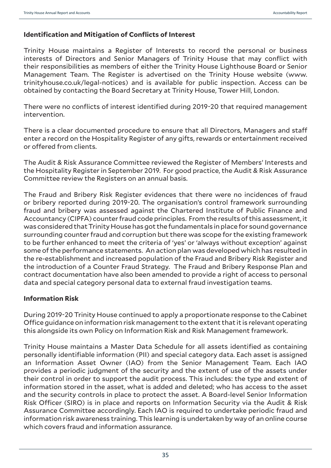# **Identification and Mitigation of Conflicts of Interest**

Trinity House maintains a Register of Interests to record the personal or business interests of Directors and Senior Managers of Trinity House that may conflict with their responsibilities as members of either the Trinity House Lighthouse Board or Senior Management Team. The Register is advertised on the Trinity House website (www. trinityhouse.co.uk/legal-notices) and is available for public inspection. Access can be obtained by contacting the Board Secretary at Trinity House, Tower Hill, London.

There were no conflicts of interest identified during 2019-20 that required management intervention.

There is a clear documented procedure to ensure that all Directors, Managers and staff enter a record on the Hospitality Register of any gifts, rewards or entertainment received or offered from clients.

The Audit & Risk Assurance Committee reviewed the Register of Members' Interests and the Hospitality Register in September 2019. For good practice, the Audit & Risk Assurance Committee review the Registers on an annual basis.

The Fraud and Bribery Risk Register evidences that there were no incidences of fraud or bribery reported during 2019-20. The organisation's control framework surrounding fraud and bribery was assessed against the Chartered Institute of Public Finance and Accountancy (CIPFA) counter fraud code principles. From the results of this assessment, it was considered that Trinity House has got the fundamentals in place for sound governance surrounding counter fraud and corruption but there was scope for the existing framework to be further enhanced to meet the criteria of 'yes' or 'always without exception' against some of the performance statements. An action plan was developed which has resulted in the re-establishment and increased population of the Fraud and Bribery Risk Register and the introduction of a Counter Fraud Strategy. The Fraud and Bribery Response Plan and contract documentation have also been amended to provide a right of access to personal data and special category personal data to external fraud investigation teams.

# **Information Risk**

During 2019-20 Trinity House continued to apply a proportionate response to the Cabinet Office guidance on information risk management to the extent that it is relevant operating this alongside its own Policy on Information Risk and Risk Management framework.

Trinity House maintains a Master Data Schedule for all assets identified as containing personally identifiable information (PII) and special category data. Each asset is assigned an Information Asset Owner (IAO) from the Senior Management Team. Each IAO provides a periodic judgment of the security and the extent of use of the assets under their control in order to support the audit process. This includes: the type and extent of information stored in the asset, what is added and deleted; who has access to the asset and the security controls in place to protect the asset. A Board-level Senior Information Risk Officer (SIRO) is in place and reports on Information Security via the Audit & Risk Assurance Committee accordingly. Each IAO is required to undertake periodic fraud and information risk awareness training. This learning is undertaken by way of an online course which covers fraud and information assurance.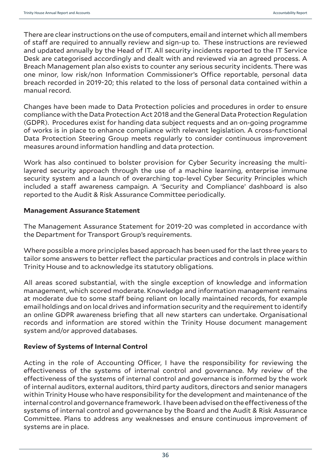There are clear instructions on the use of computers, email and internet which all members of staff are required to annually review and sign-up to. These instructions are reviewed and updated annually by the Head of IT. All security incidents reported to the IT Service Desk are categorised accordingly and dealt with and reviewed via an agreed process. A Breach Management plan also exists to counter any serious security incidents. There was one minor, low risk/non Information Commissioner's Office reportable, personal data breach recorded in 2019-20; this related to the loss of personal data contained within a manual record.

Changes have been made to Data Protection policies and procedures in order to ensure compliance with the Data Protection Act 2018 and the General Data Protection Regulation (GDPR). Procedures exist for handing data subject requests and an on-going programme of works is in place to enhance compliance with relevant legislation. A cross-functional Data Protection Steering Group meets regularly to consider continuous improvement measures around information handling and data protection.

Work has also continued to bolster provision for Cyber Security increasing the multilayered security approach through the use of a machine learning, enterprise immune security system and a launch of overarching top-level Cyber Security Principles which included a staff awareness campaign. A 'Security and Compliance' dashboard is also reported to the Audit & Risk Assurance Committee periodically.

#### **Management Assurance Statement**

The Management Assurance Statement for 2019-20 was completed in accordance with the Department for Transport Group's requirements.

Where possible a more principles based approach has been used for the last three years to tailor some answers to better reflect the particular practices and controls in place within Trinity House and to acknowledge its statutory obligations.

All areas scored substantial, with the single exception of knowledge and information management, which scored moderate. Knowledge and information management remains at moderate due to some staff being reliant on locally maintained records, for example email holdings and on local drives and information security and the requirement to identify an online GDPR awareness briefing that all new starters can undertake. Organisational records and information are stored within the Trinity House document management system and/or approved databases.

#### **Review of Systems of Internal Control**

Acting in the role of Accounting Officer, I have the responsibility for reviewing the effectiveness of the systems of internal control and governance. My review of the effectiveness of the systems of internal control and governance is informed by the work of internal auditors, external auditors, third party auditors, directors and senior managers within Trinity House who have responsibility for the development and maintenance of the internal control and governance framework. I have been advised on the effectiveness of the systems of internal control and governance by the Board and the Audit & Risk Assurance Committee. Plans to address any weaknesses and ensure continuous improvement of systems are in place.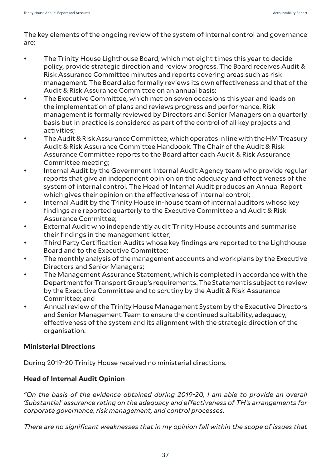The key elements of the ongoing review of the system of internal control and governance are:

- The Trinity House Lighthouse Board, which met eight times this year to decide policy, provide strategic direction and review progress. The Board receives Audit & Risk Assurance Committee minutes and reports covering areas such as risk management. The Board also formally reviews its own effectiveness and that of the Audit & Risk Assurance Committee on an annual basis;
- The Executive Committee, which met on seven occasions this year and leads on the implementation of plans and reviews progress and performance. Risk management is formally reviewed by Directors and Senior Managers on a quarterly basis but in practice is considered as part of the control of all key projects and activities;
- The Audit & Risk Assurance Committee, which operates in line with the HM Treasury Audit & Risk Assurance Committee Handbook. The Chair of the Audit & Risk Assurance Committee reports to the Board after each Audit & Risk Assurance Committee meeting;
- Internal Audit by the Government Internal Audit Agency team who provide regular reports that give an independent opinion on the adequacy and effectiveness of the system of internal control. The Head of Internal Audit produces an Annual Report which gives their opinion on the effectiveness of internal control;
- Internal Audit by the Trinity House in-house team of internal auditors whose key findings are reported quarterly to the Executive Committee and Audit & Risk Assurance Committee;
- External Audit who independently audit Trinity House accounts and summarise their findings in the management letter;
- Third Party Certification Audits whose key findings are reported to the Lighthouse Board and to the Executive Committee;
- The monthly analysis of the management accounts and work plans by the Executive Directors and Senior Managers;
- The Management Assurance Statement, which is completed in accordance with the Department for Transport Group's requirements. The Statement is subject to review by the Executive Committee and to scrutiny by the Audit & Risk Assurance Committee; and
- Annual review of the Trinity House Management System by the Executive Directors and Senior Management Team to ensure the continued suitability, adequacy, effectiveness of the system and its alignment with the strategic direction of the organisation.

# **Ministerial Directions**

During 2019-20 Trinity House received no ministerial directions.

# **Head of Internal Audit Opinion**

*"On the basis of the evidence obtained during 2019-20, I am able to provide an overall 'Substantial' assurance rating on the adequacy and effectiveness of TH's arrangements for corporate governance, risk management, and control processes.* 

*There are no significant weaknesses that in my opinion fall within the scope of issues that*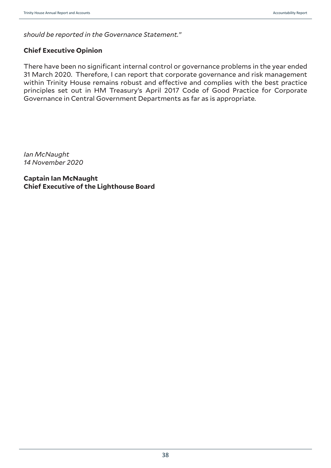*should be reported in the Governance Statement."*

### **Chief Executive Opinion**

There have been no significant internal control or governance problems in the year ended 31 March 2020. Therefore, I can report that corporate governance and risk management within Trinity House remains robust and effective and complies with the best practice principles set out in HM Treasury's April 2017 Code of Good Practice for Corporate Governance in Central Government Departments as far as is appropriate.

*Ian McNaught 14 November 2020*

**Captain Ian McNaught Chief Executive of the Lighthouse Board**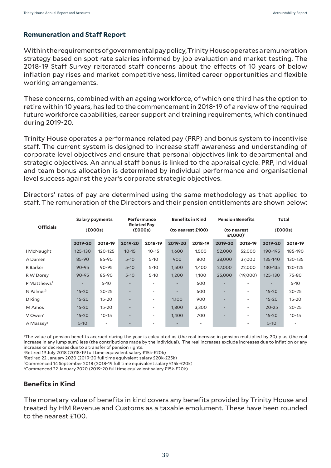### **Remuneration and Staff Report**

Within the requirements of governmental pay policy, Trinity House operates a remuneration strategy based on spot rate salaries informed by job evaluation and market testing. The 2018-19 Staff Survey reiterated staff concerns about the effects of 10 years of below inflation pay rises and market competitiveness, limited career opportunities and flexible working arrangements.

These concerns, combined with an ageing workforce, of which one third has the option to retire within 10 years, has led to the commencement in 2018-19 of a review of the required future workforce capabilities, career support and training requirements, which continued during 2019-20.

Trinity House operates a performance related pay (PRP) and bonus system to incentivise staff. The current system is designed to increase staff awareness and understanding of corporate level objectives and ensure that personal objectives link to departmental and strategic objectives. An annual staff bonus is linked to the appraisal cycle. PRP, individual and team bonus allocation is determined by individual performance and organisational level success against the year's corporate strategic objectives.

Directors' rates of pay are determined using the same methodology as that applied to staff. The remuneration of the Directors and their pension entitlements are shown below:

|                         |           | <b>Salary payments</b> |                               | <b>Performance</b>       |         | <b>Benefits in Kind</b> |                                     | <b>Pension Benefits</b> |           | Total     |
|-------------------------|-----------|------------------------|-------------------------------|--------------------------|---------|-------------------------|-------------------------------------|-------------------------|-----------|-----------|
| <b>Officials</b>        |           | (£000s)                | <b>Related Pay</b><br>(£000s) |                          |         | (to nearest £100)       | (to nearest<br>£1,000) <sup>1</sup> |                         | (£000s)   |           |
|                         | 2019-20   | 2018-19                | 2019-20                       | 2018-19                  | 2019-20 | 2018-19                 | 2019-20                             | 2018-19                 | 2019-20   | 2018-19   |
| I McNaught              | 125-130   | 120-125                | $10 - 15$                     | $10 - 15$                | 1,600   | 1,500                   | 52,000                              | 52,000                  | 190-195   | 185-190   |
| A Damen                 | 85-90     | 85-90                  | $5 - 10$                      | $5 - 10$                 | 900     | 800                     | 38,000                              | 37,000                  | 135-140   | 130-135   |
| R Barker                | $90 - 95$ | $90 - 95$              | $5 - 10$                      | $5 - 10$                 | 1,500   | 1,400                   | 27,000                              | 22,000                  | 130-135   | 120-125   |
| R W Dorey               | $90 - 95$ | 85-90                  | $5 - 10$                      | $5 - 10$                 | 1,200   | 1,100                   | 25,000                              | (19,000)                | 125-130   | 75-80     |
| P Matthews <sup>2</sup> |           | $5 - 10$               |                               |                          |         | 600                     |                                     |                         |           | $5 - 10$  |
| $N$ Palmer <sup>3</sup> | $15 - 20$ | $20 - 25$              | ٠                             | ٠                        |         | 600                     | $\overline{\phantom{a}}$            | ۰                       | $15 - 20$ | $20 - 25$ |
| D Ring                  | $15 - 20$ | $15 - 20$              | -                             | ۰                        | 1,100   | 900                     | $\overline{\phantom{a}}$            | ۰                       | $15 - 20$ | $15 - 20$ |
| M Amos                  | $15 - 20$ | $15 - 20$              |                               | $\overline{\phantom{a}}$ | 1,800   | 3,300                   | $\overline{\phantom{a}}$            |                         | $20 - 25$ | $20 - 25$ |
| V Owen <sup>4</sup>     | $15 - 20$ | $10 - 15$              | ٠                             | ۰                        | 1,400   | 700                     | $\overline{\phantom{a}}$            | ۰                       | $15 - 20$ | $10 - 15$ |
| A Massey <sup>5</sup>   | $5 - 10$  |                        | ٠                             |                          |         |                         |                                     |                         | $5 - 10$  |           |

1 The value of pension benefits accrued during the year is calculated as (the real increase in pension multiplied by 20) plus (the real increase in any lump sum) less (the contributions made by the individual). The real increases exclude increases due to inflation or any increase or decreases due to a transfer of pension rights.

2Retired 19 July 2018 (2018-19 full time equivalent salary £15k-£20k)

3 Retired 22 January 2020 (2019-20 full time equivalent salary £20k-£25k)

4Commenced 14 September 2018 (2018-19 full time equivalent salary £15k-£20k)

5Commenced 22 January 2020 (2019-20 full time equivalent salary £15k-£20k)

# **Benefits in Kind**

The monetary value of benefits in kind covers any benefits provided by Trinity House and treated by HM Revenue and Customs as a taxable emolument. These have been rounded to the nearest £100.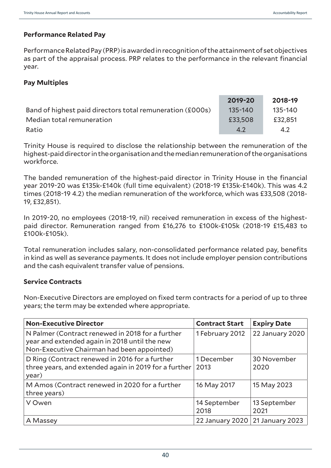### **Performance Related Pay**

Performance Related Pay (PRP) is awarded in recognition of the attainment of set objectives as part of the appraisal process. PRP relates to the performance in the relevant financial year.

#### **Pay Multiples**

|                                                           | 2019-20     | 2018-19 |
|-----------------------------------------------------------|-------------|---------|
| Band of highest paid directors total remuneration (£000s) | $135 - 140$ | 135-140 |
| Median total remuneration                                 | £33,508     | £32,851 |
| Ratio                                                     | 4.2         | 4.2     |

Trinity House is required to disclose the relationship between the remuneration of the highest-paid director in the organisation and the median remuneration of the organisations workforce.

The banded remuneration of the highest-paid director in Trinity House in the financial year 2019-20 was £135k-£140k (full time equivalent) (2018-19 £135k-£140k). This was 4.2 times (2018-19 4.2) the median remuneration of the workforce, which was £33,508 (2018- 19, £32,851).

In 2019-20, no employees (2018-19, nil) received remuneration in excess of the highestpaid director. Remuneration ranged from £16,276 to £100k-£105k (2018-19 £15,483 to £100k-£105k).

Total remuneration includes salary, non-consolidated performance related pay, benefits in kind as well as severance payments. It does not include employer pension contributions and the cash equivalent transfer value of pensions.

#### **Service Contracts**

Non-Executive Directors are employed on fixed term contracts for a period of up to three years; the term may be extended where appropriate.

| <b>Non-Executive Director</b>                                                                                                                   | <b>Contract Start</b> | <b>Expiry Date</b>   |
|-------------------------------------------------------------------------------------------------------------------------------------------------|-----------------------|----------------------|
| N Palmer (Contract renewed in 2018 for a further<br>year and extended again in 2018 until the new<br>Non-Executive Chairman had been appointed) | 1 February 2012       | 22 January 2020      |
| D Ring (Contract renewed in 2016 for a further<br>three years, and extended again in 2019 for a further<br>year)                                | 1 December<br>2013    | 30 November<br>2020  |
| M Amos (Contract renewed in 2020 for a further<br>three years)                                                                                  | 16 May 2017           | 15 May 2023          |
| V Owen                                                                                                                                          | 14 September<br>2018  | 13 September<br>2021 |
| A Massey                                                                                                                                        | 22 January 2020       | 21 January 2023      |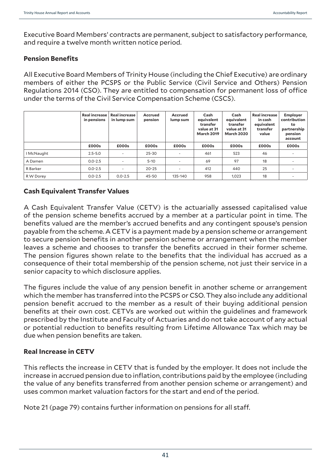Executive Board Members' contracts are permanent, subject to satisfactory performance, and require a twelve month written notice period.

#### **Pension Benefits**

All Executive Board Members of Trinity House (including the Chief Executive) are ordinary members of either the PCSPS or the Public Service (Civil Service and Others) Pension Regulations 2014 (CSO). They are entitled to compensation for permanent loss of office under the terms of the Civil Service Compensation Scheme (CSCS).

|            | <b>Real increase</b><br>in pensions | <b>Real increase</b><br>in lump sum | <b>Accrued</b><br>pension | Accrued<br>lump sum      | Cash<br>equivalent<br>transfer<br>value at 31<br><b>March 2019</b> | Cash<br>equivalent<br>transfer<br>value at 31<br><b>March 2020</b> | <b>Real increase</b><br>in cash<br>equivalent<br>transfer<br>value | <b>Employer</b><br>contribution<br>to<br>partnership<br>pension<br>account |
|------------|-------------------------------------|-------------------------------------|---------------------------|--------------------------|--------------------------------------------------------------------|--------------------------------------------------------------------|--------------------------------------------------------------------|----------------------------------------------------------------------------|
|            | £000s                               | £000s                               | £000s                     | £000s                    | £000s                                                              | £000s                                                              | £000s                                                              | £000s                                                                      |
| I McNaught | $2.5 - 5.0$                         | ٠                                   | $25 - 30$                 | $\overline{\phantom{a}}$ | 461                                                                | 523                                                                | 46                                                                 |                                                                            |
| A Damen    | $0.0 - 2.5$                         | $\overline{\phantom{a}}$            | $5 - 10$                  |                          | 69                                                                 | 97                                                                 | 18                                                                 |                                                                            |
| R Barker   | $0.0 - 2.5$                         | ٠                                   | $20 - 25$                 | $\overline{\phantom{a}}$ | 412                                                                | 440                                                                | 25                                                                 |                                                                            |
| R W Dorey  | $0.0 - 2.5$                         | $0.0 - 2.5$                         | 45-50                     | 135-140                  | 958                                                                | 1.023                                                              | 18                                                                 |                                                                            |

## **Cash Equivalent Transfer Values**

A Cash Equivalent Transfer Value (CETV) is the actuarially assessed capitalised value of the pension scheme benefits accrued by a member at a particular point in time. The benefits valued are the member's accrued benefits and any contingent spouse's pension payable from the scheme. A CETV is a payment made by a pension scheme or arrangement to secure pension benefits in another pension scheme or arrangement when the member leaves a scheme and chooses to transfer the benefits accrued in their former scheme. The pension figures shown relate to the benefits that the individual has accrued as a consequence of their total membership of the pension scheme, not just their service in a senior capacity to which disclosure applies.

The figures include the value of any pension benefit in another scheme or arrangement which the member has transferred into the PCSPS or CSO. They also include any additional pension benefit accrued to the member as a result of their buying additional pension benefits at their own cost. CETVs are worked out within the guidelines and framework prescribed by the Institute and Faculty of Actuaries and do not take account of any actual or potential reduction to benefits resulting from Lifetime Allowance Tax which may be due when pension benefits are taken.

#### **Real Increase in CETV**

This reflects the increase in CETV that is funded by the employer. It does not include the increase in accrued pension due to inflation, contributions paid by the employee (including the value of any benefits transferred from another pension scheme or arrangement) and uses common market valuation factors for the start and end of the period.

Note 21 (page 79) contains further information on pensions for all staff.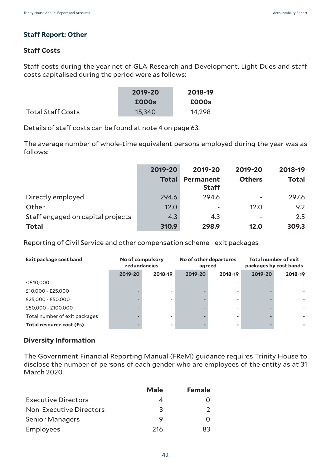## **Staff Report: Other**

## **Staff Costs**

Staff costs during the year net of GLA Research and Development, Light Dues and staff costs capitalised during the period were as follows:

|                          | 2019-20 | 2018-19 |
|--------------------------|---------|---------|
|                          | £000s   | £000s   |
| <b>Total Staff Costs</b> | 15,340  | 14,298  |

Details of staff costs can be found at note 4 on page 63.

The average number of whole-time equivalent persons employed during the year was as follows:

|                                   | 2019-20      | 2019-20                   | 2019-20                  | 2018-19      |
|-----------------------------------|--------------|---------------------------|--------------------------|--------------|
|                                   | <b>Total</b> | Permanent<br><b>Staff</b> | <b>Others</b>            | <b>Total</b> |
| Directly employed                 | 294.6        | 294.6                     |                          | 297.6        |
| Other                             | 12.0         | $\overline{\phantom{a}}$  | 12.0                     | 9.2          |
| Staff engaged on capital projects | 4.3          | 4.3                       | $\overline{\phantom{0}}$ | 2.5          |
| <b>Total</b>                      | 310.9        | 298.9                     | 12.0                     | 309.3        |

Reporting of Civil Service and other compensation scheme - exit packages

| Exit package cost band        | No of compulsory<br>redundancies |         | No of other departures<br>agreed |                          | <b>Total number of exit</b><br>packages by cost bands |         |  |
|-------------------------------|----------------------------------|---------|----------------------------------|--------------------------|-------------------------------------------------------|---------|--|
|                               | 2019-20                          | 2018-19 | 2019-20                          | 2018-19                  | 2019-20                                               | 2018-19 |  |
| $<$ £10,000                   |                                  |         |                                  |                          |                                                       |         |  |
| £10,000 - £25,000             |                                  |         |                                  |                          |                                                       |         |  |
| £25,000 - £50,000             |                                  |         |                                  | $\overline{\phantom{a}}$ |                                                       |         |  |
| £50,000 - £100,000            |                                  |         |                                  |                          |                                                       |         |  |
| Total number of exit packages |                                  |         |                                  |                          |                                                       |         |  |
| Total resource cost (£s)      |                                  |         |                                  |                          |                                                       |         |  |

#### **Diversity Information**

The Government Financial Reporting Manual (FReM) guidance requires Trinity House to disclose the number of persons of each gender who are employees of the entity as at 31 March 2020.

|                                | <b>Male</b> | <b>Female</b> |
|--------------------------------|-------------|---------------|
| <b>Executive Directors</b>     |             |               |
| <b>Non-Executive Directors</b> | 3           |               |
| <b>Senior Managers</b>         | Q           |               |
| Employees                      | 216         | 83            |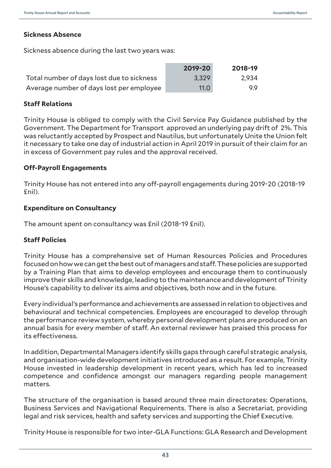#### **Sickness Absence**

Sickness absence during the last two years was:

|                                           | 2019-20 | 2018-19 |
|-------------------------------------------|---------|---------|
| Total number of days lost due to sickness | 3,329   | 2,934   |
| Average number of days lost per employee  | 11.0    | QQ      |

#### **Staff Relations**

Trinity House is obliged to comply with the Civil Service Pay Guidance published by the Government. The Department for Transport approved an underlying pay drift of 2%. This was reluctantly accepted by Prospect and Nautilus, but unfortunately Unite the Union felt it necessary to take one day of industrial action in April 2019 in pursuit of their claim for an in excess of Government pay rules and the approval received.

#### **Off-Payroll Engagements**

Trinity House has not entered into any off-payroll engagements during 2019-20 (2018-19 £nil).

#### **Expenditure on Consultancy**

The amount spent on consultancy was £nil (2018-19 £nil).

#### **Staff Policies**

Trinity House has a comprehensive set of Human Resources Policies and Procedures focused on how we can get the best out of managers and staff. These policies are supported by a Training Plan that aims to develop employees and encourage them to continuously improve their skills and knowledge, leading to the maintenance and development of Trinity House's capability to deliver its aims and objectives, both now and in the future.

Every individual's performance and achievements are assessed in relation to objectives and behavioural and technical competencies. Employees are encouraged to develop through the performance review system, whereby personal development plans are produced on an annual basis for every member of staff. An external reviewer has praised this process for its effectiveness.

In addition, Departmental Managers identify skills gaps through careful strategic analysis, and organisation-wide development initiatives introduced as a result. For example, Trinity House invested in leadership development in recent years, which has led to increased competence and confidence amongst our managers regarding people management matters.

The structure of the organisation is based around three main directorates: Operations, Business Services and Navigational Requirements. There is also a Secretariat, providing legal and risk services, health and safety services and supporting the Chief Executive.

Trinity House is responsible for two inter-GLA Functions: GLA Research and Development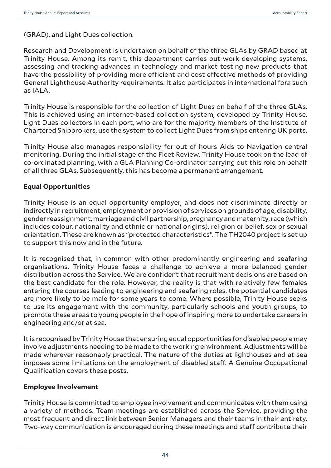(GRAD), and Light Dues collection.

Research and Development is undertaken on behalf of the three GLAs by GRAD based at Trinity House. Among its remit, this department carries out work developing systems, assessing and tracking advances in technology and market testing new products that have the possibility of providing more efficient and cost effective methods of providing General Lighthouse Authority requirements. It also participates in international fora such as IALA.

Trinity House is responsible for the collection of Light Dues on behalf of the three GLAs. This is achieved using an internet-based collection system, developed by Trinity House. Light Dues collectors in each port, who are for the majority members of the Institute of Chartered Shipbrokers, use the system to collect Light Dues from ships entering UK ports.

Trinity House also manages responsibility for out-of-hours Aids to Navigation central monitoring. During the initial stage of the Fleet Review, Trinity House took on the lead of co-ordinated planning, with a GLA Planning Co-ordinator carrying out this role on behalf of all three GLAs. Subsequently, this has become a permanent arrangement.

#### **Equal Opportunities**

Trinity House is an equal opportunity employer, and does not discriminate directly or indirectly in recruitment, employment or provision of services on grounds of age, disability, gender reassignment, marriage and civil partnership, pregnancy and maternity, race (which includes colour, nationality and ethnic or national origins), religion or belief, sex or sexual orientation. These are known as "protected characteristics". The TH2040 project is set up to support this now and in the future.

It is recognised that, in common with other predominantly engineering and seafaring organisations, Trinity House faces a challenge to achieve a more balanced gender distribution across the Service. We are confident that recruitment decisions are based on the best candidate for the role. However, the reality is that with relatively few females entering the courses leading to engineering and seafaring roles, the potential candidates are more likely to be male for some years to come. Where possible, Trinity House seeks to use its engagement with the community, particularly schools and youth groups, to promote these areas to young people in the hope of inspiring more to undertake careers in engineering and/or at sea.

It is recognised by Trinity House that ensuring equal opportunities for disabled people may involve adjustments needing to be made to the working environment. Adjustments will be made wherever reasonably practical. The nature of the duties at lighthouses and at sea imposes some limitations on the employment of disabled staff. A Genuine Occupational Qualification covers these posts.

#### **Employee Involvement**

Trinity House is committed to employee involvement and communicates with them using a variety of methods. Team meetings are established across the Service, providing the most frequent and direct link between Senior Managers and their teams in their entirety. Two-way communication is encouraged during these meetings and staff contribute their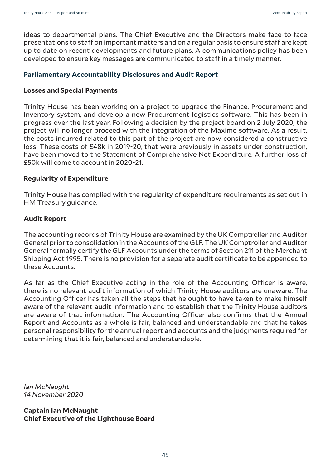ideas to departmental plans. The Chief Executive and the Directors make face-to-face presentations to staff on important matters and on a regular basis to ensure staff are kept up to date on recent developments and future plans. A communications policy has been developed to ensure key messages are communicated to staff in a timely manner.

#### **Parliamentary Accountability Disclosures and Audit Report**

#### **Losses and Special Payments**

Trinity House has been working on a project to upgrade the Finance, Procurement and Inventory system, and develop a new Procurement logistics software. This has been in progress over the last year. Following a decision by the project board on 2 July 2020, the project will no longer proceed with the integration of the Maximo software. As a result, the costs incurred related to this part of the project are now considered a constructive loss. These costs of £48k in 2019-20, that were previously in assets under construction, have been moved to the Statement of Comprehensive Net Expenditure. A further loss of £50k will come to account in 2020-21.

#### **Regularity of Expenditure**

Trinity House has complied with the regularity of expenditure requirements as set out in HM Treasury guidance.

#### **Audit Report**

The accounting records of Trinity House are examined by the UK Comptroller and Auditor General prior to consolidation in the Accounts of the GLF. The UK Comptroller and Auditor General formally certify the GLF Accounts under the terms of Section 211 of the Merchant Shipping Act 1995. There is no provision for a separate audit certificate to be appended to these Accounts.

As far as the Chief Executive acting in the role of the Accounting Officer is aware, there is no relevant audit information of which Trinity House auditors are unaware. The Accounting Officer has taken all the steps that he ought to have taken to make himself aware of the relevant audit information and to establish that the Trinity House auditors are aware of that information. The Accounting Officer also confirms that the Annual Report and Accounts as a whole is fair, balanced and understandable and that he takes personal responsibility for the annual report and accounts and the judgments required for determining that it is fair, balanced and understandable.

*Ian McNaught 14 November 2020*

**Captain Ian McNaught Chief Executive of the Lighthouse Board**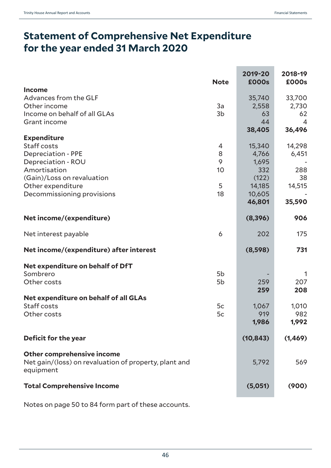# **Statement of Comprehensive Net Expenditure for the year ended 31 March 2020**

|                                                                                                  | <b>Note</b>    | 2019-20<br><b>£000s</b> | 2018-19<br>£000s |
|--------------------------------------------------------------------------------------------------|----------------|-------------------------|------------------|
| <b>Income</b>                                                                                    |                |                         |                  |
| Advances from the GLF                                                                            |                | 35,740                  | 33,700           |
| Other income                                                                                     | 3a             | 2,558                   | 2,730            |
| Income on behalf of all GLAs                                                                     | 3 <sub>b</sub> | 63                      | 62               |
| Grant income                                                                                     |                | 44                      | $\overline{4}$   |
|                                                                                                  |                | 38,405                  | 36,496           |
| <b>Expenditure</b>                                                                               |                |                         |                  |
| Staff costs                                                                                      | 4              | 15,340                  | 14,298           |
| <b>Depreciation - PPE</b>                                                                        | 8              | 4,766                   | 6,451            |
| Depreciation - ROU                                                                               | 9              | 1,695                   |                  |
| Amortisation                                                                                     | 10             | 332                     | 288              |
| (Gain)/Loss on revaluation                                                                       |                | (122)                   | 38               |
| Other expenditure                                                                                | 5              | 14,185                  | 14,515           |
| Decommissioning provisions                                                                       | 18             | 10,605                  |                  |
|                                                                                                  |                | 46,801                  | 35,590           |
| Net income/(expenditure)                                                                         |                | (8, 396)                | 906              |
| Net interest payable                                                                             | 6              | 202                     | 175              |
| Net income/(expenditure) after interest                                                          |                | (8,598)                 | 731              |
| Net expenditure on behalf of DfT                                                                 |                |                         |                  |
| Sombrero                                                                                         | 5b             |                         | 1                |
| Other costs                                                                                      | 5b             | 259                     | 207              |
|                                                                                                  |                | 259                     | 208              |
| Net expenditure on behalf of all GLAs                                                            |                |                         |                  |
| Staff costs                                                                                      | 5c             | 1,067                   | 1,010            |
| Other costs                                                                                      | 5c             | 919                     | 982              |
|                                                                                                  |                | 1,986                   | 1,992            |
| Deficit for the year                                                                             |                | (10, 843)               | (1, 469)         |
| Other comprehensive income<br>Net gain/(loss) on revaluation of property, plant and<br>equipment |                | 5,792                   | 569              |
| <b>Total Comprehensive Income</b>                                                                |                | (5,051)                 | (900)            |

Notes on page 50 to 84 form part of these accounts.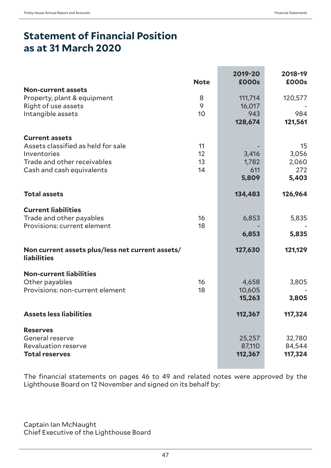# **Statement of Financial Position as at 31 March 2020**

|                                                                        | <b>Note</b> | 2019-20<br><b>£000s</b> | 2018-19<br>£000s |
|------------------------------------------------------------------------|-------------|-------------------------|------------------|
| <b>Non-current assets</b>                                              |             |                         |                  |
| Property, plant & equipment                                            | 8           | 111,714                 | 120,577          |
| Right of use assets                                                    | 9           | 16,017                  |                  |
| Intangible assets                                                      | 10          | 943                     | 984              |
|                                                                        |             | 128,674                 | 121,561          |
|                                                                        |             |                         |                  |
| <b>Current assets</b>                                                  |             |                         |                  |
| Assets classified as held for sale                                     | 11          |                         | 15               |
| Inventories                                                            | 12          | 3,416                   | 3,056            |
| Trade and other receivables                                            | 13          | 1,782                   | 2,060            |
| Cash and cash equivalents                                              | 14          | 611                     | 272              |
|                                                                        |             | 5,809                   | 5,403            |
|                                                                        |             |                         |                  |
| <b>Total assets</b>                                                    |             | 134,483                 | 126,964          |
| <b>Current liabilities</b>                                             |             |                         |                  |
| Trade and other payables                                               | 16          | 6,853                   | 5,835            |
| Provisions: current element                                            | 18          |                         |                  |
|                                                                        |             | 6,853                   | 5,835            |
|                                                                        |             |                         |                  |
| Non current assets plus/less net current assets/<br><b>liabilities</b> |             | 127,630                 | 121,129          |
| <b>Non-current liabilities</b>                                         |             |                         |                  |
| Other payables                                                         | 16          | 4,658                   | 3,805            |
| Provisions: non-current element                                        | 18          | 10,605                  |                  |
|                                                                        |             | 15,263                  | 3,805            |
|                                                                        |             |                         |                  |
| <b>Assets less liabilities</b>                                         |             | 112,367                 | 117,324          |
| <b>Reserves</b>                                                        |             |                         |                  |
| General reserve                                                        |             | 25,257                  | 32,780           |
| Revaluation reserve                                                    |             | 87,110                  | 84,544           |
| <b>Total reserves</b>                                                  |             | 112,367                 | 117,324          |
|                                                                        |             |                         |                  |

The financial statements on pages 46 to 49 and related notes were approved by the Lighthouse Board on 12 November and signed on its behalf by:

Captain Ian McNaught Chief Executive of the Lighthouse Board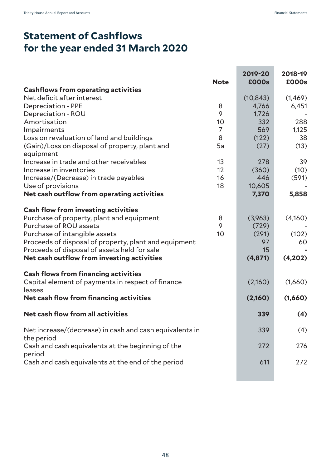# **Statement of Cashflows for the year ended 31 March 2020**

|                                                                 | <b>Note</b>    | 2019-20<br><b>£000s</b> | 2018-19<br>£000s |
|-----------------------------------------------------------------|----------------|-------------------------|------------------|
| <b>Cashflows from operating activities</b>                      |                |                         |                  |
| Net deficit after interest                                      |                | (10, 843)               | (1,469)          |
| <b>Depreciation - PPE</b>                                       | 8              | 4,766                   | 6,451            |
| Depreciation - ROU                                              | 9              | 1,726                   |                  |
| Amortisation                                                    | 10             | 332                     | 288              |
| Impairments                                                     | $\overline{7}$ | 569                     | 1,125            |
| Loss on revaluation of land and buildings                       | 8              | (122)                   | 38               |
| (Gain)/Loss on disposal of property, plant and<br>equipment     | 5a             | (27)                    | (13)             |
| Increase in trade and other receivables                         | 13             | 278                     | 39               |
| Increase in inventories                                         | 12             | (360)                   | (10)             |
| Increase/(Decrease) in trade payables                           | 16             | 446                     | (591)            |
| Use of provisions                                               | 18             | 10,605                  |                  |
| Net cash outflow from operating activities                      |                | 7,370                   | 5,858            |
| <b>Cash flow from investing activities</b>                      |                |                         |                  |
| Purchase of property, plant and equipment                       | 8              | (3,963)                 | (4,160)          |
| Purchase of ROU assets                                          | 9              | (729)                   |                  |
| Purchase of intangible assets                                   | 10             | (291)                   | (102)            |
| Proceeds of disposal of property, plant and equipment           |                | 97                      | 60               |
| Proceeds of disposal of assets held for sale                    |                | 15                      |                  |
| Net cash outflow from investing activities                      |                | (4,871)                 | (4,202)          |
| <b>Cash flows from financing activities</b>                     |                |                         |                  |
| Capital element of payments in respect of finance<br>leases     |                | (2,160)                 | (1,660)          |
| Net cash flow from financing activities                         |                | (2,160)                 | (1,660)          |
| Net cash flow from all activities                               |                | 339                     | (4)              |
| Net increase/(decrease) in cash and cash equivalents in         |                | 339                     | (4)              |
| the period<br>Cash and cash equivalents at the beginning of the |                | 272                     | 276              |
| period<br>Cash and cash equivalents at the end of the period    |                | 611                     | 272              |
|                                                                 |                |                         |                  |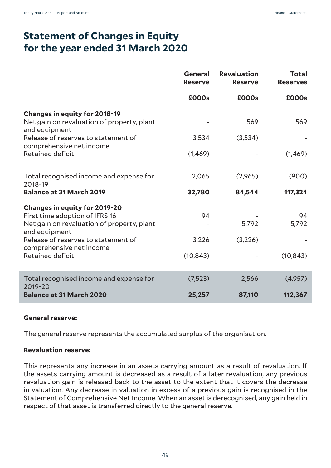# **Statement of Changes in Equity for the year ended 31 March 2020**

|                                                                                                                                                                              | <b>General</b><br><b>Reserve</b> | <b>Revaluation</b><br><b>Reserve</b> | <b>Total</b><br><b>Reserves</b> |
|------------------------------------------------------------------------------------------------------------------------------------------------------------------------------|----------------------------------|--------------------------------------|---------------------------------|
|                                                                                                                                                                              | £000s                            | £000s                                | £000s                           |
| <b>Changes in equity for 2018-19</b><br>Net gain on revaluation of property, plant<br>and equipment<br>Release of reserves to statement of                                   | 3,534                            | 569<br>(3,534)                       | 569                             |
| comprehensive net income<br><b>Retained deficit</b>                                                                                                                          | (1,469)                          |                                      | (1,469)                         |
| Total recognised income and expense for<br>2018-19                                                                                                                           | 2,065                            | (2,965)                              | (900)                           |
| <b>Balance at 31 March 2019</b>                                                                                                                                              | 32,780                           | 84,544                               | 117,324                         |
| <b>Changes in equity for 2019-20</b><br>First time adoption of IFRS 16<br>Net gain on revaluation of property, plant<br>and equipment<br>Release of reserves to statement of | 94<br>3,226                      | 5,792<br>(3,226)                     | 94<br>5,792                     |
| comprehensive net income<br><b>Retained deficit</b>                                                                                                                          | (10, 843)                        |                                      | (10, 843)                       |
| Total recognised income and expense for<br>2019-20                                                                                                                           | (7, 523)                         | 2,566                                | (4,957)                         |
| <b>Balance at 31 March 2020</b>                                                                                                                                              | 25,257                           | 87,110                               | 112,367                         |

#### **General reserve:**

The general reserve represents the accumulated surplus of the organisation.

#### **Revaluation reserve:**

This represents any increase in an assets carrying amount as a result of revaluation. If the assets carrying amount is decreased as a result of a later revaluation, any previous revaluation gain is released back to the asset to the extent that it covers the decrease in valuation. Any decrease in valuation in excess of a previous gain is recognised in the Statement of Comprehensive Net Income. When an asset is derecognised, any gain held in respect of that asset is transferred directly to the general reserve.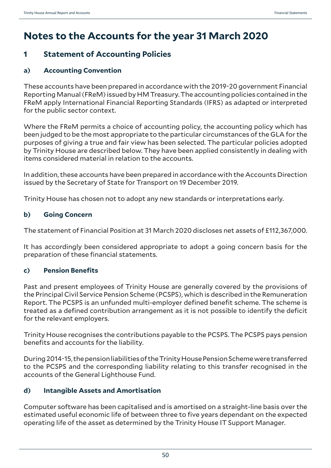# **Notes to the Accounts for the year 31 March 2020**

# **1 Statement of Accounting Policies**

# **a) Accounting Convention**

These accounts have been prepared in accordance with the 2019-20 government Financial Reporting Manual (FReM) issued by HM Treasury. The accounting policies contained in the FReM apply International Financial Reporting Standards (IFRS) as adapted or interpreted for the public sector context.

Where the FReM permits a choice of accounting policy, the accounting policy which has been judged to be the most appropriate to the particular circumstances of the GLA for the purposes of giving a true and fair view has been selected. The particular policies adopted by Trinity House are described below. They have been applied consistently in dealing with items considered material in relation to the accounts.

In addition, these accounts have been prepared in accordance with the Accounts Direction issued by the Secretary of State for Transport on 19 December 2019.

Trinity House has chosen not to adopt any new standards or interpretations early.

# **b) Going Concern**

The statement of Financial Position at 31 March 2020 discloses net assets of £112,367,000.

It has accordingly been considered appropriate to adopt a going concern basis for the preparation of these financial statements.

# **c) Pension Benefits**

Past and present employees of Trinity House are generally covered by the provisions of the Principal Civil Service Pension Scheme (PCSPS), which is described in the Remuneration Report. The PCSPS is an unfunded multi-employer defined benefit scheme. The scheme is treated as a defined contribution arrangement as it is not possible to identify the deficit for the relevant employers.

Trinity House recognises the contributions payable to the PCSPS. The PCSPS pays pension benefits and accounts for the liability.

During 2014-15, the pension liabilities of the Trinity House Pension Scheme were transferred to the PCSPS and the corresponding liability relating to this transfer recognised in the accounts of the General Lighthouse Fund.

# **d) Intangible Assets and Amortisation**

Computer software has been capitalised and is amortised on a straight-line basis over the estimated useful economic life of between three to five years dependant on the expected operating life of the asset as determined by the Trinity House IT Support Manager.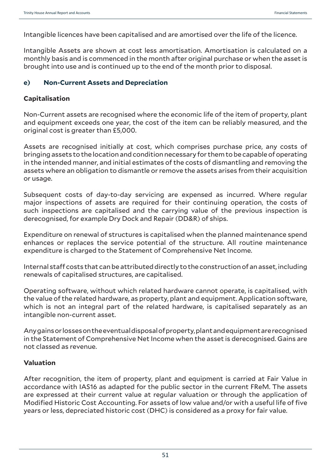Intangible licences have been capitalised and are amortised over the life of the licence.

Intangible Assets are shown at cost less amortisation. Amortisation is calculated on a monthly basis and is commenced in the month after original purchase or when the asset is brought into use and is continued up to the end of the month prior to disposal.

#### **e) Non-Current Assets and Depreciation**

#### **Capitalisation**

Non-Current assets are recognised where the economic life of the item of property, plant and equipment exceeds one year, the cost of the item can be reliably measured, and the original cost is greater than £5,000.

Assets are recognised initially at cost, which comprises purchase price, any costs of bringing assets to the location and condition necessary for them to be capable of operating in the intended manner, and initial estimates of the costs of dismantling and removing the assets where an obligation to dismantle or remove the assets arises from their acquisition or usage.

Subsequent costs of day-to-day servicing are expensed as incurred. Where regular major inspections of assets are required for their continuing operation, the costs of such inspections are capitalised and the carrying value of the previous inspection is derecognised, for example Dry Dock and Repair (DD&R) of ships.

Expenditure on renewal of structures is capitalised when the planned maintenance spend enhances or replaces the service potential of the structure. All routine maintenance expenditure is charged to the Statement of Comprehensive Net Income.

Internal staff costs that can be attributed directly to the construction of an asset, including renewals of capitalised structures, are capitalised.

Operating software, without which related hardware cannot operate, is capitalised, with the value of the related hardware, as property, plant and equipment. Application software, which is not an integral part of the related hardware, is capitalised separately as an intangible non-current asset.

Any gains or losses on the eventual disposal of property, plant and equipment are recognised in the Statement of Comprehensive Net Income when the asset is derecognised. Gains are not classed as revenue.

# **Valuation**

After recognition, the item of property, plant and equipment is carried at Fair Value in accordance with IAS16 as adapted for the public sector in the current FReM. The assets are expressed at their current value at regular valuation or through the application of Modified Historic Cost Accounting. For assets of low value and/or with a useful life of five years or less, depreciated historic cost (DHC) is considered as a proxy for fair value.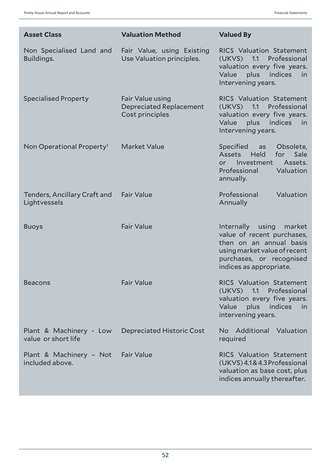| <b>Asset Class</b>                             | <b>Valuation Method</b>                                               | <b>Valued By</b>                                                                                                                                                           |
|------------------------------------------------|-----------------------------------------------------------------------|----------------------------------------------------------------------------------------------------------------------------------------------------------------------------|
| Non Specialised Land and<br>Buildings.         | Fair Value, using Existing<br>Use Valuation principles.               | <b>RICS Valuation Statement</b><br>(UKVS)<br>1.1<br>Professional<br>valuation every five years.<br>plus indices<br>Value<br>in<br>Intervening years.                       |
| <b>Specialised Property</b>                    | Fair Value using<br><b>Depreciated Replacement</b><br>Cost principles | <b>RICS Valuation Statement</b><br>$(UKVS)$ 1.1<br>Professional<br>valuation every five years.<br>Value<br>indices<br>plus<br>in<br>Intervening years.                     |
| Non Operational Property <sup>1</sup>          | <b>Market Value</b>                                                   | Specified<br>Obsolete,<br>as<br>Assets<br><b>Held</b><br>Sale<br>for<br>Assets.<br>Investment<br>or.<br>Professional<br>Valuation<br>annually.                             |
| Tenders, Ancillary Craft and<br>Lightvessels   | <b>Fair Value</b>                                                     | Professional<br>Valuation<br>Annually                                                                                                                                      |
| <b>Buoys</b>                                   | <b>Fair Value</b>                                                     | Internally using<br>market<br>value of recent purchases,<br>then on an annual basis<br>using market value of recent<br>purchases, or recognised<br>indices as appropriate. |
| <b>Beacons</b>                                 | <b>Fair Value</b>                                                     | <b>RICS Valuation Statement</b><br>(UKVS) 1.1 Professional<br>valuation every five years.<br>plus indices<br>Value<br>in,<br>intervening years.                            |
| Plant & Machinery - Low<br>value or short life | <b>Depreciated Historic Cost</b>                                      | No Additional Valuation<br>required                                                                                                                                        |
| Plant & Machinery - Not<br>included above.     | <b>Fair Value</b>                                                     | <b>RICS Valuation Statement</b><br>(UKVS) 4.1& 4.3 Professional<br>valuation as base cost, plus<br>indices annually thereafter.                                            |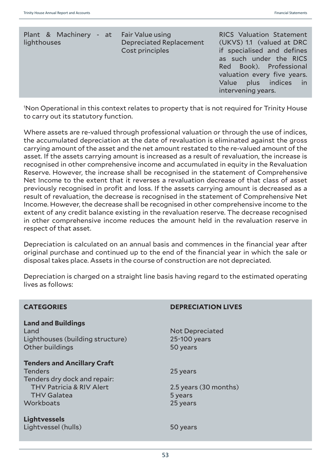| Plant & Machinery - at<br>lighthouses | Fair Value using<br><b>Depreciated Replacement</b><br>Cost principles | <b>RICS Valuation Statement</b><br>(UKVS) 1.1 (valued at DRC<br>if specialised and defines<br>as such under the RICS<br>Red Book). Professional<br>valuation every five years.<br>Value plus indices in<br>intervening years. |
|---------------------------------------|-----------------------------------------------------------------------|-------------------------------------------------------------------------------------------------------------------------------------------------------------------------------------------------------------------------------|
|                                       |                                                                       |                                                                                                                                                                                                                               |

1 Non Operational in this context relates to property that is not required for Trinity House to carry out its statutory function.

Where assets are re-valued through professional valuation or through the use of indices, the accumulated depreciation at the date of revaluation is eliminated against the gross carrying amount of the asset and the net amount restated to the re-valued amount of the asset. If the assets carrying amount is increased as a result of revaluation, the increase is recognised in other comprehensive income and accumulated in equity in the Revaluation Reserve. However, the increase shall be recognised in the statement of Comprehensive Net Income to the extent that it reverses a revaluation decrease of that class of asset previously recognised in profit and loss. If the assets carrying amount is decreased as a result of revaluation, the decrease is recognised in the statement of Comprehensive Net Income. However, the decrease shall be recognised in other comprehensive income to the extent of any credit balance existing in the revaluation reserve. The decrease recognised in other comprehensive income reduces the amount held in the revaluation reserve in respect of that asset.

Depreciation is calculated on an annual basis and commences in the financial year after original purchase and continued up to the end of the financial year in which the sale or disposal takes place. Assets in the course of construction are not depreciated.

Depreciation is charged on a straight line basis having regard to the estimated operating lives as follows:

| <b>CATEGORIES</b>                                                                                      | <b>DEPRECIATION LIVES</b>                          |
|--------------------------------------------------------------------------------------------------------|----------------------------------------------------|
| <b>Land and Buildings</b><br>Land<br>Lighthouses (building structure)<br>Other buildings               | <b>Not Depreciated</b><br>25-100 years<br>50 years |
| <b>Tenders and Ancillary Craft</b><br><b>Tenders</b>                                                   | 25 years                                           |
| Tenders dry dock and repair:<br><b>THV Patricia &amp; RIV Alert</b><br><b>THV Galatea</b><br>Workboats | 2.5 years (30 months)<br>5 years                   |
| <b>Lightvessels</b>                                                                                    | 25 years                                           |
| Lightvessel (hulls)                                                                                    | 50 years                                           |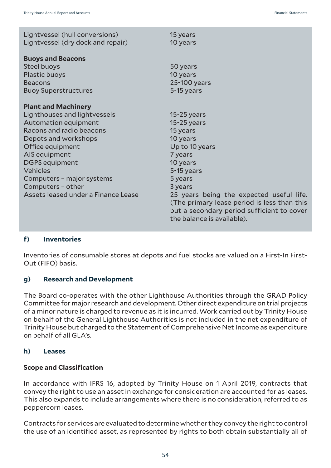| Lightvessel (hull conversions)<br>Lightvessel (dry dock and repair) | 15 years<br>10 years                                                                                                                                                |
|---------------------------------------------------------------------|---------------------------------------------------------------------------------------------------------------------------------------------------------------------|
| <b>Buoys and Beacons</b>                                            |                                                                                                                                                                     |
| Steel buoys                                                         | 50 years                                                                                                                                                            |
| Plastic buoys                                                       | 10 years                                                                                                                                                            |
| <b>Beacons</b>                                                      | 25-100 years                                                                                                                                                        |
| <b>Buoy Superstructures</b>                                         | 5-15 years                                                                                                                                                          |
| <b>Plant and Machinery</b>                                          |                                                                                                                                                                     |
| Lighthouses and lightvessels                                        | $15-25$ years                                                                                                                                                       |
| Automation equipment                                                | $15-25$ years                                                                                                                                                       |
| Racons and radio beacons                                            | 15 years                                                                                                                                                            |
| Depots and workshops                                                | 10 years                                                                                                                                                            |
| Office equipment                                                    | Up to 10 years                                                                                                                                                      |
| AIS equipment                                                       | 7 years                                                                                                                                                             |
| <b>DGPS</b> equipment                                               | 10 years                                                                                                                                                            |
| <b>Vehicles</b>                                                     | 5-15 years                                                                                                                                                          |
| Computers - major systems                                           | 5 years                                                                                                                                                             |
| Computers - other                                                   | 3 years                                                                                                                                                             |
| Assets leased under a Finance Lease                                 | 25 years being the expected useful life.<br>(The primary lease period is less than this<br>but a secondary period sufficient to cover<br>the balance is available). |

#### **f) Inventories**

Inventories of consumable stores at depots and fuel stocks are valued on a First-In First-Out (FIFO) basis.

#### **g) Research and Development**

The Board co-operates with the other Lighthouse Authorities through the GRAD Policy Committee for major research and development. Other direct expenditure on trial projects of a minor nature is charged to revenue as it is incurred. Work carried out by Trinity House on behalf of the General Lighthouse Authorities is not included in the net expenditure of Trinity House but charged to the Statement of Comprehensive Net Income as expenditure on behalf of all GLA's.

#### **h) Leases**

#### **Scope and Classification**

In accordance with IFRS 16, adopted by Trinity House on 1 April 2019, contracts that convey the right to use an asset in exchange for consideration are accounted for as leases. This also expands to include arrangements where there is no consideration, referred to as peppercorn leases.

Contracts for services are evaluated to determine whether they convey the right to control the use of an identified asset, as represented by rights to both obtain substantially all of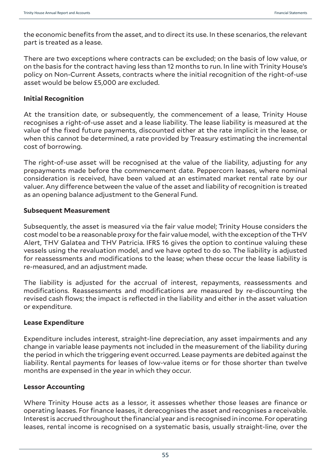the economic benefits from the asset, and to direct its use. In these scenarios, the relevant part is treated as a lease.

There are two exceptions where contracts can be excluded; on the basis of low value, or on the basis for the contract having less than 12 months to run. In line with Trinity House's policy on Non-Current Assets, contracts where the initial recognition of the right-of-use asset would be below £5,000 are excluded.

#### **Initial Recognition**

At the transition date, or subsequently, the commencement of a lease, Trinity House recognises a right-of-use asset and a lease liability. The lease liability is measured at the value of the fixed future payments, discounted either at the rate implicit in the lease, or when this cannot be determined, a rate provided by Treasury estimating the incremental cost of borrowing.

The right-of-use asset will be recognised at the value of the liability, adjusting for any prepayments made before the commencement date. Peppercorn leases, where nominal consideration is received, have been valued at an estimated market rental rate by our valuer. Any difference between the value of the asset and liability of recognition is treated as an opening balance adjustment to the General Fund.

## **Subsequent Measurement**

Subsequently, the asset is measured via the fair value model; Trinity House considers the cost model to be a reasonable proxy for the fair value model, with the exception of the THV Alert, THV Galatea and THV Patricia. IFRS 16 gives the option to continue valuing these vessels using the revaluation model, and we have opted to do so. The liability is adjusted for reassessments and modifications to the lease; when these occur the lease liability is re-measured, and an adjustment made.

The liability is adjusted for the accrual of interest, repayments, reassessments and modifications. Reassessments and modifications are measured by re-discounting the revised cash flows; the impact is reflected in the liability and either in the asset valuation or expenditure.

# **Lease Expenditure**

Expenditure includes interest, straight-line depreciation, any asset impairments and any change in variable lease payments not included in the measurement of the liability during the period in which the triggering event occurred. Lease payments are debited against the liability. Rental payments for leases of low-value items or for those shorter than twelve months are expensed in the year in which they occur.

#### **Lessor Accounting**

Where Trinity House acts as a lessor, it assesses whether those leases are finance or operating leases. For finance leases, it derecognises the asset and recognises a receivable. Interest is accrued throughout the financial year and is recognised in income. For operating leases, rental income is recognised on a systematic basis, usually straight-line, over the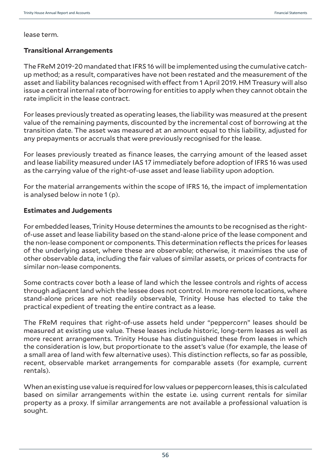lease term.

#### **Transitional Arrangements**

The FReM 2019-20 mandated that IFRS 16 will be implemented using the cumulative catchup method; as a result, comparatives have not been restated and the measurement of the asset and liability balances recognised with effect from 1 April 2019. HM Treasury will also issue a central internal rate of borrowing for entities to apply when they cannot obtain the rate implicit in the lease contract.

For leases previously treated as operating leases, the liability was measured at the present value of the remaining payments, discounted by the incremental cost of borrowing at the transition date. The asset was measured at an amount equal to this liability, adjusted for any prepayments or accruals that were previously recognised for the lease.

For leases previously treated as finance leases, the carrying amount of the leased asset and lease liability measured under IAS 17 immediately before adoption of IFRS 16 was used as the carrying value of the right-of-use asset and lease liability upon adoption.

For the material arrangements within the scope of IFRS 16, the impact of implementation is analysed below in note 1 (p).

#### **Estimates and Judgements**

For embedded leases, Trinity House determines the amounts to be recognised as the rightof-use asset and lease liability based on the stand-alone price of the lease component and the non-lease component or components. This determination reflects the prices for leases of the underlying asset, where these are observable; otherwise, it maximises the use of other observable data, including the fair values of similar assets, or prices of contracts for similar non-lease components.

Some contracts cover both a lease of land which the lessee controls and rights of access through adjacent land which the lessee does not control. In more remote locations, where stand-alone prices are not readily observable, Trinity House has elected to take the practical expedient of treating the entire contract as a lease.

The FReM requires that right-of-use assets held under "peppercorn" leases should be measured at existing use value. These leases include historic, long-term leases as well as more recent arrangements. Trinity House has distinguished these from leases in which the consideration is low, but proportionate to the asset's value (for example, the lease of a small area of land with few alternative uses). This distinction reflects, so far as possible, recent, observable market arrangements for comparable assets (for example, current rentals).

When an existing use value is required for low values or peppercorn leases, this is calculated based on similar arrangements within the estate i.e. using current rentals for similar property as a proxy. If similar arrangements are not available a professional valuation is sought.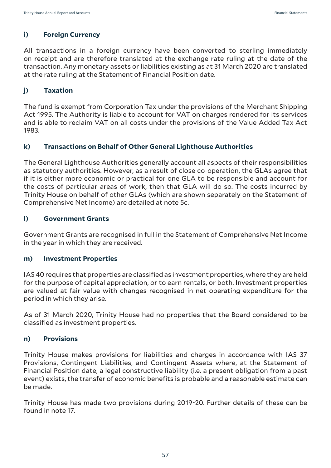## **i) Foreign Currency**

All transactions in a foreign currency have been converted to sterling immediately on receipt and are therefore translated at the exchange rate ruling at the date of the transaction. Any monetary assets or liabilities existing as at 31 March 2020 are translated at the rate ruling at the Statement of Financial Position date.

#### **j) Taxation**

The fund is exempt from Corporation Tax under the provisions of the Merchant Shipping Act 1995. The Authority is liable to account for VAT on charges rendered for its services and is able to reclaim VAT on all costs under the provisions of the Value Added Tax Act 1983.

#### **k) Transactions on Behalf of Other General Lighthouse Authorities**

The General Lighthouse Authorities generally account all aspects of their responsibilities as statutory authorities. However, as a result of close co-operation, the GLAs agree that if it is either more economic or practical for one GLA to be responsible and account for the costs of particular areas of work, then that GLA will do so. The costs incurred by Trinity House on behalf of other GLAs (which are shown separately on the Statement of Comprehensive Net Income) are detailed at note 5c.

#### **l) Government Grants**

Government Grants are recognised in full in the Statement of Comprehensive Net Income in the year in which they are received.

#### **m) Investment Properties**

IAS 40 requires that properties are classified as investment properties, where they are held for the purpose of capital appreciation, or to earn rentals, or both. Investment properties are valued at fair value with changes recognised in net operating expenditure for the period in which they arise.

As of 31 March 2020, Trinity House had no properties that the Board considered to be classified as investment properties.

#### **n) Provisions**

Trinity House makes provisions for liabilities and charges in accordance with IAS 37 Provisions, Contingent Liabilities, and Contingent Assets where, at the Statement of Financial Position date, a legal constructive liability (i.e. a present obligation from a past event) exists, the transfer of economic benefits is probable and a reasonable estimate can be made.

Trinity House has made two provisions during 2019-20. Further details of these can be found in note 17.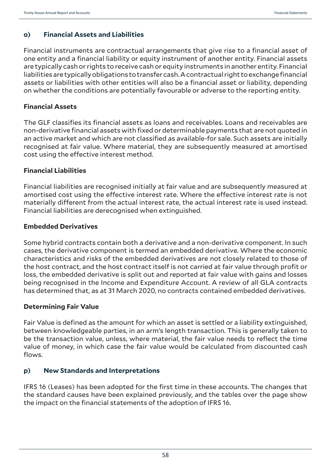# **o) Financial Assets and Liabilities**

Financial instruments are contractual arrangements that give rise to a financial asset of one entity and a financial liability or equity instrument of another entity. Financial assets are typically cash or rights to receive cash or equity instruments in another entity. Financial liabilities are typically obligations to transfer cash. A contractual right to exchange financial assets or liabilities with other entities will also be a financial asset or liability, depending on whether the conditions are potentially favourable or adverse to the reporting entity.

# **Financial Assets**

The GLF classifies its financial assets as loans and receivables. Loans and receivables are non-derivative financial assets with fixed or determinable payments that are not quoted in an active market and which are not classified as available-for sale. Such assets are initially recognised at fair value. Where material, they are subsequently measured at amortised cost using the effective interest method.

## **Financial Liabilities**

Financial liabilities are recognised initially at fair value and are subsequently measured at amortised cost using the effective interest rate. Where the effective interest rate is not materially different from the actual interest rate, the actual interest rate is used instead. Financial liabilities are derecognised when extinguished.

## **Embedded Derivatives**

Some hybrid contracts contain both a derivative and a non-derivative component. In such cases, the derivative component is termed an embedded derivative. Where the economic characteristics and risks of the embedded derivatives are not closely related to those of the host contract, and the host contract itself is not carried at fair value through profit or loss, the embedded derivative is split out and reported at fair value with gains and losses being recognised in the Income and Expenditure Account. A review of all GLA contracts has determined that, as at 31 March 2020, no contracts contained embedded derivatives.

#### **Determining Fair Value**

Fair Value is defined as the amount for which an asset is settled or a liability extinguished, between knowledgeable parties, in an arm's length transaction. This is generally taken to be the transaction value, unless, where material, the fair value needs to reflect the time value of money, in which case the fair value would be calculated from discounted cash flows.

# **p) New Standards and Interpretations**

IFRS 16 (Leases) has been adopted for the first time in these accounts. The changes that the standard causes have been explained previously, and the tables over the page show the impact on the financial statements of the adoption of IFRS 16.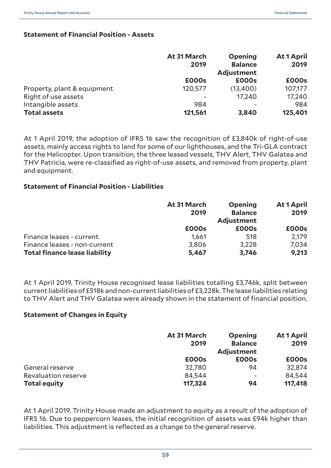#### **Statement of Financial Position - Assets**

|                             | At 31 March<br>2019 | <b>Opening</b><br><b>Balance</b><br><b>Adjustment</b> | At 1 April<br>2019 |
|-----------------------------|---------------------|-------------------------------------------------------|--------------------|
|                             | £000s               | £000s                                                 | £000s              |
| Property, plant & equipment | 120,577             | (13,400)                                              | 107,177            |
| Right of use assets         |                     | 17.240                                                | 17,240             |
| Intangible assets           | 984                 |                                                       | 984                |
| <b>Total assets</b>         | 121,561             | 3,840                                                 | 125,401            |

At 1 April 2019, the adoption of IFRS 16 saw the recognition of £3,840k of right-of-use assets, mainly access rights to land for some of our lighthouses, and the Tri-GLA contract for the Helicopter. Upon transition, the three leased vessels, THV Alert, THV Galatea and THV Patricia, were re-classified as right-of-use assets, and removed from property, plant and equipment.

#### **Statement of Financial Position - Liabilities**

|                                      | At 31 March  | <b>Opening</b>    | At 1 April |
|--------------------------------------|--------------|-------------------|------------|
|                                      | 2019         | <b>Balance</b>    | 2019       |
|                                      |              | <b>Adjustment</b> |            |
|                                      | <b>£000s</b> | £000s             | £000s      |
| Finance leases - current             | 1,661        | 518               | 2,179      |
| Finance leases - non-current         | 3,806        | 3,228             | 7,034      |
| <b>Total finance lease liability</b> | 5,467        | 3,746             | 9,213      |

At 1 April 2019, Trinity House recognised lease liabilities totalling £3,746k, split between current liabilities of £518k and non-current liabilities of £3,228k. The lease liabilities relating to THV Alert and THV Galatea were already shown in the statement of financial position.

#### **Statement of Changes in Equity**

|                     | At 31 March<br>2019 | <b>Opening</b><br><b>Balance</b><br>Adjustment | At 1 April<br>2019 |
|---------------------|---------------------|------------------------------------------------|--------------------|
|                     | £000s               | £000s                                          | £000s              |
| General reserve     | 32,780              | 94                                             | 32,874             |
| Revaluation reserve | 84,544              | $\overline{\phantom{a}}$                       | 84,544             |
| <b>Total equity</b> | 117,324             | 94                                             | 117,418            |

At 1 April 2019, Trinity House made an adjustment to equity as a result of the adoption of IFRS 16. Due to peppercorn leases, the initial recognition of assets was £94k higher than liabilities. This adjustment is reflected as a change to the general reserve.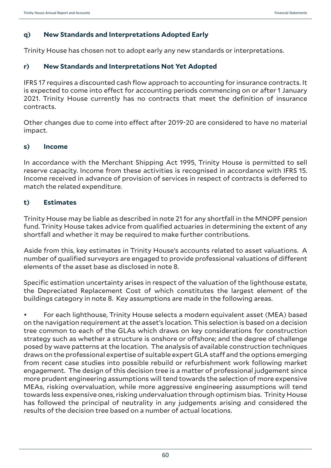## **q) New Standards and Interpretations Adopted Early**

Trinity House has chosen not to adopt early any new standards or interpretations.

#### **r) New Standards and Interpretations Not Yet Adopted**

IFRS 17 requires a discounted cash flow approach to accounting for insurance contracts. It is expected to come into effect for accounting periods commencing on or after 1 January 2021. Trinity House currently has no contracts that meet the definition of insurance contracts.

Other changes due to come into effect after 2019-20 are considered to have no material impact.

#### **s) Income**

In accordance with the Merchant Shipping Act 1995, Trinity House is permitted to sell reserve capacity. Income from these activities is recognised in accordance with IFRS 15. Income received in advance of provision of services in respect of contracts is deferred to match the related expenditure.

#### **t) Estimates**

Trinity House may be liable as described in note 21 for any shortfall in the MNOPF pension fund. Trinity House takes advice from qualified actuaries in determining the extent of any shortfall and whether it may be required to make further contributions.

Aside from this, key estimates in Trinity House's accounts related to asset valuations. A number of qualified surveyors are engaged to provide professional valuations of different elements of the asset base as disclosed in note 8.

Specific estimation uncertainty arises in respect of the valuation of the lighthouse estate, the Depreciated Replacement Cost of which constitutes the largest element of the buildings category in note 8. Key assumptions are made in the following areas.

• For each lighthouse, Trinity House selects a modern equivalent asset (MEA) based on the navigation requirement at the asset's location. This selection is based on a decision tree common to each of the GLAs which draws on key considerations for construction strategy such as whether a structure is onshore or offshore; and the degree of challenge posed by wave patterns at the location. The analysis of available construction techniques draws on the professional expertise of suitable expert GLA staff and the options emerging from recent case studies into possible rebuild or refurbishment work following market engagement. The design of this decision tree is a matter of professional judgement since more prudent engineering assumptions will tend towards the selection of more expensive MEAs, risking overvaluation, while more aggressive engineering assumptions will tend towards less expensive ones, risking undervaluation through optimism bias. Trinity House has followed the principal of neutrality in any judgements arising and considered the results of the decision tree based on a number of actual locations.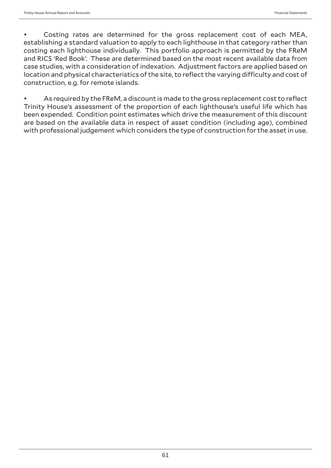• Costing rates are determined for the gross replacement cost of each MEA, establishing a standard valuation to apply to each lighthouse in that category rather than costing each lighthouse individually. This portfolio approach is permitted by the FReM and RICS 'Red Book'. These are determined based on the most recent available data from case studies, with a consideration of indexation. Adjustment factors are applied based on location and physical characteristics of the site, to reflect the varying difficulty and cost of construction, e.g. for remote islands.

As required by the FReM, a discount is made to the gross replacement cost to reflect Trinity House's assessment of the proportion of each lighthouse's useful life which has been expended. Condition point estimates which drive the measurement of this discount are based on the available data in respect of asset condition (including age), combined with professional judgement which considers the type of construction for the asset in use.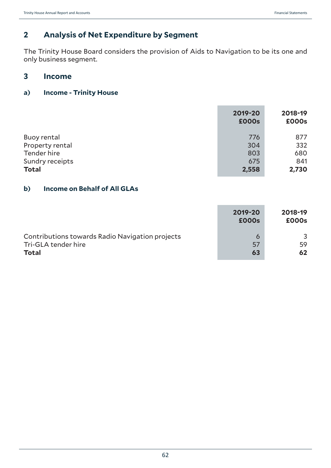# **2 Analysis of Net Expenditure by Segment**

The Trinity House Board considers the provision of Aids to Navigation to be its one and only business segment.

# **3 Income**

#### **a) Income - Trinity House**

|                    | 2019-20<br><b>£000s</b> | 2018-19<br>£000s |
|--------------------|-------------------------|------------------|
| <b>Buoy rental</b> | 776                     | 877              |
| Property rental    | 304                     | 332              |
| Tender hire        | 803                     | 680              |
| Sundry receipts    | 675                     | 841              |
| <b>Total</b>       | 2,558                   | 2,730            |

# **b) Income on Behalf of All GLAs**

|                                                 | 2019-20<br><b>£000s</b> | 2018-19<br>£000s |
|-------------------------------------------------|-------------------------|------------------|
| Contributions towards Radio Navigation projects | 6                       | 3                |
| Tri-GLA tender hire                             | 57                      | 59               |
| <b>Total</b>                                    | 63                      | 62               |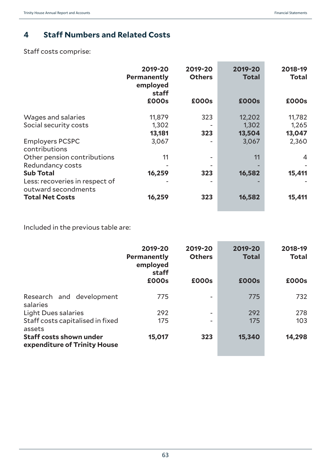# **4 Staff Numbers and Related Costs**

Staff costs comprise:

|                                                       | 2019-20<br>Permanently<br>employed<br>staff | 2019-20<br><b>Others</b> | 2019-20<br><b>Total</b> | 2018-19<br><b>Total</b> |
|-------------------------------------------------------|---------------------------------------------|--------------------------|-------------------------|-------------------------|
|                                                       | £000s                                       | £000s                    | <b>£000s</b>            | £000s                   |
| Wages and salaries                                    | 11,879                                      | 323                      | 12,202                  | 11,782                  |
| Social security costs                                 | 1,302                                       |                          | 1,302                   | 1,265                   |
|                                                       | 13,181                                      | 323                      | 13,504                  | 13,047                  |
| <b>Employers PCSPC</b><br>contributions               | 3,067                                       |                          | 3,067                   | 2,360                   |
| Other pension contributions                           | 11                                          |                          | 11                      | 4                       |
| Redundancy costs                                      |                                             |                          |                         |                         |
| <b>Sub Total</b>                                      | 16,259                                      | 323                      | 16,582                  | 15,411                  |
| Less: recoveries in respect of<br>outward secondments |                                             |                          |                         |                         |
| <b>Total Net Costs</b>                                | 16,259                                      | 323                      | 16,582                  | 15,411                  |

Included in the previous table are:

|                                                                | 2019-20<br><b>Permanently</b><br>employed<br>staff | 2019-20<br><b>Others</b> | 2019-20<br><b>Total</b> | 2018-19<br><b>Total</b> |
|----------------------------------------------------------------|----------------------------------------------------|--------------------------|-------------------------|-------------------------|
|                                                                | £000s                                              | £000s                    | <b>£000s</b>            | £000s                   |
| Research and development<br>salaries                           | 775                                                | -                        | 775                     | 732                     |
| <b>Light Dues salaries</b>                                     | 292                                                | $\overline{\phantom{a}}$ | 292                     | 278                     |
| Staff costs capitalised in fixed<br>assets                     | 175                                                |                          | 175                     | 103                     |
| <b>Staff costs shown under</b><br>expenditure of Trinity House | 15,017                                             | 323                      | 15,340                  | 14,298                  |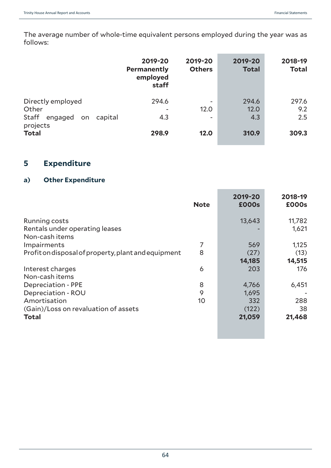The average number of whole-time equivalent persons employed during the year was as follows:

|                                                              | 2019-20<br>Permanently<br>employed<br>staff | 2019-20<br><b>Others</b> | 2019-20<br><b>Total</b> | 2018-19<br><b>Total</b> |
|--------------------------------------------------------------|---------------------------------------------|--------------------------|-------------------------|-------------------------|
| Directly employed<br>Other<br>Staff<br>engaged on<br>capital | 294.6<br>4.3                                | ۰<br>12.0<br>۰           | 294.6<br>12.0<br>4.3    | 297.6<br>9.2<br>2.5     |
| projects<br><b>Total</b>                                     | 298.9                                       | 12.0                     | 310.9                   | 309.3                   |

# **5 Expenditure**

#### **a) Other Expenditure**

|                                                     | <b>Note</b> | 2019-20<br><b>£000s</b> | 2018-19<br>£000s |
|-----------------------------------------------------|-------------|-------------------------|------------------|
| <b>Running costs</b>                                |             | 13,643                  | 11,782           |
| Rentals under operating leases                      |             |                         | 1,621            |
| Non-cash items                                      |             |                         |                  |
| Impairments                                         | 7           | 569                     | 1,125            |
| Profit on disposal of property, plant and equipment | 8           | (27)                    | (13)             |
|                                                     |             | 14,185                  | 14,515           |
| Interest charges                                    | 6           | 203                     | 176              |
| Non-cash items                                      |             |                         |                  |
| <b>Depreciation - PPE</b>                           | 8           | 4,766                   | 6,451            |
| Depreciation - ROU                                  | 9           | 1,695                   |                  |
| Amortisation                                        | 10          | 332                     | 288              |
| (Gain)/Loss on revaluation of assets                |             | (122)                   | 38               |
| <b>Total</b>                                        |             | 21,059                  | 21,468           |
|                                                     |             |                         |                  |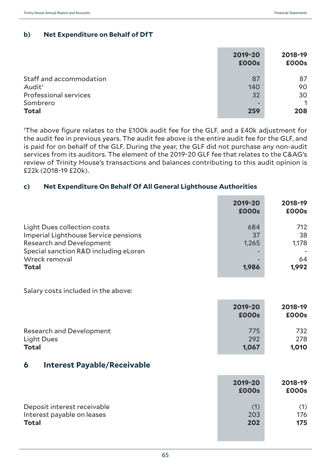## **b) Net Expenditure on Behalf of DfT**

|                              | 2019-20<br><b>£000s</b> | 2018-19<br>£000s |
|------------------------------|-------------------------|------------------|
| Staff and accommodation      | 87                      | 87               |
| Audit <sup>1</sup>           | 140                     | 90               |
| <b>Professional services</b> | 32                      | 30               |
| Sombrero                     |                         | 1                |
| <b>Total</b>                 | 259                     | 208              |
|                              |                         |                  |

1 The above figure relates to the £100k audit fee for the GLF, and a £40k adjustment for the audit fee in previous years. The audit fee above is the entire audit fee for the GLF, and is paid for on behalf of the GLF. During the year, the GLF did not purchase any non-audit services from its auditors. The element of the 2019-20 GLF fee that relates to the C&AG's review of Trinity House's transactions and balances contributing to this audit opinion is £22k (2018-19 £20k).

#### **c) Net Expenditure On Behalf Of All General Lighthouse Authorities**

|                                                                                                                                                                                  | 2019-20<br><b>£000s</b>     | 2018-19<br>£000s                  |
|----------------------------------------------------------------------------------------------------------------------------------------------------------------------------------|-----------------------------|-----------------------------------|
| Light Dues collection costs<br>Imperial Lighthouse Service pensions<br><b>Research and Development</b><br>Special sanction R&D including eLoran<br>Wreck removal<br><b>Total</b> | 684<br>37<br>1,265<br>1,986 | 712<br>38<br>1,178<br>64<br>1,992 |
| Salary costs included in the above:                                                                                                                                              |                             |                                   |
|                                                                                                                                                                                  | 2019-20<br><b>£000s</b>     | 2018-19<br>£000s                  |
| <b>Research and Development</b><br>Light Dues<br><b>Total</b>                                                                                                                    | 775<br>292<br>1,067         | 732<br>278<br>1,010               |
| <b>Interest Payable/Receivable</b><br>6                                                                                                                                          |                             |                                   |
|                                                                                                                                                                                  | 2019-20<br><b>£000s</b>     | 2018-19<br>£000s                  |
| Deposit interest receivable<br>Interest payable on leases<br><b>Total</b>                                                                                                        | (1)<br>203<br>202           | (1)<br>176<br>175                 |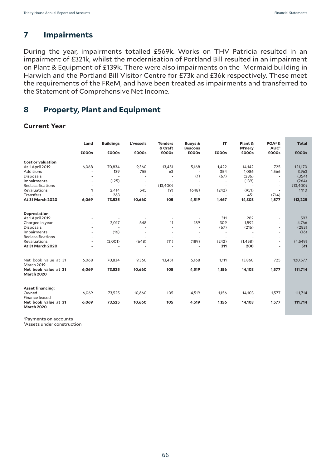# **7 Impairments**

During the year, impairments totalled £569k. Works on THV Patricia resulted in an impairment of £321k, whilst the modernisation of Portland Bill resulted in an impairment on Plant & Equipment of £139k. There were also impairments on the Mermaid building in Harwich and the Portland Bill Visitor Centre for £73k and £36k respectively. These meet the requirements of the FReM, and have been treated as impairments and transferred to the Statement of Comprehensive Net Income.

# **8 Property, Plant and Equipment**

#### **Current Year**

|                                           | Land  | <b>Buildings</b> | L'vessels                | <b>Tenders</b><br>& Craft | <b>Buoys &amp;</b><br><b>Beacons</b> | IT                       | Plant &<br>M'nery | $POA2$ &<br>AUC <sup>3</sup> | <b>Total</b> |
|-------------------------------------------|-------|------------------|--------------------------|---------------------------|--------------------------------------|--------------------------|-------------------|------------------------------|--------------|
|                                           | £000s | £000s            | £000s                    | £000s                     | £000s                                | £000s                    | £000s             | £000s                        | £000s        |
| <b>Cost or valuation</b>                  |       |                  |                          |                           |                                      |                          |                   |                              |              |
| At 1 April 2019                           | 6,068 | 70,834           | 9,360                    | 13,451                    | 5,168                                | 1,422                    | 14,142            | 725                          | 121,170      |
| Additions                                 |       | 139              | 755                      | 63                        |                                      | 354                      | 1,086             | 1,566                        | 3,963        |
| Disposals                                 |       |                  |                          |                           | (1)                                  | (67)                     | (286)             | $\overline{\phantom{a}}$     | (354)        |
| Impairments                               |       | (125)            |                          |                           |                                      |                          | (139)             | ٠                            | (264)        |
| <b>Reclassifications</b>                  |       |                  | $\overline{\phantom{a}}$ | (13,400)                  |                                      |                          |                   | $\sim$                       | (13,400)     |
| Revaluations                              | 1     | 2,414            | 545                      | (9)                       | (648)                                | (242)                    | (951)             | ٠                            | 1,110        |
| <b>Transfers</b>                          |       | 263              | $\sim$                   |                           | $\sim$                               | $\overline{\phantom{a}}$ | 451               | (714)                        |              |
| At 31 March 2020                          | 6,069 | 73,525           | 10,660                   | 105                       | 4,519                                | 1,467                    | 14,303            | 1,577                        | 112,225      |
| <b>Depreciation</b>                       |       |                  |                          |                           |                                      |                          |                   |                              |              |
| At 1 April 2019                           |       |                  |                          |                           |                                      | 311                      | 282               | $\sim$                       | 593          |
| Charged in year                           |       | 2,017            | 648                      | 11                        | 189                                  | 309                      | 1,592             |                              | 4,766        |
| <b>Disposals</b>                          |       |                  |                          | ٠                         | $\sim$                               | (67)                     | (216)             |                              | (283)        |
| Impairments                               |       | (16)             |                          | ٠                         | ٠                                    | $\overline{\phantom{a}}$ |                   | ٠                            | (16)         |
| Reclassifications                         |       |                  |                          | ٠                         |                                      | $\overline{\phantom{a}}$ |                   |                              |              |
| Revaluations                              |       | (2,001)          | (648)                    | (11)                      | (189)                                | (242)                    | (1,458)           | $\overline{\phantom{a}}$     | (4,549)      |
| At 31 March 2020                          |       |                  |                          |                           |                                      | 311                      | 200               | ٠                            | 511          |
| Net book value at 31                      | 6,068 | 70,834           | 9,360                    | 13,451                    | 5,168                                | 1,111                    | 13,860            | 725                          | 120,577      |
| March 2019                                |       |                  |                          |                           |                                      |                          |                   |                              |              |
| Net book value at 31<br><b>March 2020</b> | 6,069 | 73,525           | 10,660                   | 105                       | 4,519                                | 1,156                    | 14,103            | 1,577                        | 111,714      |
| <b>Asset financing:</b>                   |       |                  |                          |                           |                                      |                          |                   |                              |              |
| Owned                                     | 6,069 | 73,525           | 10,660                   | 105                       | 4,519                                | 1,156                    | 14,103            | 1,577                        | 111,714      |
| Finance leased                            |       |                  |                          |                           |                                      |                          |                   | $\overline{a}$               |              |
| Net book value at 31<br><b>March 2020</b> | 6,069 | 73,525           | 10,660                   | 105                       | 4,519                                | 1,156                    | 14,103            | 1,577                        | 111,714      |

2Payments on accounts

3 Assets under construction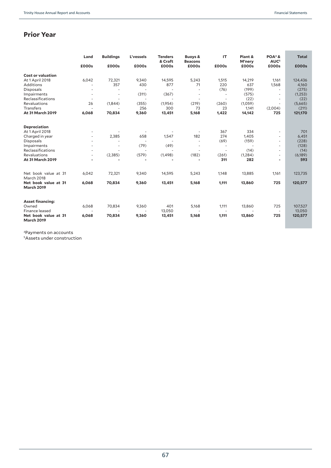# **Prior Year**

|                                           | Land   | <b>Buildings</b> | L'vessels      | <b>Tenders</b><br>& Craft | <b>Buoys &amp;</b><br><b>Beacons</b> | IT             | Plant &<br>M'nery | $POA4$ &<br>AUC <sup>5</sup> | Total    |
|-------------------------------------------|--------|------------------|----------------|---------------------------|--------------------------------------|----------------|-------------------|------------------------------|----------|
|                                           | £000s  | £000s            | £000s          | £000s                     | £000s                                | £000s          | £000s             | £000s                        | £000s    |
| <b>Cost or valuation</b>                  |        |                  |                |                           |                                      |                |                   |                              |          |
| At 1 April 2018                           | 6,042  | 72,321           | 9,340          | 14,595                    | 5,243                                | 1,515          | 14,219            | 1,161                        | 124,436  |
| Additions                                 | ÷.     | 357              | 430            | 877                       | 71                                   | 220            | 637               | 1,568                        | 4,160    |
| Disposals                                 |        | ٠                | ÷.             |                           |                                      | (76)           | (199)             | $\sim$                       | (275)    |
| Impairments                               |        | ۰                | (311)          | (367)                     |                                      |                | (575)             |                              | (1,253)  |
| Reclassifications                         | $\sim$ | ÷,               | $\overline{a}$ |                           |                                      |                | (22)              |                              | (22)     |
| Revaluations                              | 26     | (1,844)          | (355)          | (1,954)                   | (219)                                | (260)          | (1,059)           |                              | (5,665)  |
| Transfers                                 | $\sim$ |                  | 256            | 300                       | 73                                   | 23             | 1,141             | (2,004)                      | (211)    |
| At 31 March 2019                          | 6,068  | 70,834           | 9,360          | 13,451                    | 5,168                                | 1,422          | 14,142            | 725                          | 121,170  |
| Depreciation                              |        |                  |                |                           |                                      |                |                   |                              |          |
| At 1 April 2018                           |        |                  |                |                           |                                      | 367            | 334               | $\sim$                       | 701      |
| Charged in year                           | ÷.     | 2,385            | 658            | 1,547                     | 182                                  | 274            | 1,405             | ٠                            | 6,451    |
| Disposals                                 |        |                  |                |                           |                                      | (69)           | (159)             | ٠                            | (228)    |
| Impairments                               |        | ÷,               | (79)           | (49)                      |                                      |                |                   | ٠                            | (128)    |
| Reclassifications                         |        |                  |                |                           |                                      |                | (14)              | ٠                            | (14)     |
| Revaluations                              | ÷.     | (2, 385)         | (579)          | (1,498)                   | (182)                                | (261)          | (1, 284)          | ٠                            | (6, 189) |
| At 31 March 2019                          |        |                  |                |                           |                                      | 311            | 282               | ۰                            | 593      |
|                                           |        |                  |                |                           |                                      |                |                   |                              |          |
| Net book value at 31<br>March 2018        | 6,042  | 72,321           | 9,340          | 14,595                    | 5,243                                | 1,148          | 13,885            | 1,161                        | 123,735  |
| Net book value at 31<br><b>March 2019</b> | 6,068  | 70,834           | 9,360          | 13,451                    | 5,168                                | 1,111          | 13,860            | 725                          | 120,577  |
| <b>Asset financing:</b>                   |        |                  |                |                           |                                      |                |                   |                              |          |
| Owned                                     | 6,068  | 70,834           | 9,360          | 401                       | 5,168                                | 1,111          | 13,860            | 725                          | 107,527  |
| Finance leased                            |        |                  |                | 13,050                    |                                      | $\overline{a}$ |                   | $\overline{\phantom{a}}$     | 13,050   |
| Net book value at 31<br><b>March 2019</b> | 6,068  | 70,834           | 9,360          | 13,451                    | 5,168                                | 1,111          | 13,860            | 725                          | 120,577  |

4Payments on accounts

5Assets under construction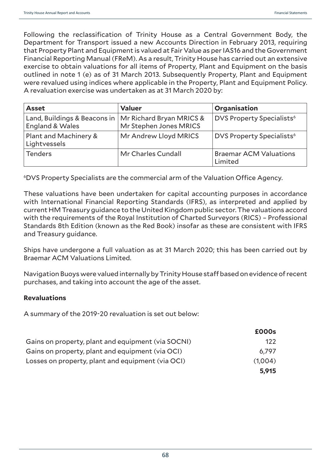Following the reclassification of Trinity House as a Central Government Body, the Department for Transport issued a new Accounts Direction in February 2013, requiring that Property Plant and Equipment is valued at Fair Value as per IAS16 and the Government Financial Reporting Manual (FReM). As a result, Trinity House has carried out an extensive exercise to obtain valuations for all items of Property, Plant and Equipment on the basis outlined in note 1 (e) as of 31 March 2013. Subsequently Property, Plant and Equipment were revalued using indices where applicable in the Property, Plant and Equipment Policy. A revaluation exercise was undertaken as at 31 March 2020 by:

| <b>Asset</b>                                                               | <b>Valuer</b>          | Organisation                             |
|----------------------------------------------------------------------------|------------------------|------------------------------------------|
| Land, Buildings & Beacons in   Mr Richard Bryan MRICS &<br>England & Wales | Mr Stephen Jones MRICS | DVS Property Specialists <sup>6</sup>    |
| Plant and Machinery &<br>Lightvessels                                      | Mr Andrew Lloyd MRICS  | DVS Property Specialists <sup>6</sup>    |
| <b>Tenders</b>                                                             | Mr Charles Cundall     | <b>Braemar ACM Valuations</b><br>Limited |

6DVS Property Specialists are the commercial arm of the Valuation Office Agency.

These valuations have been undertaken for capital accounting purposes in accordance with International Financial Reporting Standards (IFRS), as interpreted and applied by current HM Treasury guidance to the United Kingdom public sector. The valuations accord with the requirements of the Royal Institution of Charted Surveyors (RICS) – Professional Standards 8th Edition (known as the Red Book) insofar as these are consistent with IFRS and Treasury guidance.

Ships have undergone a full valuation as at 31 March 2020; this has been carried out by Braemar ACM Valuations Limited.

Navigation Buoys were valued internally by Trinity House staff based on evidence of recent purchases, and taking into account the age of the asset.

#### **Revaluations**

A summary of the 2019-20 revaluation is set out below:

|                                                    | £000s   |
|----------------------------------------------------|---------|
| Gains on property, plant and equipment (via SOCNI) | 122     |
| Gains on property, plant and equipment (via OCI)   | 6.797   |
| Losses on property, plant and equipment (via OCI)  | (1,004) |
|                                                    | 5,915   |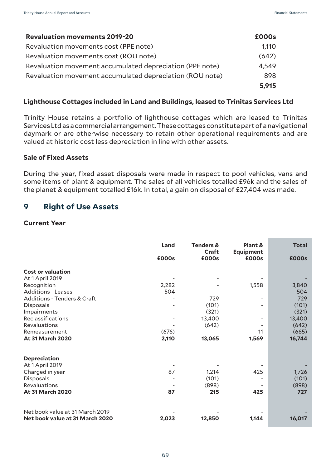| <b>Revaluation movements 2019-20</b>                     | £000s |
|----------------------------------------------------------|-------|
| Revaluation movements cost (PPE note)                    | 1,110 |
| Revaluation movements cost (ROU note)                    | (642) |
| Revaluation movement accumulated depreciation (PPE note) | 4,549 |
| Revaluation movement accumulated depreciation (ROU note) | 898   |
|                                                          | 5,915 |

#### **Lighthouse Cottages included in Land and Buildings, leased to Trinitas Services Ltd**

Trinity House retains a portfolio of lighthouse cottages which are leased to Trinitas Services Ltd as a commercial arrangement. These cottages constitute part of a navigational daymark or are otherwise necessary to retain other operational requirements and are valued at historic cost less depreciation in line with other assets.

#### **Sale of Fixed Assets**

During the year, fixed asset disposals were made in respect to pool vehicles, vans and some items of plant & equipment. The sales of all vehicles totalled £96k and the sales of the planet & equipment totalled £16k. In total, a gain on disposal of £27,404 was made.

## **9 Right of Use Assets**

#### **Current Year**

|                                        | Land  | <b>Tenders &amp;</b><br>Craft | Plant &<br><b>Equipment</b> | <b>Total</b> |  |
|----------------------------------------|-------|-------------------------------|-----------------------------|--------------|--|
|                                        | £000s | £000s                         | £000s                       | £000s        |  |
| <b>Cost or valuation</b>               |       |                               |                             |              |  |
| At 1 April 2019                        |       |                               |                             |              |  |
| Recognition                            | 2,282 |                               | 1,558                       | 3,840        |  |
| <b>Additions - Leases</b>              | 504   |                               |                             | 504          |  |
| <b>Additions - Tenders &amp; Craft</b> |       | 729                           |                             | 729          |  |
| <b>Disposals</b>                       |       | (101)                         |                             | (101)        |  |
| Impairments                            |       | (321)                         |                             | (321)        |  |
| Reclassifications                      |       | 13,400                        |                             | 13,400       |  |
| Revaluations                           |       | (642)                         |                             | (642)        |  |
| Remeasurement                          | (676) |                               | 11                          | (665)        |  |
| <b>At 31 March 2020</b>                | 2,110 | 13,065                        | 1,569                       | 16,744       |  |
| <b>Depreciation</b>                    |       |                               |                             |              |  |
| At 1 April 2019                        |       |                               |                             |              |  |
| Charged in year                        | 87    | 1,214                         | 425                         | 1,726        |  |
| <b>Disposals</b>                       |       | (101)                         |                             | (101)        |  |
| <b>Revaluations</b>                    |       | (898)                         |                             | (898)        |  |
| <b>At 31 March 2020</b>                | 87    | 215                           | 425                         | 727          |  |
| Net book value at 31 March 2019        |       |                               |                             |              |  |
| Net book value at 31 March 2020        | 2,023 | 12,850                        | 1,144                       | 16,017       |  |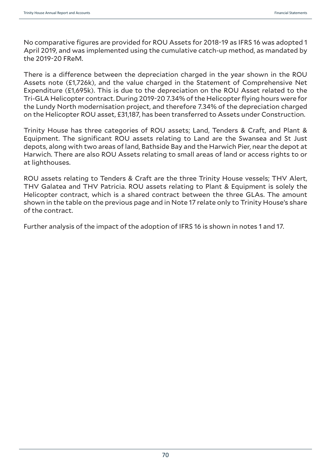No comparative figures are provided for ROU Assets for 2018-19 as IFRS 16 was adopted 1 April 2019, and was implemented using the cumulative catch-up method, as mandated by the 2019-20 FReM.

There is a difference between the depreciation charged in the year shown in the ROU Assets note (£1,726k), and the value charged in the Statement of Comprehensive Net Expenditure (£1,695k). This is due to the depreciation on the ROU Asset related to the Tri-GLA Helicopter contract. During 2019-20 7.34% of the Helicopter flying hours were for the Lundy North modernisation project, and therefore 7.34% of the depreciation charged on the Helicopter ROU asset, £31,187, has been transferred to Assets under Construction.

Trinity House has three categories of ROU assets; Land, Tenders & Craft, and Plant & Equipment. The significant ROU assets relating to Land are the Swansea and St Just depots, along with two areas of land, Bathside Bay and the Harwich Pier, near the depot at Harwich. There are also ROU Assets relating to small areas of land or access rights to or at lighthouses.

ROU assets relating to Tenders & Craft are the three Trinity House vessels; THV Alert, THV Galatea and THV Patricia. ROU assets relating to Plant & Equipment is solely the Helicopter contract, which is a shared contract between the three GLAs. The amount shown in the table on the previous page and in Note 17 relate only to Trinity House's share of the contract.

Further analysis of the impact of the adoption of IFRS 16 is shown in notes 1 and 17.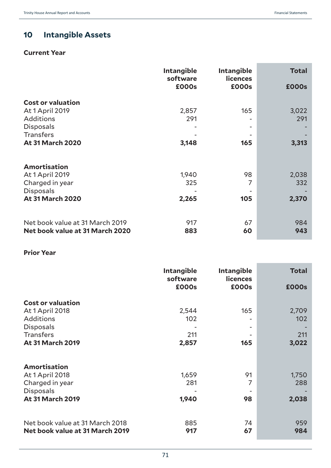# **10 Intangible Assets**

## **Current Year**

|                                                                    | <b>Intangible</b><br>software | <b>Intangible</b><br><b>licences</b> | <b>Total</b> |
|--------------------------------------------------------------------|-------------------------------|--------------------------------------|--------------|
|                                                                    | £000s                         | £000s                                | <b>£000s</b> |
| <b>Cost or valuation</b><br>At 1 April 2019                        | 2,857                         | 165                                  | 3,022        |
| <b>Additions</b><br><b>Disposals</b><br><b>Transfers</b>           | 291                           |                                      | 291          |
| <b>At 31 March 2020</b>                                            | 3,148                         | 165                                  | 3,313        |
| <b>Amortisation</b>                                                |                               |                                      |              |
| <b>At 1 April 2019</b>                                             | 1,940                         | 98                                   | 2,038        |
| Charged in year                                                    | 325                           | 7                                    | 332          |
| <b>Disposals</b><br><b>At 31 March 2020</b>                        | 2,265                         | 105                                  | 2,370        |
| Net book value at 31 March 2019<br>Net book value at 31 March 2020 | 917<br>883                    | 67<br>60                             | 984<br>943   |

#### **Prior Year**

|                                                                                                                                    | Intangible<br>software       | <b>Intangible</b><br><b>licences</b> | <b>Total</b>                 |
|------------------------------------------------------------------------------------------------------------------------------------|------------------------------|--------------------------------------|------------------------------|
|                                                                                                                                    | £000s                        | £000s                                | <b>£000s</b>                 |
| <b>Cost or valuation</b><br>At 1 April 2018<br><b>Additions</b><br><b>Disposals</b><br><b>Transfers</b><br><b>At 31 March 2019</b> | 2,544<br>102<br>211<br>2,857 | 165<br>165                           | 2,709<br>102<br>211<br>3,022 |
|                                                                                                                                    |                              |                                      |                              |
| <b>Amortisation</b><br>At 1 April 2018<br>Charged in year<br><b>Disposals</b><br><b>At 31 March 2019</b>                           | 1,659<br>281<br>1,940        | 91<br>7<br>98                        | 1,750<br>288<br>2,038        |
| Net book value at 31 March 2018<br>Net book value at 31 March 2019                                                                 | 885<br>917                   | 74<br>67                             | 959<br>984                   |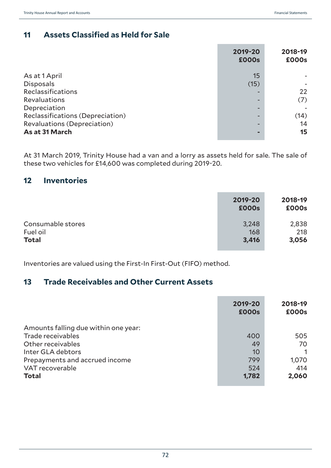# **11 Assets Classified as Held for Sale**

|                                    | 2019-20<br><b>£000s</b> | 2018-19<br>£000s |
|------------------------------------|-------------------------|------------------|
| As at 1 April                      | 15                      |                  |
| <b>Disposals</b>                   | (15)                    |                  |
| Reclassifications                  |                         | 22               |
| Revaluations                       |                         | (7)              |
| Depreciation                       |                         |                  |
| Reclassifications (Depreciation)   |                         | (14)             |
| <b>Revaluations (Depreciation)</b> |                         | 14               |
| As at 31 March                     |                         | 15               |

At 31 March 2019, Trinity House had a van and a lorry as assets held for sale. The sale of these two vehicles for £14,600 was completed during 2019-20.

## **12 Inventories**

|                   | 2019-20<br><b>£000s</b> | 2018-19<br>£000s |
|-------------------|-------------------------|------------------|
| Consumable stores | 3,248                   | 2,838            |
| Fuel oil          | 168                     | 218              |
| <b>Total</b>      | 3,416                   | 3,056            |

Inventories are valued using the First-In First-Out (FIFO) method.

## **13 Trade Receivables and Other Current Assets**

|                                      | 2019-20<br><b>£000s</b> | 2018-19<br>£000s |
|--------------------------------------|-------------------------|------------------|
| Amounts falling due within one year: |                         |                  |
| Trade receivables                    | 400                     | 505              |
| Other receivables                    | 49                      | 70               |
| Inter GLA debtors                    | 10                      |                  |
| Prepayments and accrued income       | 799                     | 1,070            |
| VAT recoverable                      | 524                     | 414              |
| <b>Total</b>                         | 1,782                   | 2,060            |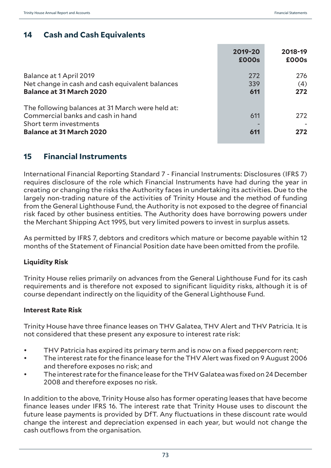# **14 Cash and Cash Equivalents**

|                                                                                                                                                    | 2019-20<br><b>£000s</b> | 2018-19<br>£000s  |
|----------------------------------------------------------------------------------------------------------------------------------------------------|-------------------------|-------------------|
| Balance at 1 April 2019<br>Net change in cash and cash equivalent balances<br><b>Balance at 31 March 2020</b>                                      | 272<br>339<br>611       | 276<br>(4)<br>272 |
| The following balances at 31 March were held at:<br>Commercial banks and cash in hand<br>Short term investments<br><b>Balance at 31 March 2020</b> | 611<br>611              | 272<br>272        |

## **15 Financial Instruments**

International Financial Reporting Standard 7 - Financial Instruments: Disclosures (IFRS 7) requires disclosure of the role which Financial Instruments have had during the year in creating or changing the risks the Authority faces in undertaking its activities. Due to the largely non-trading nature of the activities of Trinity House and the method of funding from the General Lighthouse Fund, the Authority is not exposed to the degree of financial risk faced by other business entities. The Authority does have borrowing powers under the Merchant Shipping Act 1995, but very limited powers to invest in surplus assets.

As permitted by IFRS 7, debtors and creditors which mature or become payable within 12 months of the Statement of Financial Position date have been omitted from the profile.

### **Liquidity Risk**

Trinity House relies primarily on advances from the General Lighthouse Fund for its cash requirements and is therefore not exposed to significant liquidity risks, although it is of course dependant indirectly on the liquidity of the General Lighthouse Fund.

### **Interest Rate Risk**

Trinity House have three finance leases on THV Galatea, THV Alert and THV Patricia. It is not considered that these present any exposure to interest rate risk:

- THV Patricia has expired its primary term and is now on a fixed peppercorn rent;
- The interest rate for the finance lease for the THV Alert was fixed on 9 August 2006 and therefore exposes no risk; and
- The interest rate for the finance lease for the THV Galatea was fixed on 24 December 2008 and therefore exposes no risk.

In addition to the above, Trinity House also has former operating leases that have become finance leases under IFRS 16. The interest rate that Trinity House uses to discount the future lease payments is provided by DfT. Any fluctuations in these discount rate would change the interest and depreciation expensed in each year, but would not change the cash outflows from the organisation.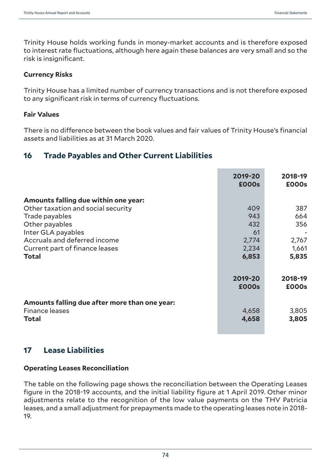Trinity House holds working funds in money-market accounts and is therefore exposed to interest rate fluctuations, although here again these balances are very small and so the risk is insignificant.

#### **Currency Risks**

Trinity House has a limited number of currency transactions and is not therefore exposed to any significant risk in terms of currency fluctuations.

#### **Fair Values**

There is no difference between the book values and fair values of Trinity House's financial assets and liabilities as at 31 March 2020.

### **16 Trade Payables and Other Current Liabilities**

|                                                                                                                                                                                                                        | 2019-20<br><b>£000s</b>                            | 2018-19<br>£000s                             |
|------------------------------------------------------------------------------------------------------------------------------------------------------------------------------------------------------------------------|----------------------------------------------------|----------------------------------------------|
| Amounts falling due within one year:<br>Other taxation and social security<br>Trade payables<br>Other payables<br>Inter GLA payables<br>Accruals and deferred income<br>Current part of finance leases<br><b>Total</b> | 409<br>943<br>432<br>61<br>2,774<br>2,234<br>6,853 | 387<br>664<br>356<br>2,767<br>1,661<br>5,835 |
|                                                                                                                                                                                                                        | 2019-20<br><b>£000s</b>                            | 2018-19<br>£000s                             |
| Amounts falling due after more than one year:<br><b>Finance leases</b><br>Total                                                                                                                                        | 4,658<br>4,658                                     | 3,805<br>3,805                               |

## **17 Lease Liabilities**

#### **Operating Leases Reconciliation**

The table on the following page shows the reconciliation between the Operating Leases figure in the 2018-19 accounts, and the initial liability figure at 1 April 2019. Other minor adjustments relate to the recognition of the low value payments on the THV Patricia leases, and a small adjustment for prepayments made to the operating leases note in 2018- 19.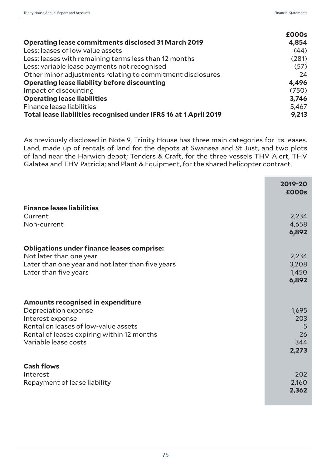|                                                                  | £000s |
|------------------------------------------------------------------|-------|
| <b>Operating lease commitments disclosed 31 March 2019</b>       | 4,854 |
| Less: leases of low value assets                                 | (44)  |
| Less: leases with remaining terms less than 12 months            | (281) |
| Less: variable lease payments not recognised                     | (57)  |
| Other minor adjustments relating to commitment disclosures       | 24    |
| <b>Operating lease liability before discounting</b>              | 4,496 |
| Impact of discounting                                            | (750) |
| <b>Operating lease liabilities</b>                               | 3,746 |
| Finance lease liabilities                                        | 5,467 |
| Total lease liabilities recognised under IFRS 16 at 1 April 2019 | 9,213 |

As previously disclosed in Note 9, Trinity House has three main categories for its leases. Land, made up of rentals of land for the depots at Swansea and St Just, and two plots of land near the Harwich depot; Tenders & Craft, for the three vessels THV Alert, THV Galatea and THV Patricia; and Plant & Equipment, for the shared helicopter contract.

|                                                   | 2019-20<br>£000s |
|---------------------------------------------------|------------------|
| <b>Finance lease liabilities</b>                  |                  |
| Current                                           | 2,234            |
| Non-current                                       | 4,658            |
|                                                   | 6,892            |
| <b>Obligations under finance leases comprise:</b> |                  |
| Not later than one year                           | 2,234            |
| Later than one year and not later than five years | 3,208            |
| Later than five years                             | 1,450            |
|                                                   | 6,892            |
| <b>Amounts recognised in expenditure</b>          |                  |
| Depreciation expense                              | 1,695            |
| Interest expense                                  | 203              |
| Rental on leases of low-value assets              | 5                |
| Rental of leases expiring within 12 months        | 26               |
| Variable lease costs                              | 344              |
|                                                   | 2,273            |
| <b>Cash flows</b>                                 |                  |
| Interest                                          | 202              |
| Repayment of lease liability                      | 2,160            |
|                                                   | 2,362            |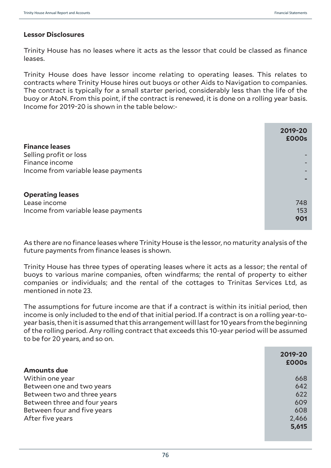#### **Lessor Disclosures**

Trinity House has no leases where it acts as the lessor that could be classed as finance leases.

Trinity House does have lessor income relating to operating leases. This relates to contracts where Trinity House hires out buoys or other Aids to Navigation to companies. The contract is typically for a small starter period, considerably less than the life of the buoy or AtoN. From this point, if the contract is renewed, it is done on a rolling year basis. Income for 2019-20 is shown in the table below:-

| <b>Finance leases</b>               | 2019-20<br><b>£000s</b> |
|-------------------------------------|-------------------------|
| Selling profit or loss              |                         |
| Finance income                      |                         |
| Income from variable lease payments |                         |
|                                     |                         |
| <b>Operating leases</b>             |                         |
| Lease income                        | 748                     |
| Income from variable lease payments | 153                     |
|                                     | 901                     |

As there are no finance leases where Trinity House is the lessor, no maturity analysis of the future payments from finance leases is shown.

Trinity House has three types of operating leases where it acts as a lessor; the rental of buoys to various marine companies, often windfarms; the rental of property to either companies or individuals; and the rental of the cottages to Trinitas Services Ltd, as mentioned in note 23.

The assumptions for future income are that if a contract is within its initial period, then income is only included to the end of that initial period. If a contract is on a rolling year-toyear basis, then it is assumed that this arrangement will last for 10 years from the beginning of the rolling period. Any rolling contract that exceeds this 10-year period will be assumed to be for 20 years, and so on.

| <b>Amounts due</b>           | 2019-20<br><b>£000s</b> |
|------------------------------|-------------------------|
|                              |                         |
| Within one year              | 668                     |
| Between one and two years    | 642                     |
| Between two and three years  | 622                     |
| Between three and four years | 609                     |
| Between four and five years  | 608                     |
| After five years             | 2,466                   |
|                              | 5,615                   |
|                              |                         |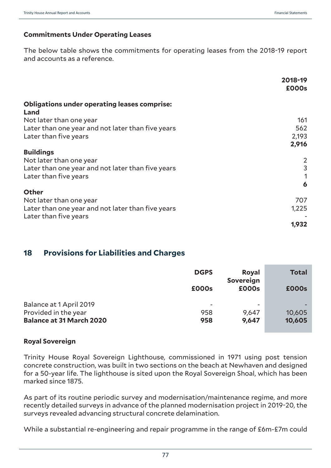### **Commitments Under Operating Leases**

The below table shows the commitments for operating leases from the 2018-19 report and accounts as a reference.

|                                                     | 2018-19<br>£000s |
|-----------------------------------------------------|------------------|
| <b>Obligations under operating leases comprise:</b> |                  |
| Land                                                |                  |
| Not later than one year                             | 161              |
| Later than one year and not later than five years   | 562              |
| Later than five years                               | 2,193            |
|                                                     | 2,916            |
| <b>Buildings</b>                                    |                  |
| Not later than one year                             | $\overline{2}$   |
| Later than one year and not later than five years   | 3                |
| Later than five years                               |                  |
|                                                     | 6                |
| <b>Other</b>                                        |                  |
|                                                     |                  |
| Not later than one year                             | 707              |
| Later than one year and not later than five years   | 1,225            |
| Later than five years                               |                  |
|                                                     | 1,932            |

## **18 Provisions for Liabilities and Charges**

|                                 | <b>DGPS</b>              | <b>Royal</b><br>Sovereign | <b>Total</b> |
|---------------------------------|--------------------------|---------------------------|--------------|
|                                 | £000s                    | £000s                     | <b>£000s</b> |
| Balance at 1 April 2019         | $\overline{\phantom{a}}$ |                           |              |
| Provided in the year            | 958                      | 9,647                     | 10,605       |
| <b>Balance at 31 March 2020</b> | 958                      | 9,647                     | 10,605       |

#### **Royal Sovereign**

Trinity House Royal Sovereign Lighthouse, commissioned in 1971 using post tension concrete construction, was built in two sections on the beach at Newhaven and designed for a 50-year life. The lighthouse is sited upon the Royal Sovereign Shoal, which has been marked since 1875.

As part of its routine periodic survey and modernisation/maintenance regime, and more recently detailed surveys in advance of the planned modernisation project in 2019-20, the surveys revealed advancing structural concrete delamination.

While a substantial re-engineering and repair programme in the range of £6m-£7m could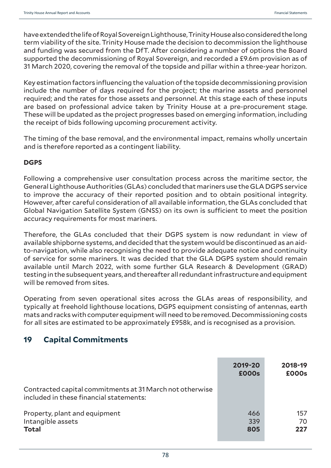have extended the life of Royal Sovereign Lighthouse, Trinity House also considered the long term viability of the site. Trinity House made the decision to decommission the lighthouse and funding was secured from the DfT. After considering a number of options the Board supported the decommissioning of Royal Sovereign, and recorded a £9.6m provision as of 31 March 2020, covering the removal of the topside and pillar within a three-year horizon.

Key estimation factors influencing the valuation of the topside decommissioning provision include the number of days required for the project; the marine assets and personnel required; and the rates for those assets and personnel. At this stage each of these inputs are based on professional advice taken by Trinity House at a pre-procurement stage. These will be updated as the project progresses based on emerging information, including the receipt of bids following upcoming procurement activity.

The timing of the base removal, and the environmental impact, remains wholly uncertain and is therefore reported as a contingent liability.

### **DGPS**

Following a comprehensive user consultation process across the maritime sector, the General Lighthouse Authorities (GLAs) concluded that mariners use the GLA DGPS service to improve the accuracy of their reported position and to obtain positional integrity. However, after careful consideration of all available information, the GLAs concluded that Global Navigation Satellite System (GNSS) on its own is sufficient to meet the position accuracy requirements for most mariners.

Therefore, the GLAs concluded that their DGPS system is now redundant in view of available shipborne systems, and decided that the system would be discontinued as an aidto-navigation, while also recognising the need to provide adequate notice and continuity of service for some mariners. It was decided that the GLA DGPS system should remain available until March 2022, with some further GLA Research & Development (GRAD) testing in the subsequent years, and thereafter all redundant infrastructure and equipment will be removed from sites.

Operating from seven operational sites across the GLAs areas of responsibility, and typically at freehold lighthouse locations, DGPS equipment consisting of antennas, earth mats and racks with computer equipment will need to be removed. Decommissioning costs for all sites are estimated to be approximately £958k, and is recognised as a provision.

## **19 Capital Commitments**

|                                                                                                     | 2019-20<br><b>£000s</b> | 2018-19<br>£000s |
|-----------------------------------------------------------------------------------------------------|-------------------------|------------------|
| Contracted capital commitments at 31 March not otherwise<br>included in these financial statements: |                         |                  |
| Property, plant and equipment<br>Intangible assets<br><b>Total</b>                                  | 466<br>339<br>805       | 157<br>70<br>227 |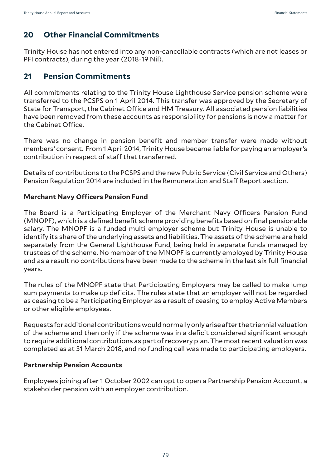# **20 Other Financial Commitments**

Trinity House has not entered into any non-cancellable contracts (which are not leases or PFI contracts), during the year (2018-19 Nil).

## **21 Pension Commitments**

All commitments relating to the Trinity House Lighthouse Service pension scheme were transferred to the PCSPS on 1 April 2014. This transfer was approved by the Secretary of State for Transport, the Cabinet Office and HM Treasury. All associated pension liabilities have been removed from these accounts as responsibility for pensions is now a matter for the Cabinet Office.

There was no change in pension benefit and member transfer were made without members' consent. From 1 April 2014, Trinity House became liable for paying an employer's contribution in respect of staff that transferred.

Details of contributions to the PCSPS and the new Public Service (Civil Service and Others) Pension Regulation 2014 are included in the Remuneration and Staff Report section.

### **Merchant Navy Officers Pension Fund**

The Board is a Participating Employer of the Merchant Navy Officers Pension Fund (MNOPF), which is a defined benefit scheme providing benefits based on final pensionable salary. The MNOPF is a funded multi-employer scheme but Trinity House is unable to identify its share of the underlying assets and liabilities. The assets of the scheme are held separately from the General Lighthouse Fund, being held in separate funds managed by trustees of the scheme. No member of the MNOPF is currently employed by Trinity House and as a result no contributions have been made to the scheme in the last six full financial years.

The rules of the MNOPF state that Participating Employers may be called to make lump sum payments to make up deficits. The rules state that an employer will not be regarded as ceasing to be a Participating Employer as a result of ceasing to employ Active Members or other eligible employees.

Requests for additional contributions would normally only arise after the triennial valuation of the scheme and then only if the scheme was in a deficit considered significant enough to require additional contributions as part of recovery plan. The most recent valuation was completed as at 31 March 2018, and no funding call was made to participating employers.

### **Partnership Pension Accounts**

Employees joining after 1 October 2002 can opt to open a Partnership Pension Account, a stakeholder pension with an employer contribution.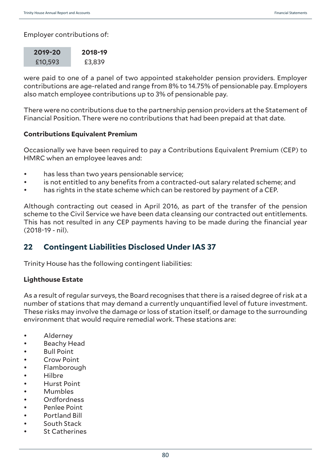Employer contributions of:

| 2019-20 | 2018-19 |
|---------|---------|
| £10,593 | £3,839  |

were paid to one of a panel of two appointed stakeholder pension providers. Employer contributions are age-related and range from 8% to 14.75% of pensionable pay. Employers also match employee contributions up to 3% of pensionable pay.

There were no contributions due to the partnership pension providers at the Statement of Financial Position. There were no contributions that had been prepaid at that date.

### **Contributions Equivalent Premium**

Occasionally we have been required to pay a Contributions Equivalent Premium (CEP) to HMRC when an employee leaves and:

- has less than two years pensionable service;
- is not entitled to any benefits from a contracted-out salary related scheme; and
- has rights in the state scheme which can be restored by payment of a CEP.

Although contracting out ceased in April 2016, as part of the transfer of the pension scheme to the Civil Service we have been data cleansing our contracted out entitlements. This has not resulted in any CEP payments having to be made during the financial year (2018-19 - nil).

## **22 Contingent Liabilities Disclosed Under IAS 37**

Trinity House has the following contingent liabilities:

### **Lighthouse Estate**

As a result of regular surveys, the Board recognises that there is a raised degree of risk at a number of stations that may demand a currently unquantified level of future investment. These risks may involve the damage or loss of station itself, or damage to the surrounding environment that would require remedial work. These stations are:

- **Alderney**
- Beachy Head
- Bull Point
- Crow Point
- Flamborough
- Hilbre
- Hurst Point
- Mumbles
- Ordfordness
- Penlee Point
- Portland Bill
- South Stack
- **St Catherines**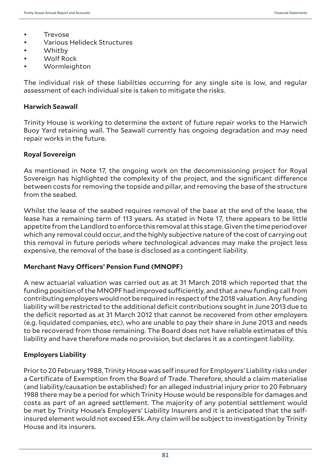- Trevose
- Various Helideck Structures
- Whitby
- Wolf Rock
- Wormleighton

The individual risk of these liabilities occurring for any single site is low, and regular assessment of each individual site is taken to mitigate the risks.

#### **Harwich Seawall**

Trinity House is working to determine the extent of future repair works to the Harwich Buoy Yard retaining wall. The Seawall currently has ongoing degradation and may need repair works in the future.

#### **Royal Sovereign**

As mentioned in Note 17, the ongoing work on the decommissioning project for Royal Sovereign has highlighted the complexity of the project, and the significant difference between costs for removing the topside and pillar, and removing the base of the structure from the seabed.

Whilst the lease of the seabed requires removal of the base at the end of the lease, the lease has a remaining term of 113 years. As stated in Note 17, there appears to be little appetite from the Landlord to enforce this removal at this stage. Given the time period over which any removal could occur, and the highly subjective nature of the cost of carrying out this removal in future periods where technological advances may make the project less expensive, the removal of the base is disclosed as a contingent liability.

#### **Merchant Navy Officers' Pension Fund (MNOPF)**

A new actuarial valuation was carried out as at 31 March 2018 which reported that the funding position of the MNOPF had improved sufficiently, and that a new funding call from contributing employers would not be required in respect of the 2018 valuation. Any funding liability will be restricted to the additional deficit contributions sought in June 2013 due to the deficit reported as at 31 March 2012 that cannot be recovered from other employers (e.g. liquidated companies, etc), who are unable to pay their share in June 2013 and needs to be recovered from those remaining. The Board does not have reliable estimates of this liability and have therefore made no provision, but declares it as a contingent liability.

#### **Employers Liability**

Prior to 20 February 1988, Trinity House was self insured for Employers' Liability risks under a Certificate of Exemption from the Board of Trade. Therefore, should a claim materialise (and liability/causation be established) for an alleged industrial injury prior to 20 February 1988 there may be a period for which Trinity House would be responsible for damages and costs as part of an agreed settlement. The majority of any potential settlement would be met by Trinity House's Employers' Liability Insurers and it is anticipated that the selfinsured element would not exceed £5k. Any claim will be subject to investigation by Trinity House and its insurers.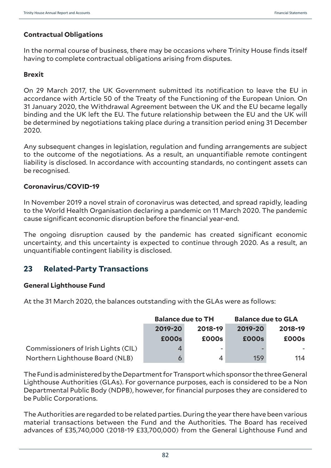### **Contractual Obligations**

In the normal course of business, there may be occasions where Trinity House finds itself having to complete contractual obligations arising from disputes.

### **Brexit**

On 29 March 2017, the UK Government submitted its notification to leave the EU in accordance with Article 50 of the Treaty of the Functioning of the European Union. On 31 January 2020, the Withdrawal Agreement between the UK and the EU became legally binding and the UK left the EU. The future relationship between the EU and the UK will be determined by negotiations taking place during a transition period ening 31 December 2020.

Any subsequent changes in legislation, regulation and funding arrangements are subject to the outcome of the negotiations. As a result, an unquantifiable remote contingent liability is disclosed. In accordance with accounting standards, no contingent assets can be recognised.

### **Coronavirus/COVID-19**

In November 2019 a novel strain of coronavirus was detected, and spread rapidly, leading to the World Health Organisation declaring a pandemic on 11 March 2020. The pandemic cause significant economic disruption before the financial year-end.

The ongoing disruption caused by the pandemic has created significant economic uncertainty, and this uncertainty is expected to continue through 2020. As a result, an unquantifiable contingent liability is disclosed.

## **23 Related-Party Transactions**

### **General Lighthouse Fund**

At the 31 March 2020, the balances outstanding with the GLAs were as follows:

|                                     | <b>Balance due to TH</b> |                          | <b>Balance due to GLA</b> |         |  |
|-------------------------------------|--------------------------|--------------------------|---------------------------|---------|--|
|                                     | 2019-20                  | 2018-19                  |                           | 2018-19 |  |
|                                     | <b>£000s</b>             | £000s                    | £000s                     | £000s   |  |
| Commissioners of Irish Lights (CIL) |                          | $\overline{\phantom{a}}$ |                           |         |  |
| Northern Lighthouse Board (NLB)     |                          | $\overline{A}$           | 159                       | 114     |  |

The Fund is administered by the Department for Transport which sponsor the three General Lighthouse Authorities (GLAs). For governance purposes, each is considered to be a Non Departmental Public Body (NDPB), however, for financial purposes they are considered to be Public Corporations.

The Authorities are regarded to be related parties. During the year there have been various material transactions between the Fund and the Authorities. The Board has received advances of £35,740,000 (2018-19 £33,700,000) from the General Lighthouse Fund and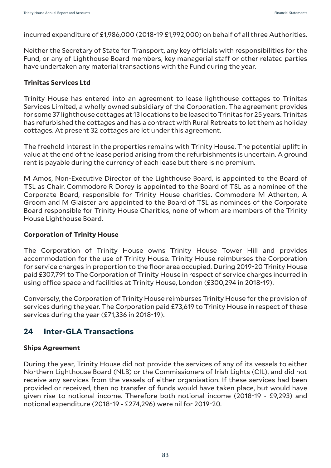incurred expenditure of £1,986,000 (2018-19 £1,992,000) on behalf of all three Authorities.

Neither the Secretary of State for Transport, any key officials with responsibilities for the Fund, or any of Lighthouse Board members, key managerial staff or other related parties have undertaken any material transactions with the Fund during the year.

#### **Trinitas Services Ltd**

Trinity House has entered into an agreement to lease lighthouse cottages to Trinitas Services Limited, a wholly owned subsidiary of the Corporation. The agreement provides for some 37 lighthouse cottages at 13 locations to be leased to Trinitas for 25 years. Trinitas has refurbished the cottages and has a contract with Rural Retreats to let them as holiday cottages. At present 32 cottages are let under this agreement.

The freehold interest in the properties remains with Trinity House. The potential uplift in value at the end of the lease period arising from the refurbishments is uncertain. A ground rent is payable during the currency of each lease but there is no premium.

M Amos, Non-Executive Director of the Lighthouse Board, is appointed to the Board of TSL as Chair. Commodore R Dorey is appointed to the Board of TSL as a nominee of the Corporate Board, responsible for Trinity House charities. Commodore M Atherton, A Groom and M Glaister are appointed to the Board of TSL as nominees of the Corporate Board responsible for Trinity House Charities, none of whom are members of the Trinity House Lighthouse Board.

#### **Corporation of Trinity House**

The Corporation of Trinity House owns Trinity House Tower Hill and provides accommodation for the use of Trinity House. Trinity House reimburses the Corporation for service charges in proportion to the floor area occupied. During 2019-20 Trinity House paid £307,791 to The Corporation of Trinity House in respect of service charges incurred in using office space and facilities at Trinity House, London (£300,294 in 2018-19).

Conversely, the Corporation of Trinity House reimburses Trinity House for the provision of services during the year. The Corporation paid £73,619 to Trinity House in respect of these services during the year (£71,336 in 2018-19).

## **24 Inter-GLA Transactions**

### **Ships Agreement**

During the year, Trinity House did not provide the services of any of its vessels to either Northern Lighthouse Board (NLB) or the Commissioners of Irish Lights (CIL), and did not receive any services from the vessels of either organisation. If these services had been provided or received, then no transfer of funds would have taken place, but would have given rise to notional income. Therefore both notional income (2018-19 - £9,293) and notional expenditure (2018-19 - £274,296) were nil for 2019-20.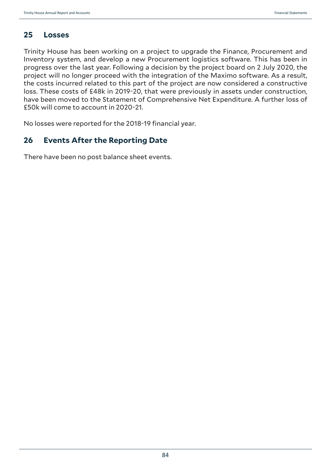## **25 Losses**

Trinity House has been working on a project to upgrade the Finance, Procurement and Inventory system, and develop a new Procurement logistics software. This has been in progress over the last year. Following a decision by the project board on 2 July 2020, the project will no longer proceed with the integration of the Maximo software. As a result, the costs incurred related to this part of the project are now considered a constructive loss. These costs of £48k in 2019-20, that were previously in assets under construction, have been moved to the Statement of Comprehensive Net Expenditure. A further loss of £50k will come to account in 2020-21.

No losses were reported for the 2018-19 financial year.

## **26 Events After the Reporting Date**

There have been no post balance sheet events.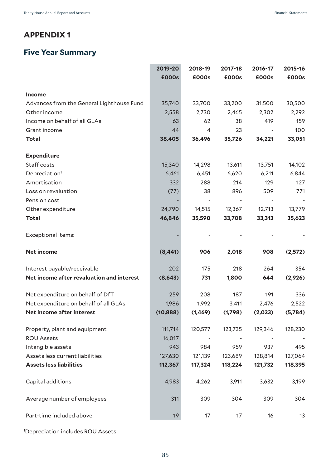# **APPENDIX 1**

# **Five Year Summary**

|                                           | 2019-20   | 2018-19        | 2017-18 | 2016-17 | 2015-16  |
|-------------------------------------------|-----------|----------------|---------|---------|----------|
|                                           | £000s     | £000s          | £000s   | £000s   | £000s    |
| Income                                    |           |                |         |         |          |
| Advances from the General Lighthouse Fund | 35,740    | 33,700         | 33,200  | 31,500  | 30,500   |
| Other income                              | 2,558     | 2,730          | 2,465   | 2,302   | 2,292    |
| Income on behalf of all GLAs              | 63        | 62             | 38      | 419     | 159      |
| Grant income                              | 44        | $\overline{4}$ | 23      |         | 100      |
| <b>Total</b>                              | 38,405    | 36,496         | 35,726  | 34,221  | 33,051   |
| <b>Expenditure</b>                        |           |                |         |         |          |
| Staff costs                               | 15,340    | 14,298         | 13,611  | 13,751  | 14,102   |
| Depreciation <sup>1</sup>                 | 6,461     | 6,451          | 6,620   | 6,211   | 6,844    |
| Amortisation                              | 332       | 288            | 214     | 129     | 127      |
| Loss on revaluation                       | (77)      | 38             | 896     | 509     | 771      |
| Pension cost                              |           |                |         |         |          |
| Other expenditure                         | 24,790    | 14,515         | 12,367  | 12,713  | 13,779   |
| <b>Total</b>                              | 46,846    | 35,590         | 33,708  | 33,313  | 35,623   |
| Exceptional items:                        |           |                |         |         |          |
| <b>Net income</b>                         | (8, 441)  | 906            | 2,018   | 908     | (2,572)  |
| Interest payable/receivable               | 202       | 175            | 218     | 264     | 354      |
| Net income after revaluation and interest | (8,643)   | 731            | 1,800   | 644     | (2,926)  |
| Net expenditure on behalf of DfT          | 259       | 208            | 187     | 191     | 336      |
| Net expenditure on behalf of all GLAs     | 1,986     | 1,992          | 3,411   | 2,476   | 2,522    |
| Net income after interest                 | (10, 888) | (1, 469)       | (1,798) | (2,023) | (5, 784) |
| Property, plant and equipment             | 111,714   | 120,577        | 123,735 | 129,346 | 128,230  |
| <b>ROU Assets</b>                         | 16,017    |                |         |         |          |
| Intangible assets                         | 943       | 984            | 959     | 937     | 495      |
| Assets less current liabilities           | 127,630   | 121,139        | 123,689 | 128,814 | 127,064  |
| <b>Assets less liabilities</b>            | 112,367   | 117,324        | 118,224 | 121,732 | 118,395  |
| Capital additions                         | 4,983     | 4,262          | 3,911   | 3,632   | 3,199    |
| Average number of employees               | 311       | 309            | 304     | 309     | 304      |
| Part-time included above                  | 19        | 17             | 17      | 16      | 13       |

1 Depreciation includes ROU Assets